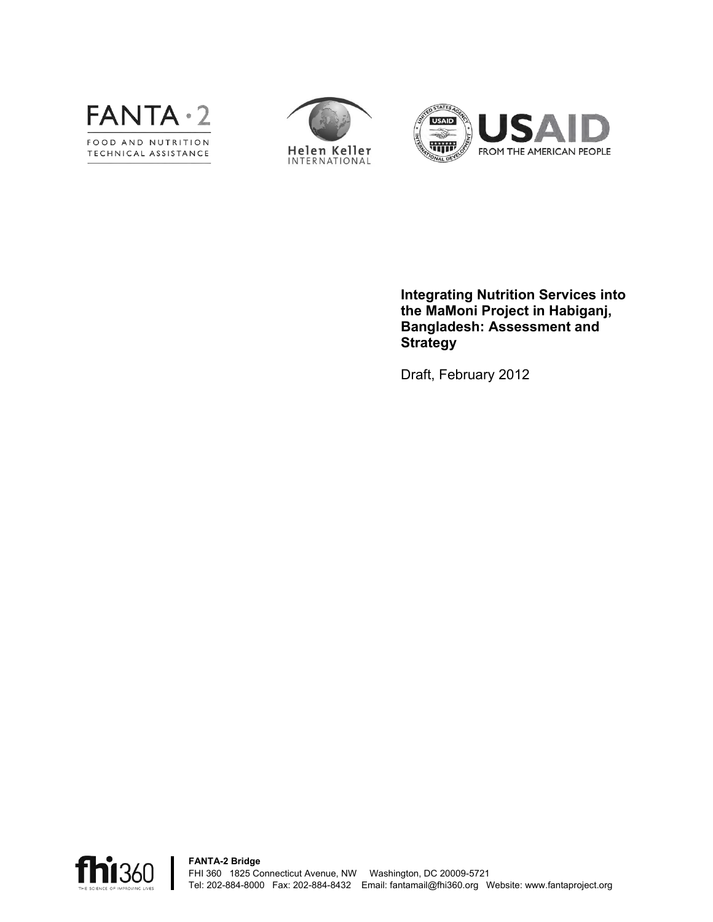





**Integrating Nutrition Services into the MaMoni Project in Habiganj, Bangladesh: Assessment and Strategy**

Draft, February 2012

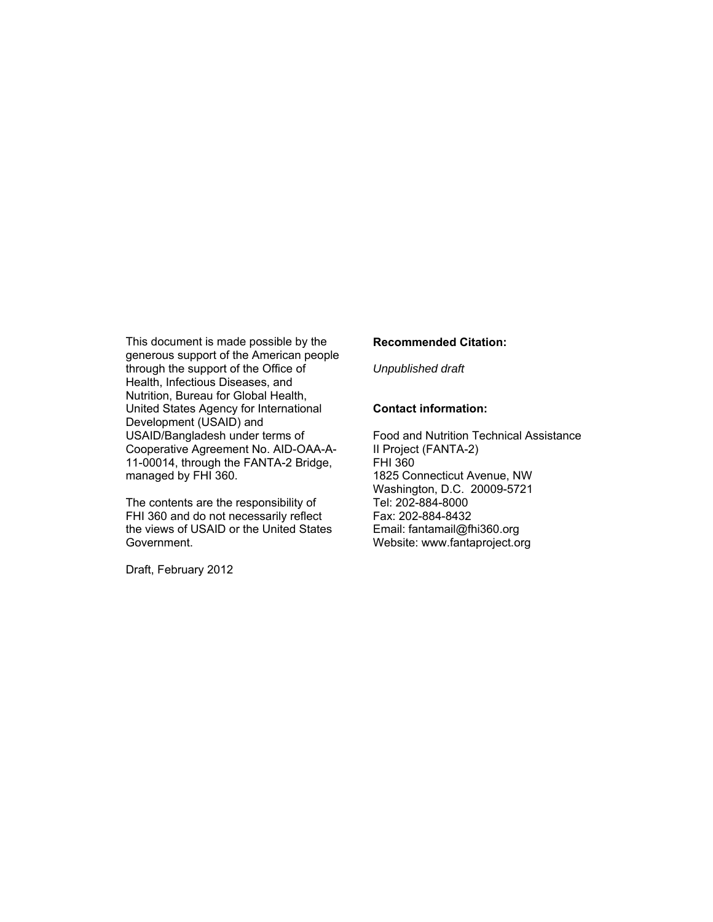This document is made possible by the generous support of the American people through the support of the Office of Health, Infectious Diseases, and Nutrition, Bureau for Global Health, United States Agency for International Development (USAID) and USAID/Bangladesh under terms of Cooperative Agreement No. AID-OAA-A-11-00014, through the FANTA-2 Bridge, managed by FHI 360.

The contents are the responsibility of FHI 360 and do not necessarily reflect the views of USAID or the United States Government.

Draft, February 2012

#### **Recommended Citation:**

*Unpublished draft*

#### **Contact information:**

Food and Nutrition Technical Assistance II Project (FANTA-2) FHI 360 1825 Connecticut Avenue, NW Washington, D.C. 20009-5721 Tel: 202-884-8000 Fax: 202-884-8432 Email: fantamail@fhi360.org Website: www.fantaproject.org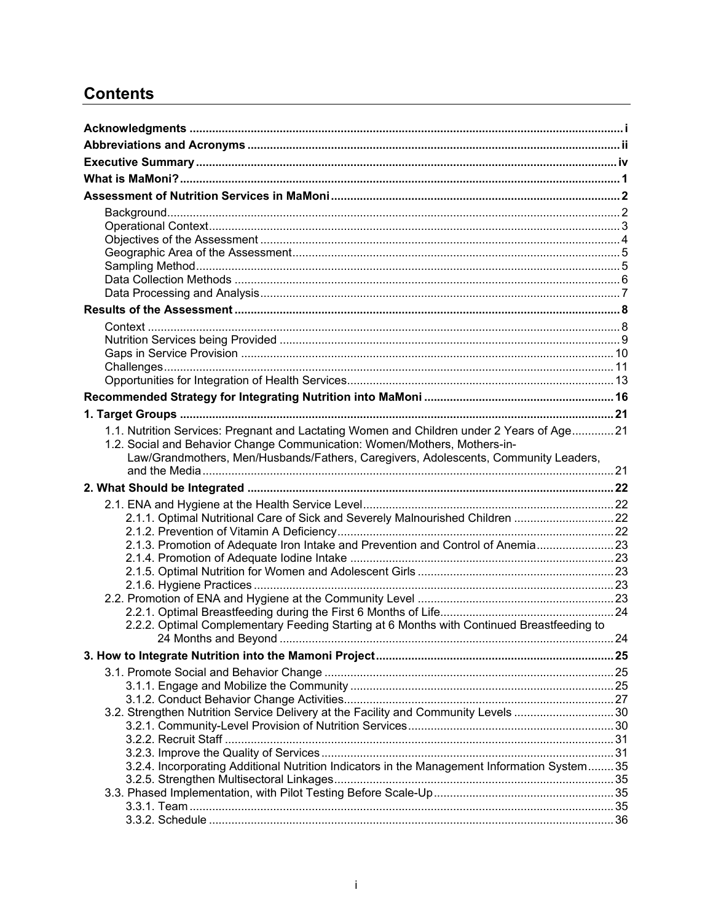# **Contents**

| 1.1. Nutrition Services: Pregnant and Lactating Women and Children under 2 Years of Age 21  |  |
|---------------------------------------------------------------------------------------------|--|
| 1.2. Social and Behavior Change Communication: Women/Mothers, Mothers-in-                   |  |
| Law/Grandmothers, Men/Husbands/Fathers, Caregivers, Adolescents, Community Leaders,         |  |
|                                                                                             |  |
|                                                                                             |  |
|                                                                                             |  |
| 2.1.1. Optimal Nutritional Care of Sick and Severely Malnourished Children 22               |  |
|                                                                                             |  |
|                                                                                             |  |
| 2.1.3. Promotion of Adequate Iron Intake and Prevention and Control of Anemia 23            |  |
|                                                                                             |  |
|                                                                                             |  |
|                                                                                             |  |
|                                                                                             |  |
| 2.2.2. Optimal Complementary Feeding Starting at 6 Months with Continued Breastfeeding to   |  |
|                                                                                             |  |
|                                                                                             |  |
|                                                                                             |  |
|                                                                                             |  |
|                                                                                             |  |
| 3.2. Strengthen Nutrition Service Delivery at the Facility and Community Levels 30          |  |
|                                                                                             |  |
|                                                                                             |  |
| 3.2.4. Incorporating Additional Nutrition Indicators in the Management Information System35 |  |
|                                                                                             |  |
|                                                                                             |  |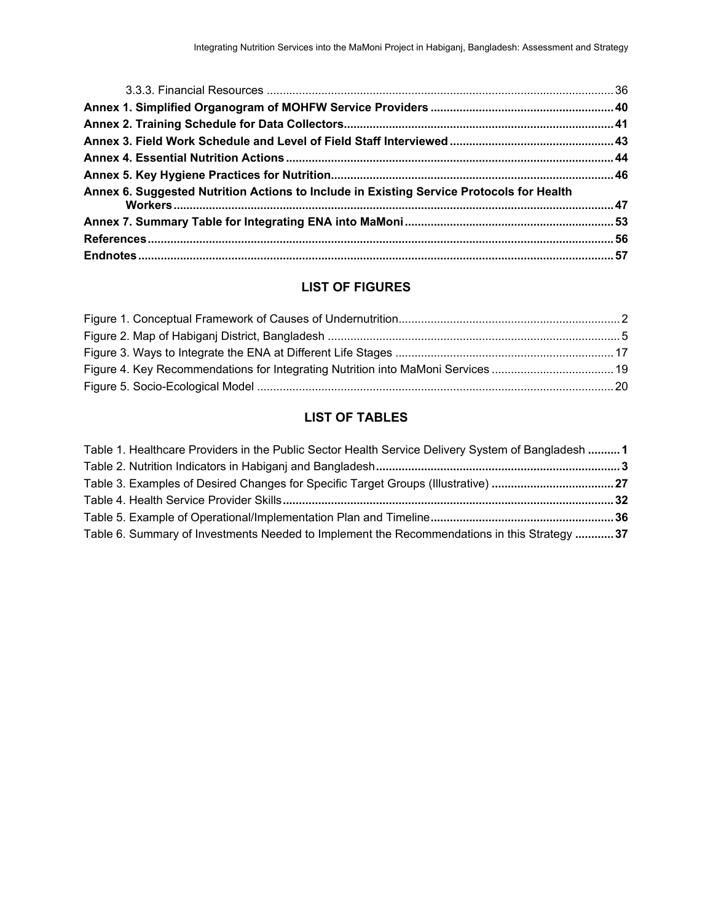| Annex 6. Suggested Nutrition Actions to Include in Existing Service Protocols for Health |  |
|------------------------------------------------------------------------------------------|--|
|                                                                                          |  |
|                                                                                          |  |
|                                                                                          |  |

### **LIST OF FIGURES**

## **LIST OF TABLES**

| Table 1. Healthcare Providers in the Public Sector Health Service Delivery System of Bangladesh 1 |  |
|---------------------------------------------------------------------------------------------------|--|
|                                                                                                   |  |
| Table 3. Examples of Desired Changes for Specific Target Groups (Illustrative) 27                 |  |
|                                                                                                   |  |
|                                                                                                   |  |
| Table 6. Summary of Investments Needed to Implement the Recommendations in this Strategy  37      |  |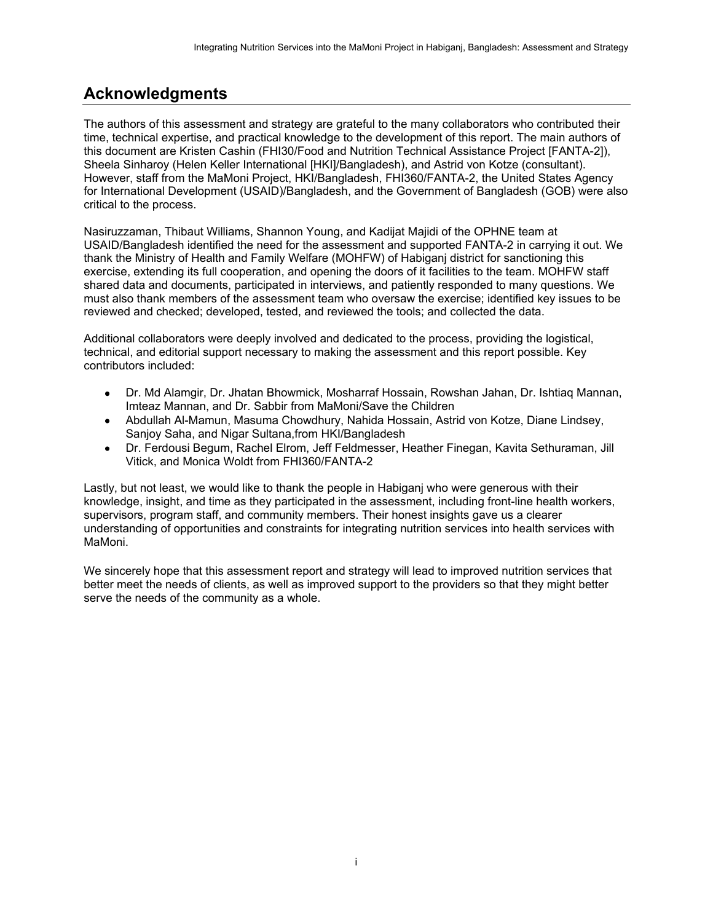# <span id="page-4-0"></span>**Acknowledgments**

The authors of this assessment and strategy are grateful to the many collaborators who contributed their time, technical expertise, and practical knowledge to the development of this report. The main authors of this document are Kristen Cashin (FHI30/Food and Nutrition Technical Assistance Project [FANTA-2]), Sheela Sinharoy (Helen Keller International [HKI]/Bangladesh), and Astrid von Kotze (consultant). However, staff from the MaMoni Project, HKI/Bangladesh, FHI360/FANTA-2, the United States Agency for International Development (USAID)/Bangladesh, and the Government of Bangladesh (GOB) were also critical to the process.

Nasiruzzaman, Thibaut Williams, Shannon Young, and Kadijat Majidi of the OPHNE team at USAID/Bangladesh identified the need for the assessment and supported FANTA-2 in carrying it out. We thank the Ministry of Health and Family Welfare (MOHFW) of Habiganj district for sanctioning this exercise, extending its full cooperation, and opening the doors of it facilities to the team. MOHFW staff shared data and documents, participated in interviews, and patiently responded to many questions. We must also thank members of the assessment team who oversaw the exercise; identified key issues to be reviewed and checked; developed, tested, and reviewed the tools; and collected the data.

Additional collaborators were deeply involved and dedicated to the process, providing the logistical, technical, and editorial support necessary to making the assessment and this report possible. Key contributors included:

- Dr. Md Alamgir, Dr. Jhatan Bhowmick, Mosharraf Hossain, Rowshan Jahan, Dr. Ishtiaq Mannan, Imteaz Mannan, and Dr. Sabbir from MaMoni/Save the Children
- Abdullah Al-Mamun, Masuma Chowdhury, Nahida Hossain, Astrid von Kotze, Diane Lindsey, Sanjoy Saha, and Nigar Sultana,from HKI/Bangladesh
- Dr. Ferdousi Begum, Rachel Elrom, Jeff Feldmesser, Heather Finegan, Kavita Sethuraman, Jill Vitick, and Monica Woldt from FHI360/FANTA-2

Lastly, but not least, we would like to thank the people in Habiganj who were generous with their knowledge, insight, and time as they participated in the assessment, including front-line health workers, supervisors, program staff, and community members. Their honest insights gave us a clearer understanding of opportunities and constraints for integrating nutrition services into health services with MaMoni.

We sincerely hope that this assessment report and strategy will lead to improved nutrition services that better meet the needs of clients, as well as improved support to the providers so that they might better serve the needs of the community as a whole.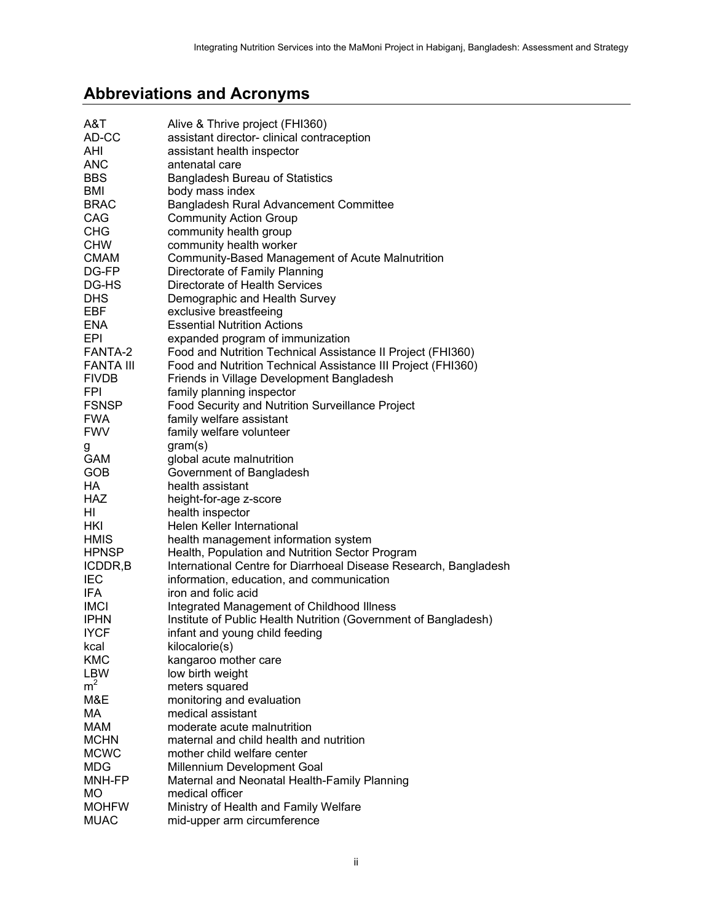# <span id="page-5-0"></span>**Abbreviations and Acronyms**

| A&T              | Alive & Thrive project (FHI360)                                  |
|------------------|------------------------------------------------------------------|
| AD-CC            | assistant director- clinical contraception                       |
| AHI              | assistant health inspector                                       |
| <b>ANC</b>       | antenatal care                                                   |
| <b>BBS</b>       | <b>Bangladesh Bureau of Statistics</b>                           |
| BMI              | body mass index                                                  |
| <b>BRAC</b>      | Bangladesh Rural Advancement Committee                           |
| CAG              | <b>Community Action Group</b>                                    |
| <b>CHG</b>       | community health group                                           |
| <b>CHW</b>       | community health worker                                          |
|                  |                                                                  |
| <b>CMAM</b>      | Community-Based Management of Acute Malnutrition                 |
| DG-FP            | Directorate of Family Planning                                   |
| DG-HS            | Directorate of Health Services                                   |
| <b>DHS</b>       | Demographic and Health Survey                                    |
| EBF              | exclusive breastfeeing                                           |
| <b>ENA</b>       | <b>Essential Nutrition Actions</b>                               |
| EPI              | expanded program of immunization                                 |
| FANTA-2          | Food and Nutrition Technical Assistance II Project (FHI360)      |
| <b>FANTA III</b> | Food and Nutrition Technical Assistance III Project (FHI360)     |
| <b>FIVDB</b>     | Friends in Village Development Bangladesh                        |
| <b>FPI</b>       | family planning inspector                                        |
| <b>FSNSP</b>     | <b>Food Security and Nutrition Surveillance Project</b>          |
| <b>FWA</b>       | family welfare assistant                                         |
| <b>FWV</b>       | family welfare volunteer                                         |
| g                | gram(s)                                                          |
| <b>GAM</b>       | global acute malnutrition                                        |
| <b>GOB</b>       | Government of Bangladesh                                         |
| HA               | health assistant                                                 |
| <b>HAZ</b>       | height-for-age z-score                                           |
| HI               | health inspector                                                 |
| HKI              | Helen Keller International                                       |
| <b>HMIS</b>      | health management information system                             |
| <b>HPNSP</b>     | Health, Population and Nutrition Sector Program                  |
| ICDDR, B         | International Centre for Diarrhoeal Disease Research, Bangladesh |
| <b>IEC</b>       |                                                                  |
|                  | information, education, and communication                        |
| IFA.             | iron and folic acid                                              |
| <b>IMCI</b>      | Integrated Management of Childhood Illness                       |
| <b>IPHN</b>      | Institute of Public Health Nutrition (Government of Bangladesh)  |
| <b>IYCF</b>      | infant and young child feeding                                   |
| kcal             | kilocalorie(s)                                                   |
| <b>KMC</b>       | kangaroo mother care                                             |
| LBW              | low birth weight                                                 |
| m <sup>2</sup>   | meters squared                                                   |
| M&E              | monitoring and evaluation                                        |
| МA               | medical assistant                                                |
| <b>MAM</b>       | moderate acute malnutrition                                      |
| <b>MCHN</b>      | maternal and child health and nutrition                          |
| <b>MCWC</b>      | mother child welfare center                                      |
| <b>MDG</b>       | Millennium Development Goal                                      |
| MNH-FP           | Maternal and Neonatal Health-Family Planning                     |
| МO               | medical officer                                                  |
| <b>MOHFW</b>     | Ministry of Health and Family Welfare                            |
| <b>MUAC</b>      | mid-upper arm circumference                                      |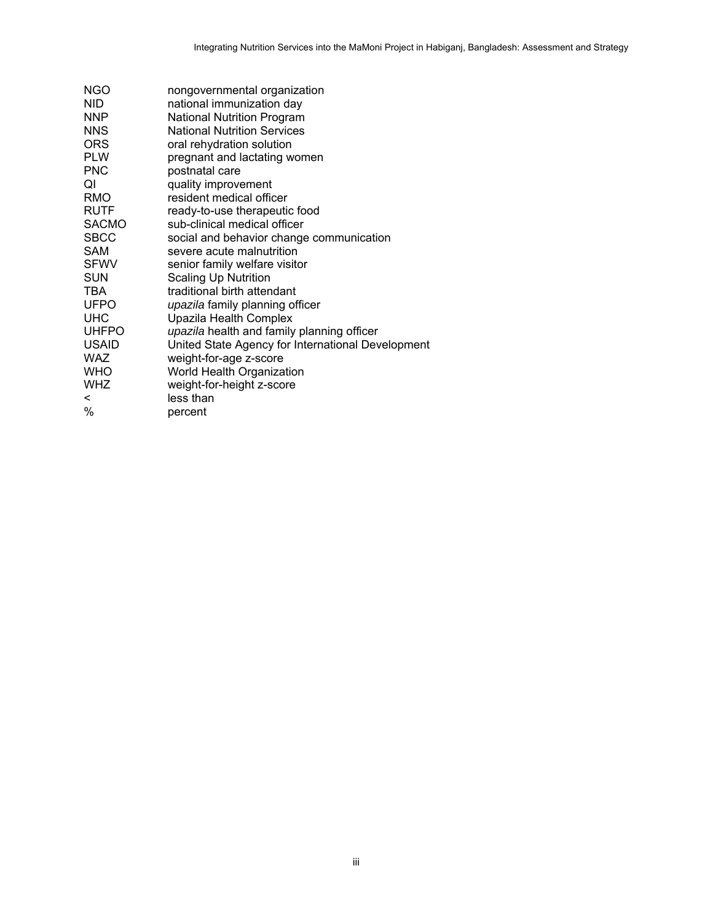| <b>NGO</b>   | nongovernmental organization                      |
|--------------|---------------------------------------------------|
| <b>NID</b>   | national immunization day                         |
| <b>NNP</b>   | <b>National Nutrition Program</b>                 |
| <b>NNS</b>   | <b>National Nutrition Services</b>                |
| <b>ORS</b>   | oral rehydration solution                         |
| <b>PLW</b>   | pregnant and lactating women                      |
| <b>PNC</b>   | postnatal care                                    |
| QI           | quality improvement                               |
| RMO          | resident medical officer                          |
| <b>RUTF</b>  | ready-to-use therapeutic food                     |
| <b>SACMO</b> | sub-clinical medical officer                      |
| <b>SBCC</b>  | social and behavior change communication          |
| <b>SAM</b>   | severe acute malnutrition                         |
| <b>SFWV</b>  | senior family welfare visitor                     |
| <b>SUN</b>   | <b>Scaling Up Nutrition</b>                       |
| TBA          | traditional birth attendant                       |
| <b>UFPO</b>  | upazila family planning officer                   |
| <b>UHC</b>   | Upazila Health Complex                            |
| <b>UHFPO</b> | upazila health and family planning officer        |
| <b>USAID</b> | United State Agency for International Development |
| <b>WAZ</b>   | weight-for-age z-score                            |
| <b>WHO</b>   | World Health Organization                         |
| <b>WHZ</b>   | weight-for-height z-score                         |
| $\,<\,$      | less than                                         |
| %            | percent                                           |
|              |                                                   |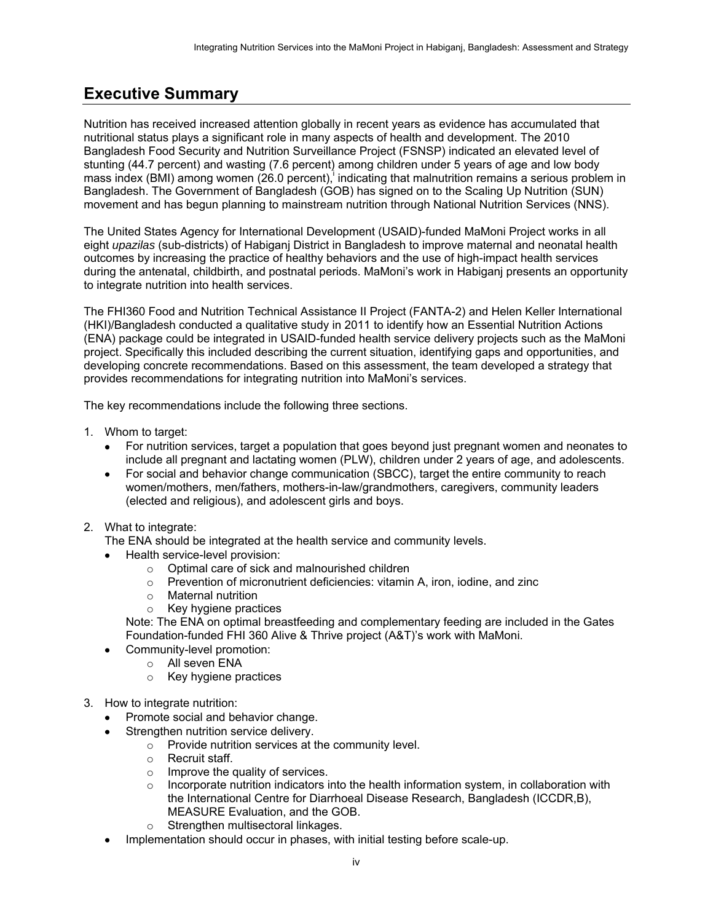## <span id="page-7-0"></span>**Executive Summary**

Nutrition has received increased attention globally in recent years as evidence has accumulated that nutritional status plays a significant role in many aspects of health and development. The 2010 Bangladesh Food Security and Nutrition Surveillance Project (FSNSP) indicated an elevated level of stunting (44.7 percent) and wasting (7.6 percent) among children under 5 years of age and low body mass index (BMI) among women (26.0 percent), indicating that malnutrition remains a serious problem in Bangladesh. The Government of Bangladesh (GOB) has signed on to the Scaling Up Nutrition (SUN) movement and has begun planning to mainstream nutrition through National Nutrition Services (NNS).

The United States Agency for International Development (USAID)-funded MaMoni Project works in all eight *upazilas* (sub-districts) of Habiganj District in Bangladesh to improve maternal and neonatal health outcomes by increasing the practice of healthy behaviors and the use of high-impact health services during the antenatal, childbirth, and postnatal periods. MaMoni's work in Habiganj presents an opportunity to integrate nutrition into health services.

The FHI360 Food and Nutrition Technical Assistance II Project (FANTA-2) and Helen Keller International (HKI)/Bangladesh conducted a qualitative study in 2011 to identify how an Essential Nutrition Actions (ENA) package could be integrated in USAID-funded health service delivery projects such as the MaMoni project. Specifically this included describing the current situation, identifying gaps and opportunities, and developing concrete recommendations. Based on this assessment, the team developed a strategy that provides recommendations for integrating nutrition into MaMoni's services.

The key recommendations include the following three sections.

- 1. Whom to target:
	- For nutrition services, target a population that goes beyond just pregnant women and neonates to include all pregnant and lactating women (PLW), children under 2 years of age, and adolescents.
	- For social and behavior change communication (SBCC), target the entire community to reach women/mothers, men/fathers, mothers-in-law/grandmothers, caregivers, community leaders (elected and religious), and adolescent girls and boys.

#### 2. What to integrate:

The ENA should be integrated at the health service and community levels.

- Health service-level provision:
	- $\circ$  Optimal care of sick and malnourished children  $\circ$  Prevention of micronutrient deficiencies: vitamin
	- Prevention of micronutrient deficiencies: vitamin A, iron, iodine, and zinc
	- o Maternal nutrition
	- o Key hygiene practices

Note: The ENA on optimal breastfeeding and complementary feeding are included in the Gates Foundation-funded FHI 360 Alive & Thrive project (A&T)'s work with MaMoni.

- Community-level promotion:
	- o All seven ENA
	- o Key hygiene practices
- 3. How to integrate nutrition:
	- Promote social and behavior change.
	- Strengthen nutrition service delivery.
		- $\circ$  Provide nutrition services at the community level.
		- o Recruit staff.
		- $\circ$  Improve the quality of services.
		- $\circ$  Incorporate nutrition indicators into the health information system, in collaboration with the International Centre for Diarrhoeal Disease Research, Bangladesh (ICCDR,B), MEASURE Evaluation, and the GOB.
		- o Strengthen multisectoral linkages.
	- Implementation should occur in phases, with initial testing before scale-up.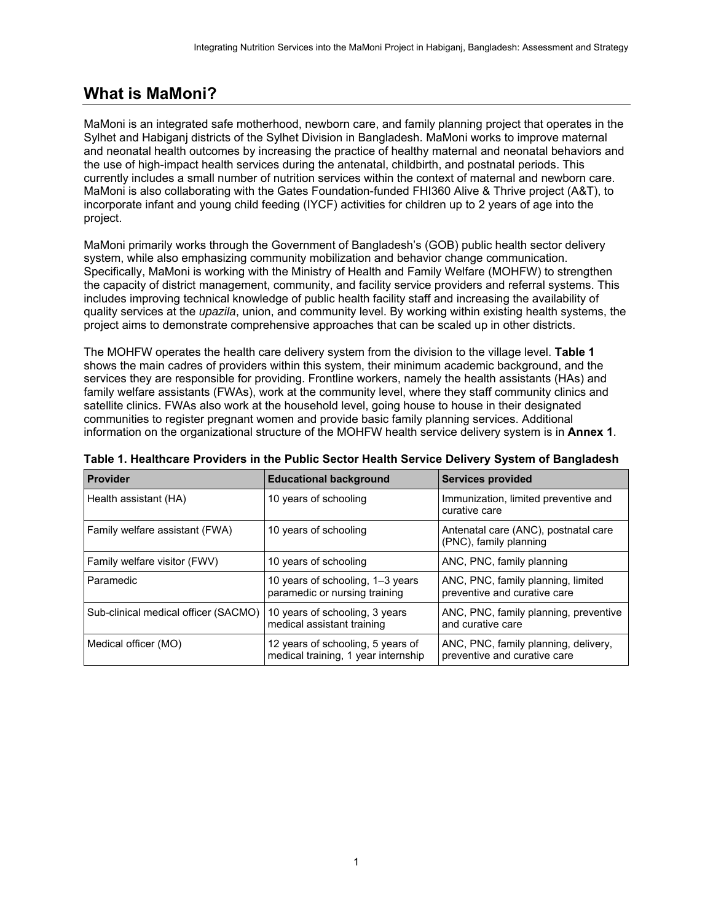## <span id="page-8-0"></span>**What is MaMoni?**

MaMoni is an integrated safe motherhood, newborn care, and family planning project that operates in the Sylhet and Habiganj districts of the Sylhet Division in Bangladesh. MaMoni works to improve maternal and neonatal health outcomes by increasing the practice of healthy maternal and neonatal behaviors and the use of high-impact health services during the antenatal, childbirth, and postnatal periods. This currently includes a small number of nutrition services within the context of maternal and newborn care. MaMoni is also collaborating with the Gates Foundation-funded FHI360 Alive & Thrive project (A&T), to incorporate infant and young child feeding (IYCF) activities for children up to 2 years of age into the project.

MaMoni primarily works through the Government of Bangladesh's (GOB) public health sector delivery system, while also emphasizing community mobilization and behavior change communication. Specifically, MaMoni is working with the Ministry of Health and Family Welfare (MOHFW) to strengthen the capacity of district management, community, and facility service providers and referral systems. This includes improving technical knowledge of public health facility staff and increasing the availability of quality services at the *upazila*, union, and community level. By working within existing health systems, the project aims to demonstrate comprehensive approaches that can be scaled up in other districts.

The MOHFW operates the health care delivery system from the division to the village level. **Table 1**  shows the main cadres of providers within this system, their minimum academic background, and the services they are responsible for providing. Frontline workers, namely the health assistants (HAs) and family welfare assistants (FWAs), work at the community level, where they staff community clinics and satellite clinics. FWAs also work at the household level, going house to house in their designated communities to register pregnant women and provide basic family planning services. Additional information on the organizational structure of the MOHFW health service delivery system is in **Annex 1**.

| <b>Provider</b>                      | <b>Educational background</b>                                            | <b>Services provided</b>                                             |
|--------------------------------------|--------------------------------------------------------------------------|----------------------------------------------------------------------|
| Health assistant (HA)                | 10 years of schooling                                                    | Immunization, limited preventive and<br>curative care                |
| Family welfare assistant (FWA)       | 10 years of schooling                                                    | Antenatal care (ANC), postnatal care<br>(PNC), family planning       |
| Family welfare visitor (FWV)         | 10 years of schooling                                                    | ANC, PNC, family planning                                            |
| Paramedic                            | 10 years of schooling, 1-3 years<br>paramedic or nursing training        | ANC, PNC, family planning, limited<br>preventive and curative care   |
| Sub-clinical medical officer (SACMO) | 10 years of schooling, 3 years<br>medical assistant training             | ANC, PNC, family planning, preventive<br>and curative care           |
| Medical officer (MO)                 | 12 years of schooling, 5 years of<br>medical training, 1 year internship | ANC, PNC, family planning, delivery,<br>preventive and curative care |

<span id="page-8-1"></span>**Table 1. Healthcare Providers in the Public Sector Health Service Delivery System of Bangladesh**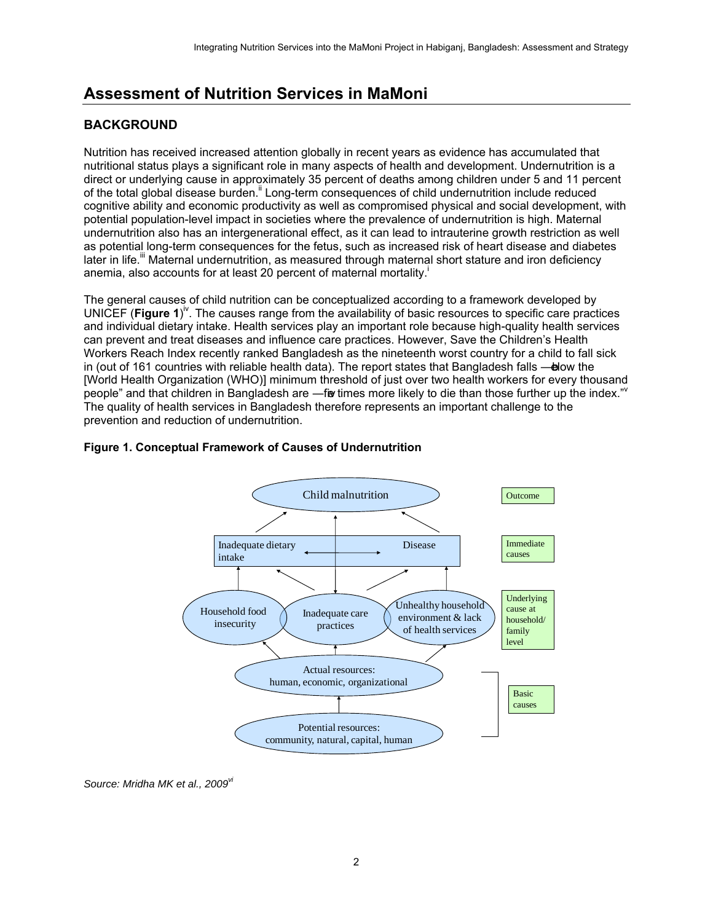# <span id="page-9-0"></span>**Assessment of Nutrition Services in MaMoni**

## <span id="page-9-1"></span>**BACKGROUND**

Nutrition has received increased attention globally in recent years as evidence has accumulated that nutritional status plays a significant role in many aspects of health and development. Undernutrition is a direct or underlying cause in approximately 35 percent of deaths among children under 5 and 11 percent of the total global disease burden.<sup>ii</sup> Long-term consequences of child undernutrition include reduced cognitive ability and economic productivity as well as compromised physical and social development, with potential population-level impact in societies where the prevalence of undernutrition is high. Maternal undernutrition also has an intergenerational effect, as it can lead to intrauterine growth restriction as well as potential long-term consequences for the fetus, such as increased risk of heart disease and diabetes later in life.<sup>"</sup> Maternal undernutrition, as measured through maternal short stature and iron deficiency anemia, also accounts for at least 20 percent of maternal mortality.<sup>i</sup>

The general causes of child nutrition can be conceptualized according to a framework developed by UNICEF (Figure 1)<sup>iv</sup>. The causes range from the availability of basic resources to specific care practices and individual dietary intake. Health services play an important role because high-quality health services can prevent and treat diseases and influence care practices. However, Save the Children's Health Workers Reach Index recently ranked Bangladesh as the nineteenth worst country for a child to fall sick in (out of 161 countries with reliable health data). The report states that Bangladesh falls —blow the [World Health Organization (WHO)] minimum threshold of just over two health workers for every thousand people" and that children in Bangladesh are —five times more likely to die than those further up the index." Y The quality of health services in Bangladesh therefore represents an important challenge to the prevention and reduction of undernutrition.

<span id="page-9-2"></span>



*Source: Mridha MK et al., 2009vi*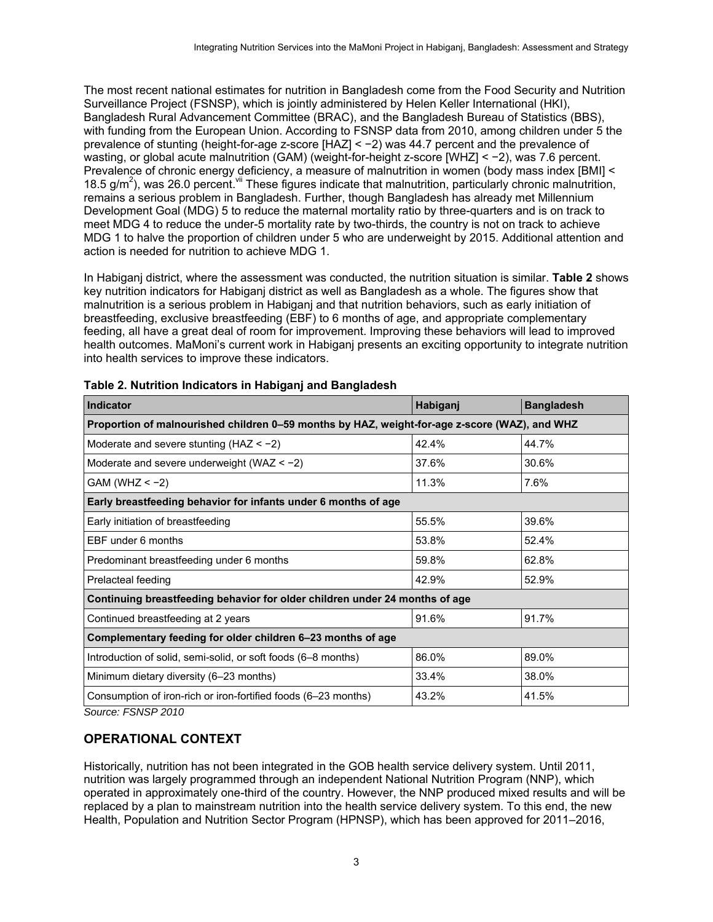The most recent national estimates for nutrition in Bangladesh come from the Food Security and Nutrition Surveillance Project (FSNSP), which is jointly administered by Helen Keller International (HKI), Bangladesh Rural Advancement Committee (BRAC), and the Bangladesh Bureau of Statistics (BBS), with funding from the European Union. According to FSNSP data from 2010, among children under 5 the prevalence of stunting (height-for-age z-score [HAZ] < −2) was 44.7 percent and the prevalence of wasting, or global acute malnutrition (GAM) (weight-for-height z-score [WHZ] < −2), was 7.6 percent. Prevalence of chronic energy deficiency, a measure of malnutrition in women (body mass index [BMI] < 18.5  $g/m<sup>2</sup>$ ), was 26.0 percent. V<sup>ii</sup> These figures indicate that malnutrition, particularly chronic malnutrition, remains a serious problem in Bangladesh. Further, though Bangladesh has already met Millennium Development Goal (MDG) 5 to reduce the maternal mortality ratio by three-quarters and is on track to meet MDG 4 to reduce the under-5 mortality rate by two-thirds, the country is not on track to achieve MDG 1 to halve the proportion of children under 5 who are underweight by 2015. Additional attention and action is needed for nutrition to achieve MDG 1.

In Habiganj district, where the assessment was conducted, the nutrition situation is similar. **Table 2** shows key nutrition indicators for Habiganj district as well as Bangladesh as a whole. The figures show that malnutrition is a serious problem in Habiganj and that nutrition behaviors, such as early initiation of breastfeeding, exclusive breastfeeding (EBF) to 6 months of age, and appropriate complementary feeding, all have a great deal of room for improvement. Improving these behaviors will lead to improved health outcomes. MaMoni's current work in Habiganj presents an exciting opportunity to integrate nutrition into health services to improve these indicators.

| <b>Indicator</b>                                                                              | Habiganj | <b>Bangladesh</b> |
|-----------------------------------------------------------------------------------------------|----------|-------------------|
| Proportion of malnourished children 0-59 months by HAZ, weight-for-age z-score (WAZ), and WHZ |          |                   |
| Moderate and severe stunting ( $HAZ < -2$ )                                                   | 42.4%    | 44.7%             |
| Moderate and severe underweight (WAZ $<-2$ )                                                  | 37.6%    | 30.6%             |
| $GAM (WHZ < -2)$                                                                              | 11.3%    | 7.6%              |
| Early breastfeeding behavior for infants under 6 months of age                                |          |                   |
| Early initiation of breastfeeding                                                             | 55.5%    | 39.6%             |
| EBF under 6 months                                                                            | 53.8%    | 52.4%             |
| Predominant breastfeeding under 6 months                                                      | 59.8%    | 62.8%             |
| Prelacteal feeding                                                                            | 42.9%    | 52.9%             |
| Continuing breastfeeding behavior for older children under 24 months of age                   |          |                   |
| Continued breastfeeding at 2 years                                                            | 91.6%    | 91.7%             |
| Complementary feeding for older children 6-23 months of age                                   |          |                   |
| Introduction of solid, semi-solid, or soft foods (6-8 months)                                 | 86.0%    | 89.0%             |
| Minimum dietary diversity (6-23 months)                                                       | 33.4%    | 38.0%             |
| Consumption of iron-rich or iron-fortified foods (6–23 months)                                | 43.2%    | 41.5%             |

<span id="page-10-1"></span>

*Source: FSNSP 2010* 

#### <span id="page-10-0"></span>**OPERATIONAL CONTEXT**

Historically, nutrition has not been integrated in the GOB health service delivery system. Until 2011, nutrition was largely programmed through an independent National Nutrition Program (NNP), which operated in approximately one-third of the country. However, the NNP produced mixed results and will be replaced by a plan to mainstream nutrition into the health service delivery system. To this end, the new Health, Population and Nutrition Sector Program (HPNSP), which has been approved for 2011–2016,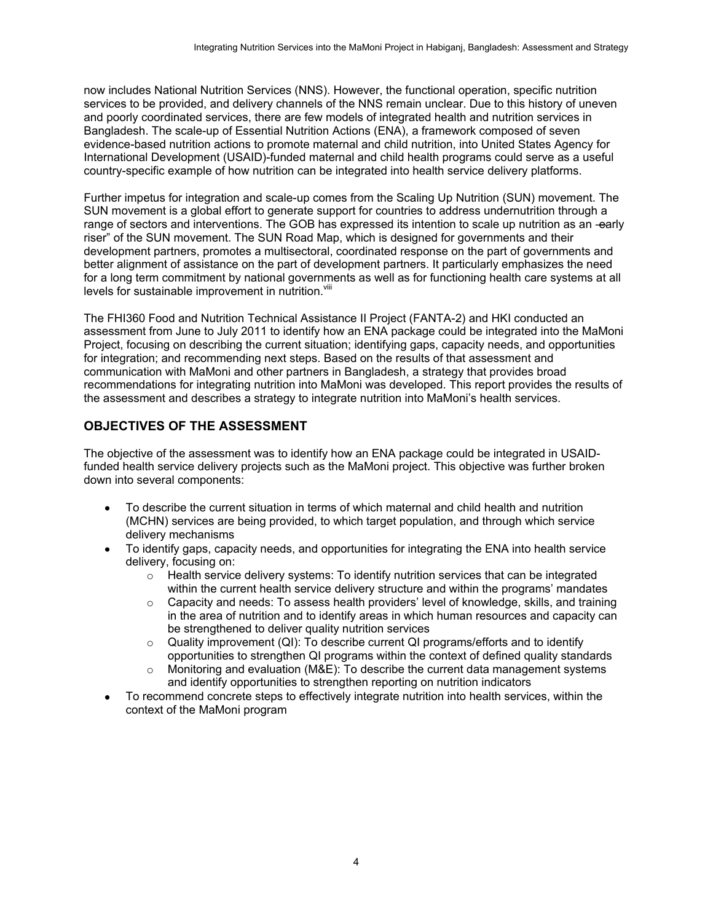now includes National Nutrition Services (NNS). However, the functional operation, specific nutrition services to be provided, and delivery channels of the NNS remain unclear. Due to this history of uneven and poorly coordinated services, there are few models of integrated health and nutrition services in Bangladesh. The scale-up of Essential Nutrition Actions (ENA), a framework composed of seven evidence-based nutrition actions to promote maternal and child nutrition, into United States Agency for International Development (USAID)-funded maternal and child health programs could serve as a useful country-specific example of how nutrition can be integrated into health service delivery platforms.

Further impetus for integration and scale-up comes from the Scaling Up Nutrition (SUN) movement. The SUN movement is a global effort to generate support for countries to address undernutrition through a range of sectors and interventions. The GOB has expressed its intention to scale up nutrition as an -early riser" of the SUN movement. The SUN Road Map, which is designed for governments and their development partners, promotes a multisectoral, coordinated response on the part of governments and better alignment of assistance on the part of development partners. It particularly emphasizes the need for a long term commitment by national governments as well as for functioning health care systems at all levels for sustainable improvement in nutrition.<sup>Viii</sup>

The FHI360 Food and Nutrition Technical Assistance II Project (FANTA-2) and HKI conducted an assessment from June to July 2011 to identify how an ENA package could be integrated into the MaMoni Project, focusing on describing the current situation; identifying gaps, capacity needs, and opportunities for integration; and recommending next steps. Based on the results of that assessment and communication with MaMoni and other partners in Bangladesh, a strategy that provides broad recommendations for integrating nutrition into MaMoni was developed. This report provides the results of the assessment and describes a strategy to integrate nutrition into MaMoni's health services.

### <span id="page-11-0"></span>**OBJECTIVES OF THE ASSESSMENT**

The objective of the assessment was to identify how an ENA package could be integrated in USAIDfunded health service delivery projects such as the MaMoni project. This objective was further broken down into several components:

- To describe the current situation in terms of which maternal and child health and nutrition (MCHN) services are being provided, to which target population, and through which service delivery mechanisms
- To identify gaps, capacity needs, and opportunities for integrating the ENA into health service delivery, focusing on:
	- $\circ$  Health service delivery systems: To identify nutrition services that can be integrated within the current health service delivery structure and within the programs' mandates
	- $\circ$  Capacity and needs: To assess health providers' level of knowledge, skills, and training in the area of nutrition and to identify areas in which human resources and capacity can be strengthened to deliver quality nutrition services
	- $\circ$  Quality improvement (QI): To describe current QI programs/efforts and to identify opportunities to strengthen QI programs within the context of defined quality standards
	- $\circ$  Monitoring and evaluation (M&E): To describe the current data management systems and identify opportunities to strengthen reporting on nutrition indicators
- To recommend concrete steps to effectively integrate nutrition into health services, within the context of the MaMoni program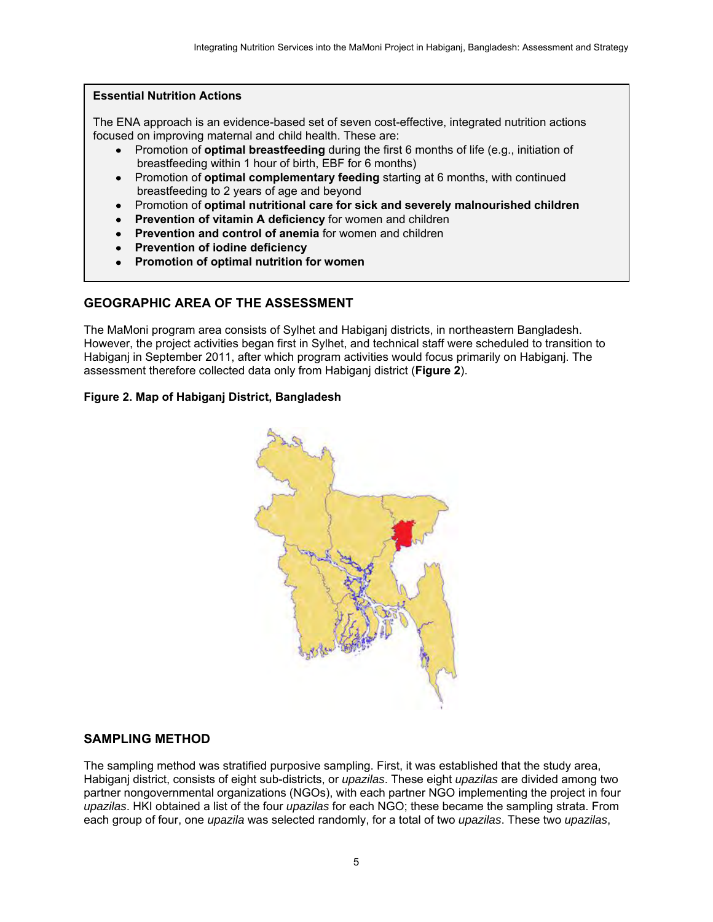#### **Essential Nutrition Actions**

The ENA approach is an evidence-based set of seven cost-effective, integrated nutrition actions focused on improving maternal and child health. These are:

- Promotion of **optimal breastfeeding** during the first 6 months of life (e.g., initiation of breastfeeding within 1 hour of birth, EBF for 6 months)
- Promotion of **optimal complementary feeding** starting at 6 months, with continued breastfeeding to 2 years of age and beyond
- Promotion of **optimal nutritional care for sick and severely malnourished children**
- **Prevention of vitamin A deficiency** for women and children
- **Prevention and control of anemia** for women and children
- **Prevention of iodine deficiency**
- **Promotion of optimal nutrition for women**

### <span id="page-12-0"></span>**GEOGRAPHIC AREA OF THE ASSESSMENT**

The MaMoni program area consists of Sylhet and Habiganj districts, in northeastern Bangladesh. However, the project activities began first in Sylhet, and technical staff were scheduled to transition to Habiganj in September 2011, after which program activities would focus primarily on Habiganj. The assessment therefore collected data only from Habiganj district (**Figure 2**).

#### <span id="page-12-2"></span>**Figure 2. Map of Habiganj District, Bangladesh**



#### <span id="page-12-1"></span>**SAMPLING METHOD**

The sampling method was stratified purposive sampling. First, it was established that the study area, Habiganj district, consists of eight sub-districts, or *upazilas*. These eight *upazilas* are divided among two partner nongovernmental organizations (NGOs), with each partner NGO implementing the project in four *upazilas*. HKI obtained a list of the four *upazilas* for each NGO; these became the sampling strata. From each group of four, one *upazila* was selected randomly, for a total of two *upazilas*. These two *upazilas*,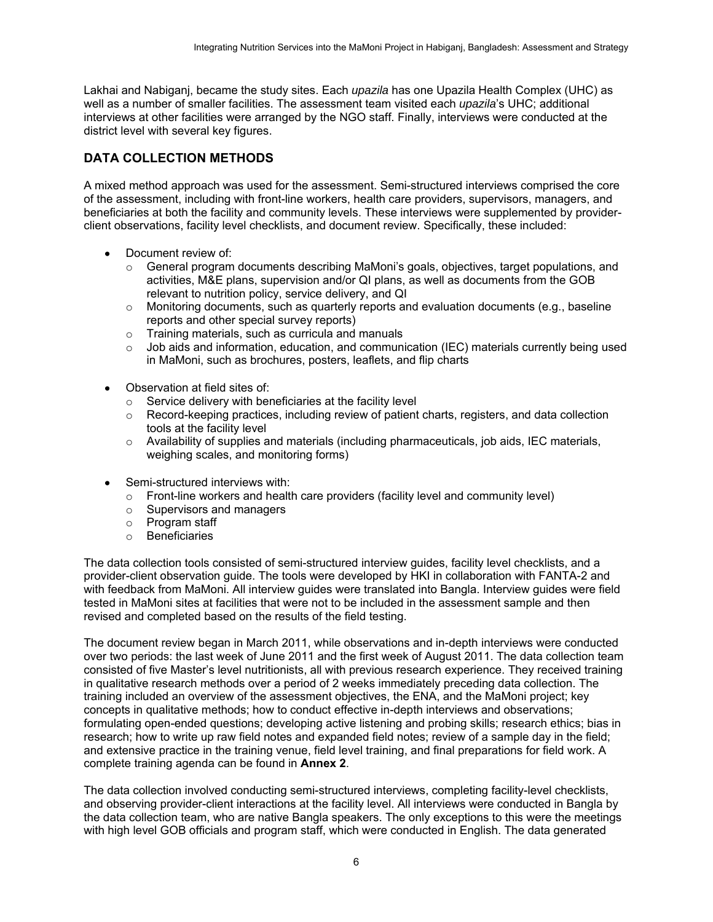Lakhai and Nabiganj, became the study sites. Each *upazila* has one Upazila Health Complex (UHC) as well as a number of smaller facilities. The assessment team visited each *upazila*'s UHC; additional interviews at other facilities were arranged by the NGO staff. Finally, interviews were conducted at the district level with several key figures.

### <span id="page-13-0"></span>**DATA COLLECTION METHODS**

A mixed method approach was used for the assessment. Semi-structured interviews comprised the core of the assessment, including with front-line workers, health care providers, supervisors, managers, and beneficiaries at both the facility and community levels. These interviews were supplemented by providerclient observations, facility level checklists, and document review. Specifically, these included:

- Document review of:
	- $\circ$  General program documents describing MaMoni's goals, objectives, target populations, and activities, M&E plans, supervision and/or QI plans, as well as documents from the GOB relevant to nutrition policy, service delivery, and QI
	- $\circ$  Monitoring documents, such as quarterly reports and evaluation documents (e.g., baseline reports and other special survey reports)
	- o Training materials, such as curricula and manuals
	- $\circ$  Job aids and information, education, and communication (IEC) materials currently being used in MaMoni, such as brochures, posters, leaflets, and flip charts
- Observation at field sites of:
	- $\circ$  Service delivery with beneficiaries at the facility level
	- $\circ$  Record-keeping practices, including review of patient charts, registers, and data collection tools at the facility level
	- o Availability of supplies and materials (including pharmaceuticals, job aids, IEC materials, weighing scales, and monitoring forms)
- Semi-structured interviews with:
	- $\circ$  Front-line workers and health care providers (facility level and community level)
	- o Supervisors and managers
	- o Program staff
	- o Beneficiaries

The data collection tools consisted of semi-structured interview guides, facility level checklists, and a provider-client observation guide. The tools were developed by HKI in collaboration with FANTA-2 and with feedback from MaMoni. All interview guides were translated into Bangla. Interview guides were field tested in MaMoni sites at facilities that were not to be included in the assessment sample and then revised and completed based on the results of the field testing.

The document review began in March 2011, while observations and in-depth interviews were conducted over two periods: the last week of June 2011 and the first week of August 2011. The data collection team consisted of five Master's level nutritionists, all with previous research experience. They received training in qualitative research methods over a period of 2 weeks immediately preceding data collection. The training included an overview of the assessment objectives, the ENA, and the MaMoni project; key concepts in qualitative methods; how to conduct effective in-depth interviews and observations; formulating open-ended questions; developing active listening and probing skills; research ethics; bias in research; how to write up raw field notes and expanded field notes; review of a sample day in the field; and extensive practice in the training venue, field level training, and final preparations for field work. A complete training agenda can be found in **Annex 2**.

The data collection involved conducting semi-structured interviews, completing facility-level checklists, and observing provider-client interactions at the facility level. All interviews were conducted in Bangla by the data collection team, who are native Bangla speakers. The only exceptions to this were the meetings with high level GOB officials and program staff, which were conducted in English. The data generated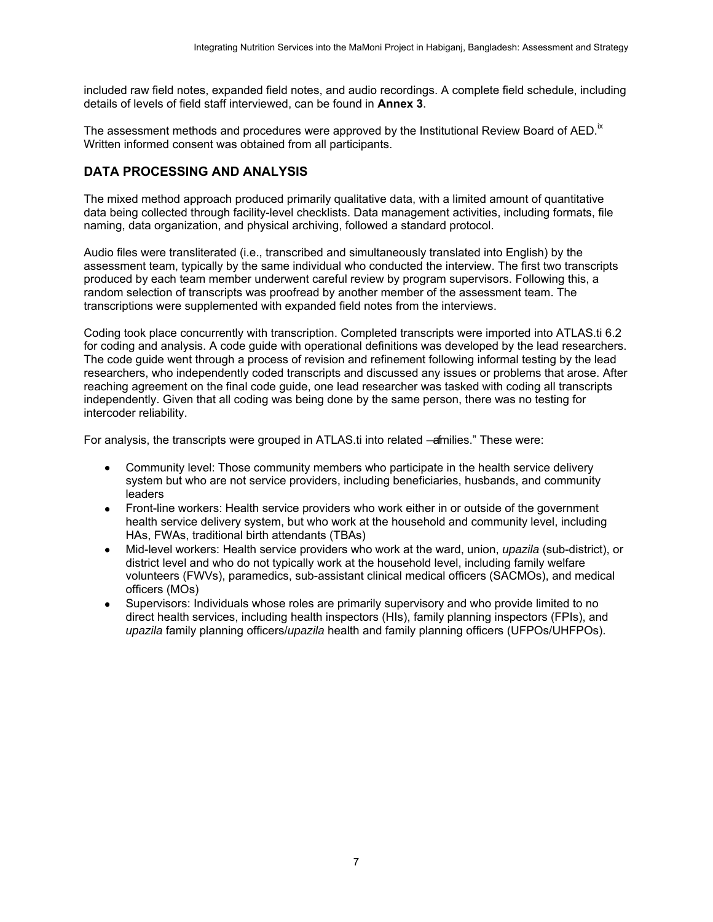included raw field notes, expanded field notes, and audio recordings. A complete field schedule, including details of levels of field staff interviewed, can be found in **Annex 3**.

The assessment methods and procedures were approved by the Institutional Review Board of AED.<sup> $K$ </sup> Written informed consent was obtained from all participants.

#### <span id="page-14-0"></span>**DATA PROCESSING AND ANALYSIS**

The mixed method approach produced primarily qualitative data, with a limited amount of quantitative data being collected through facility-level checklists. Data management activities, including formats, file naming, data organization, and physical archiving, followed a standard protocol.

Audio files were transliterated (i.e., transcribed and simultaneously translated into English) by the assessment team, typically by the same individual who conducted the interview. The first two transcripts produced by each team member underwent careful review by program supervisors. Following this, a random selection of transcripts was proofread by another member of the assessment team. The transcriptions were supplemented with expanded field notes from the interviews.

Coding took place concurrently with transcription. Completed transcripts were imported into ATLAS.ti 6.2 for coding and analysis. A code guide with operational definitions was developed by the lead researchers. The code guide went through a process of revision and refinement following informal testing by the lead researchers, who independently coded transcripts and discussed any issues or problems that arose. After reaching agreement on the final code guide, one lead researcher was tasked with coding all transcripts independently. Given that all coding was being done by the same person, there was no testing for intercoder reliability.

For analysis, the transcripts were grouped in ATLAS.ti into related —afmilies." These were:

- Community level: Those community members who participate in the health service delivery system but who are not service providers, including beneficiaries, husbands, and community leaders
- Front-line workers: Health service providers who work either in or outside of the government health service delivery system, but who work at the household and community level, including HAs, FWAs, traditional birth attendants (TBAs)
- Mid-level workers: Health service providers who work at the ward, union, *upazila* (sub-district), or district level and who do not typically work at the household level, including family welfare volunteers (FWVs), paramedics, sub-assistant clinical medical officers (SACMOs), and medical officers (MOs)
- Supervisors: Individuals whose roles are primarily supervisory and who provide limited to no direct health services, including health inspectors (HIs), family planning inspectors (FPIs), and *upazila* family planning officers/*upazila* health and family planning officers (UFPOs/UHFPOs).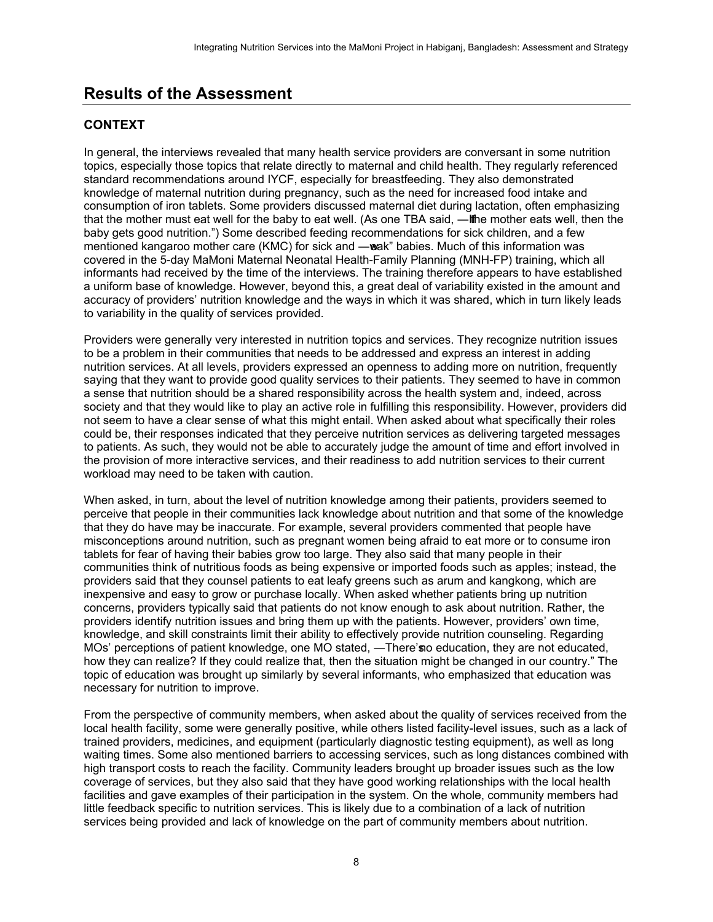## <span id="page-15-0"></span>**Results of the Assessment**

## <span id="page-15-1"></span>**CONTEXT**

In general, the interviews revealed that many health service providers are conversant in some nutrition topics, especially those topics that relate directly to maternal and child health. They regularly referenced standard recommendations around IYCF, especially for breastfeeding. They also demonstrated knowledge of maternal nutrition during pregnancy, such as the need for increased food intake and consumption of iron tablets. Some providers discussed maternal diet during lactation, often emphasizing that the mother must eat well for the baby to eat well. (As one TBA said, —If he mother eats well, then the baby gets good nutrition.") Some described feeding recommendations for sick children, and a few mentioned kangaroo mother care (KMC) for sick and —wak" babies. Much of this information was covered in the 5-day MaMoni Maternal Neonatal Health-Family Planning (MNH-FP) training, which all informants had received by the time of the interviews. The training therefore appears to have established a uniform base of knowledge. However, beyond this, a great deal of variability existed in the amount and accuracy of providers' nutrition knowledge and the ways in which it was shared, which in turn likely leads to variability in the quality of services provided.

Providers were generally very interested in nutrition topics and services. They recognize nutrition issues to be a problem in their communities that needs to be addressed and express an interest in adding nutrition services. At all levels, providers expressed an openness to adding more on nutrition, frequently saying that they want to provide good quality services to their patients. They seemed to have in common a sense that nutrition should be a shared responsibility across the health system and, indeed, across society and that they would like to play an active role in fulfilling this responsibility. However, providers did not seem to have a clear sense of what this might entail. When asked about what specifically their roles could be, their responses indicated that they perceive nutrition services as delivering targeted messages to patients. As such, they would not be able to accurately judge the amount of time and effort involved in the provision of more interactive services, and their readiness to add nutrition services to their current workload may need to be taken with caution.

When asked, in turn, about the level of nutrition knowledge among their patients, providers seemed to perceive that people in their communities lack knowledge about nutrition and that some of the knowledge that they do have may be inaccurate. For example, several providers commented that people have misconceptions around nutrition, such as pregnant women being afraid to eat more or to consume iron tablets for fear of having their babies grow too large. They also said that many people in their communities think of nutritious foods as being expensive or imported foods such as apples; instead, the providers said that they counsel patients to eat leafy greens such as arum and kangkong, which are inexpensive and easy to grow or purchase locally. When asked whether patients bring up nutrition concerns, providers typically said that patients do not know enough to ask about nutrition. Rather, the providers identify nutrition issues and bring them up with the patients. However, providers' own time, knowledge, and skill constraints limit their ability to effectively provide nutrition counseling. Regarding MOs' perceptions of patient knowledge, one MO stated, —There's no education, they are not educated, how they can realize? If they could realize that, then the situation might be changed in our country." The topic of education was brought up similarly by several informants, who emphasized that education was necessary for nutrition to improve.

From the perspective of community members, when asked about the quality of services received from the local health facility, some were generally positive, while others listed facility-level issues, such as a lack of trained providers, medicines, and equipment (particularly diagnostic testing equipment), as well as long waiting times. Some also mentioned barriers to accessing services, such as long distances combined with high transport costs to reach the facility. Community leaders brought up broader issues such as the low coverage of services, but they also said that they have good working relationships with the local health facilities and gave examples of their participation in the system. On the whole, community members had little feedback specific to nutrition services. This is likely due to a combination of a lack of nutrition services being provided and lack of knowledge on the part of community members about nutrition.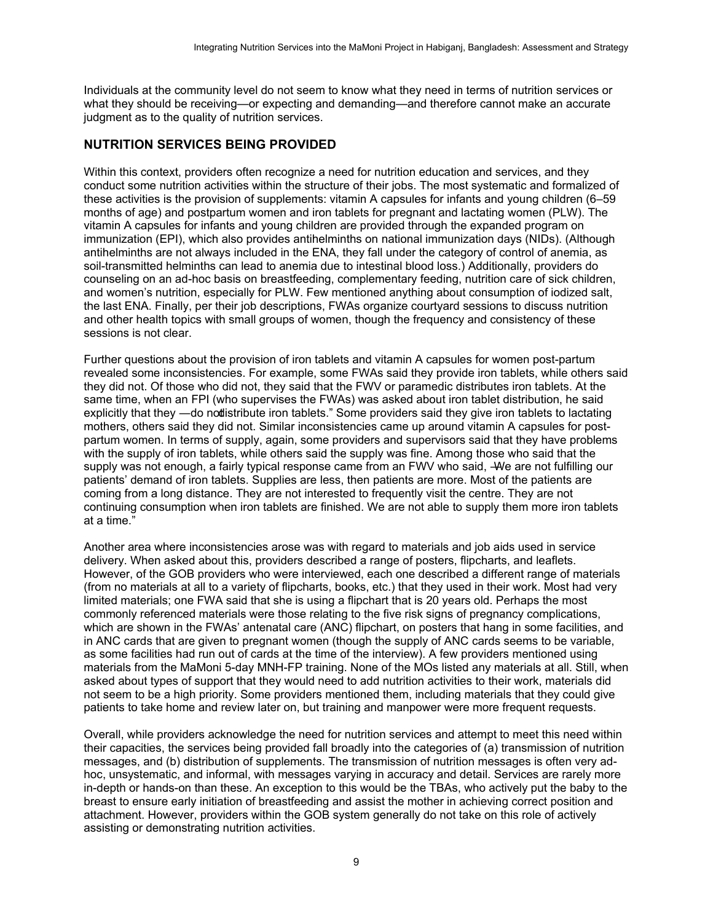Individuals at the community level do not seem to know what they need in terms of nutrition services or what they should be receiving—or expecting and demanding—and therefore cannot make an accurate judgment as to the quality of nutrition services.

#### <span id="page-16-0"></span>**NUTRITION SERVICES BEING PROVIDED**

Within this context, providers often recognize a need for nutrition education and services, and they conduct some nutrition activities within the structure of their jobs. The most systematic and formalized of these activities is the provision of supplements: vitamin A capsules for infants and young children (6–59 months of age) and postpartum women and iron tablets for pregnant and lactating women (PLW). The vitamin A capsules for infants and young children are provided through the expanded program on immunization (EPI), which also provides antihelminths on national immunization days (NIDs). (Although antihelminths are not always included in the ENA, they fall under the category of control of anemia, as soil-transmitted helminths can lead to anemia due to intestinal blood loss.) Additionally, providers do counseling on an ad-hoc basis on breastfeeding, complementary feeding, nutrition care of sick children, and women's nutrition, especially for PLW. Few mentioned anything about consumption of iodized salt, the last ENA. Finally, per their job descriptions, FWAs organize courtyard sessions to discuss nutrition and other health topics with small groups of women, though the frequency and consistency of these sessions is not clear.

Further questions about the provision of iron tablets and vitamin A capsules for women post-partum revealed some inconsistencies. For example, some FWAs said they provide iron tablets, while others said they did not. Of those who did not, they said that the FWV or paramedic distributes iron tablets. At the same time, when an FPI (who supervises the FWAs) was asked about iron tablet distribution, he said explicitly that they —do not distribute iron tablets." Some providers said they give iron tablets to lactating mothers, others said they did not. Similar inconsistencies came up around vitamin A capsules for postpartum women. In terms of supply, again, some providers and supervisors said that they have problems with the supply of iron tablets, while others said the supply was fine. Among those who said that the supply was not enough, a fairly typical response came from an FWV who said, –We are not fulfilling our patients' demand of iron tablets. Supplies are less, then patients are more. Most of the patients are coming from a long distance. They are not interested to frequently visit the centre. They are not continuing consumption when iron tablets are finished. We are not able to supply them more iron tablets at a time.‖

Another area where inconsistencies arose was with regard to materials and job aids used in service delivery. When asked about this, providers described a range of posters, flipcharts, and leaflets. However, of the GOB providers who were interviewed, each one described a different range of materials (from no materials at all to a variety of flipcharts, books, etc.) that they used in their work. Most had very limited materials; one FWA said that she is using a flipchart that is 20 years old. Perhaps the most commonly referenced materials were those relating to the five risk signs of pregnancy complications, which are shown in the FWAs' antenatal care (ANC) flipchart, on posters that hang in some facilities, and in ANC cards that are given to pregnant women (though the supply of ANC cards seems to be variable, as some facilities had run out of cards at the time of the interview). A few providers mentioned using materials from the MaMoni 5-day MNH-FP training. None of the MOs listed any materials at all. Still, when asked about types of support that they would need to add nutrition activities to their work, materials did not seem to be a high priority. Some providers mentioned them, including materials that they could give patients to take home and review later on, but training and manpower were more frequent requests.

Overall, while providers acknowledge the need for nutrition services and attempt to meet this need within their capacities, the services being provided fall broadly into the categories of (a) transmission of nutrition messages, and (b) distribution of supplements. The transmission of nutrition messages is often very adhoc, unsystematic, and informal, with messages varying in accuracy and detail. Services are rarely more in-depth or hands-on than these. An exception to this would be the TBAs, who actively put the baby to the breast to ensure early initiation of breastfeeding and assist the mother in achieving correct position and attachment. However, providers within the GOB system generally do not take on this role of actively assisting or demonstrating nutrition activities.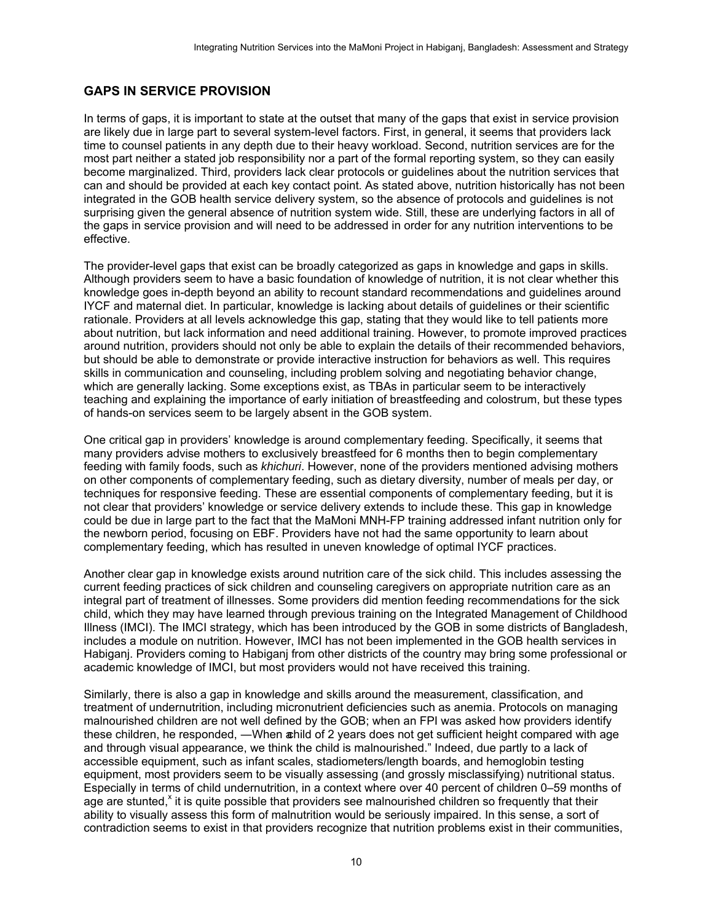### <span id="page-17-0"></span>**GAPS IN SERVICE PROVISION**

In terms of gaps, it is important to state at the outset that many of the gaps that exist in service provision are likely due in large part to several system-level factors. First, in general, it seems that providers lack time to counsel patients in any depth due to their heavy workload. Second, nutrition services are for the most part neither a stated job responsibility nor a part of the formal reporting system, so they can easily become marginalized. Third, providers lack clear protocols or guidelines about the nutrition services that can and should be provided at each key contact point. As stated above, nutrition historically has not been integrated in the GOB health service delivery system, so the absence of protocols and guidelines is not surprising given the general absence of nutrition system wide. Still, these are underlying factors in all of the gaps in service provision and will need to be addressed in order for any nutrition interventions to be effective.

The provider-level gaps that exist can be broadly categorized as gaps in knowledge and gaps in skills. Although providers seem to have a basic foundation of knowledge of nutrition, it is not clear whether this knowledge goes in-depth beyond an ability to recount standard recommendations and guidelines around IYCF and maternal diet. In particular, knowledge is lacking about details of guidelines or their scientific rationale. Providers at all levels acknowledge this gap, stating that they would like to tell patients more about nutrition, but lack information and need additional training. However, to promote improved practices around nutrition, providers should not only be able to explain the details of their recommended behaviors, but should be able to demonstrate or provide interactive instruction for behaviors as well. This requires skills in communication and counseling, including problem solving and negotiating behavior change, which are generally lacking. Some exceptions exist, as TBAs in particular seem to be interactively teaching and explaining the importance of early initiation of breastfeeding and colostrum, but these types of hands-on services seem to be largely absent in the GOB system.

One critical gap in providers' knowledge is around complementary feeding. Specifically, it seems that many providers advise mothers to exclusively breastfeed for 6 months then to begin complementary feeding with family foods, such as *khichuri*. However, none of the providers mentioned advising mothers on other components of complementary feeding, such as dietary diversity, number of meals per day, or techniques for responsive feeding. These are essential components of complementary feeding, but it is not clear that providers' knowledge or service delivery extends to include these. This gap in knowledge could be due in large part to the fact that the MaMoni MNH-FP training addressed infant nutrition only for the newborn period, focusing on EBF. Providers have not had the same opportunity to learn about complementary feeding, which has resulted in uneven knowledge of optimal IYCF practices.

Another clear gap in knowledge exists around nutrition care of the sick child. This includes assessing the current feeding practices of sick children and counseling caregivers on appropriate nutrition care as an integral part of treatment of illnesses. Some providers did mention feeding recommendations for the sick child, which they may have learned through previous training on the Integrated Management of Childhood Illness (IMCI). The IMCI strategy, which has been introduced by the GOB in some districts of Bangladesh, includes a module on nutrition. However, IMCI has not been implemented in the GOB health services in Habiganj. Providers coming to Habiganj from other districts of the country may bring some professional or academic knowledge of IMCI, but most providers would not have received this training.

Similarly, there is also a gap in knowledge and skills around the measurement, classification, and treatment of undernutrition, including micronutrient deficiencies such as anemia. Protocols on managing malnourished children are not well defined by the GOB; when an FPI was asked how providers identify these children, he responded, —When a hild of 2 years does not get sufficient height compared with age and through visual appearance, we think the child is malnourished." Indeed, due partly to a lack of accessible equipment, such as infant scales, stadiometers/length boards, and hemoglobin testing equipment, most providers seem to be visually assessing (and grossly misclassifying) nutritional status. Especially in terms of child undernutrition, in a context where over 40 percent of children 0–59 months of age are stunted,<sup>x</sup> it is quite possible that providers see malnourished children so frequently that their ability to visually assess this form of malnutrition would be seriously impaired. In this sense, a sort of contradiction seems to exist in that providers recognize that nutrition problems exist in their communities,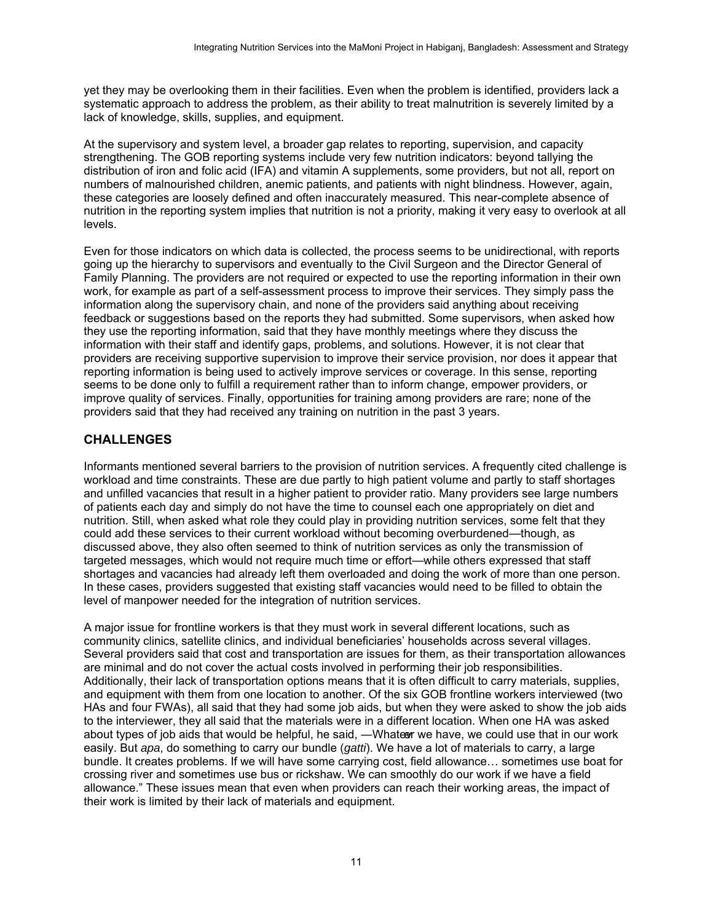yet they may be overlooking them in their facilities. Even when the problem is identified, providers lack a systematic approach to address the problem, as their ability to treat malnutrition is severely limited by a lack of knowledge, skills, supplies, and equipment.

At the supervisory and system level, a broader gap relates to reporting, supervision, and capacity strengthening. The GOB reporting systems include very few nutrition indicators: beyond tallying the distribution of iron and folic acid (IFA) and vitamin A supplements, some providers, but not all, report on numbers of malnourished children, anemic patients, and patients with night blindness. However, again, these categories are loosely defined and often inaccurately measured. This near-complete absence of nutrition in the reporting system implies that nutrition is not a priority, making it very easy to overlook at all levels.

Even for those indicators on which data is collected, the process seems to be unidirectional, with reports going up the hierarchy to supervisors and eventually to the Civil Surgeon and the Director General of Family Planning. The providers are not required or expected to use the reporting information in their own work, for example as part of a self-assessment process to improve their services. They simply pass the information along the supervisory chain, and none of the providers said anything about receiving feedback or suggestions based on the reports they had submitted. Some supervisors, when asked how they use the reporting information, said that they have monthly meetings where they discuss the information with their staff and identify gaps, problems, and solutions. However, it is not clear that providers are receiving supportive supervision to improve their service provision, nor does it appear that reporting information is being used to actively improve services or coverage. In this sense, reporting seems to be done only to fulfill a requirement rather than to inform change, empower providers, or improve quality of services. Finally, opportunities for training among providers are rare; none of the providers said that they had received any training on nutrition in the past 3 years.

### <span id="page-18-0"></span>**CHALLENGES**

Informants mentioned several barriers to the provision of nutrition services. A frequently cited challenge is workload and time constraints. These are due partly to high patient volume and partly to staff shortages and unfilled vacancies that result in a higher patient to provider ratio. Many providers see large numbers of patients each day and simply do not have the time to counsel each one appropriately on diet and nutrition. Still, when asked what role they could play in providing nutrition services, some felt that they could add these services to their current workload without becoming overburdened—though, as discussed above, they also often seemed to think of nutrition services as only the transmission of targeted messages, which would not require much time or effort—while others expressed that staff shortages and vacancies had already left them overloaded and doing the work of more than one person. In these cases, providers suggested that existing staff vacancies would need to be filled to obtain the level of manpower needed for the integration of nutrition services.

A major issue for frontline workers is that they must work in several different locations, such as community clinics, satellite clinics, and individual beneficiaries' households across several villages. Several providers said that cost and transportation are issues for them, as their transportation allowances are minimal and do not cover the actual costs involved in performing their job responsibilities. Additionally, their lack of transportation options means that it is often difficult to carry materials, supplies, and equipment with them from one location to another. Of the six GOB frontline workers interviewed (two HAs and four FWAs), all said that they had some job aids, but when they were asked to show the job aids to the interviewer, they all said that the materials were in a different location. When one HA was asked about types of job aids that would be helpful, he said, —Whater we have, we could use that in our work easily. But *apa*, do something to carry our bundle (*gatti*). We have a lot of materials to carry, a large bundle. It creates problems. If we will have some carrying cost, field allowance… sometimes use boat for crossing river and sometimes use bus or rickshaw. We can smoothly do our work if we have a field allowance." These issues mean that even when providers can reach their working areas, the impact of their work is limited by their lack of materials and equipment.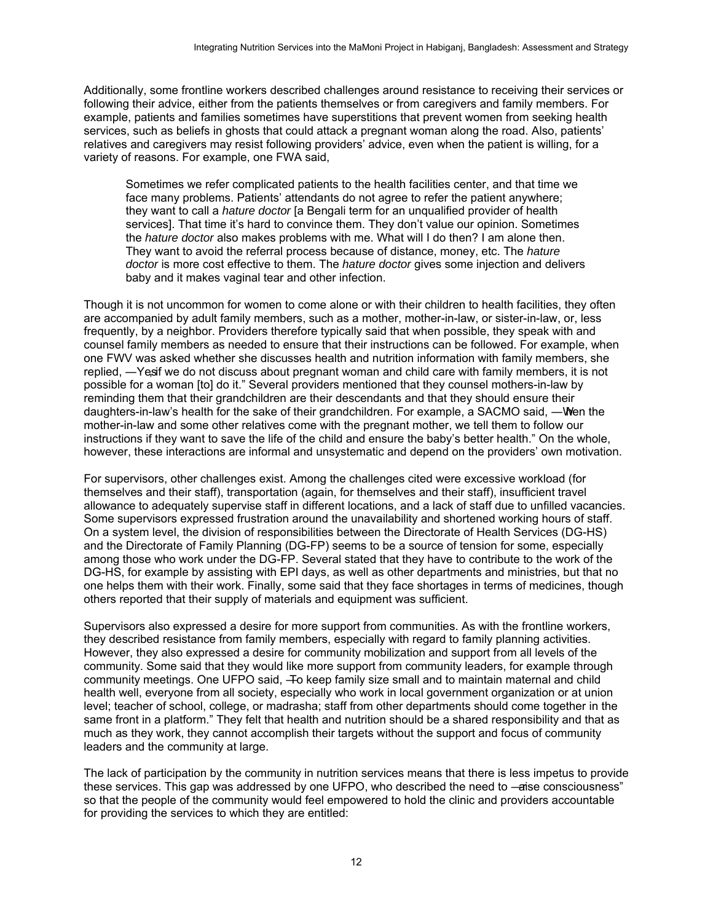Additionally, some frontline workers described challenges around resistance to receiving their services or following their advice, either from the patients themselves or from caregivers and family members. For example, patients and families sometimes have superstitions that prevent women from seeking health services, such as beliefs in ghosts that could attack a pregnant woman along the road. Also, patients' relatives and caregivers may resist following providers' advice, even when the patient is willing, for a variety of reasons. For example, one FWA said,

Sometimes we refer complicated patients to the health facilities center, and that time we face many problems. Patients' attendants do not agree to refer the patient anywhere; they want to call a *hature doctor* [a Bengali term for an unqualified provider of health services]. That time it's hard to convince them. They don't value our opinion. Sometimes the *hature doctor* also makes problems with me. What will I do then? I am alone then. They want to avoid the referral process because of distance, money, etc. The *hature doctor* is more cost effective to them. The *hature doctor* gives some injection and delivers baby and it makes vaginal tear and other infection.

Though it is not uncommon for women to come alone or with their children to health facilities, they often are accompanied by adult family members, such as a mother, mother-in-law, or sister-in-law, or, less frequently, by a neighbor. Providers therefore typically said that when possible, they speak with and counsel family members as needed to ensure that their instructions can be followed. For example, when one FWV was asked whether she discusses health and nutrition information with family members, she replied, —Yes if we do not discuss about pregnant woman and child care with family members, it is not possible for a woman [to] do it." Several providers mentioned that they counsel mothers-in-law by reminding them that their grandchildren are their descendants and that they should ensure their daughters-in-law's health for the sake of their grandchildren. For example, a SACMO said, —When the mother-in-law and some other relatives come with the pregnant mother, we tell them to follow our instructions if they want to save the life of the child and ensure the baby's better health." On the whole, however, these interactions are informal and unsystematic and depend on the providers' own motivation.

For supervisors, other challenges exist. Among the challenges cited were excessive workload (for themselves and their staff), transportation (again, for themselves and their staff), insufficient travel allowance to adequately supervise staff in different locations, and a lack of staff due to unfilled vacancies. Some supervisors expressed frustration around the unavailability and shortened working hours of staff. On a system level, the division of responsibilities between the Directorate of Health Services (DG-HS) and the Directorate of Family Planning (DG-FP) seems to be a source of tension for some, especially among those who work under the DG-FP. Several stated that they have to contribute to the work of the DG-HS, for example by assisting with EPI days, as well as other departments and ministries, but that no one helps them with their work. Finally, some said that they face shortages in terms of medicines, though others reported that their supply of materials and equipment was sufficient.

Supervisors also expressed a desire for more support from communities. As with the frontline workers, they described resistance from family members, especially with regard to family planning activities. However, they also expressed a desire for community mobilization and support from all levels of the community. Some said that they would like more support from community leaders, for example through community meetings. One UFPO said, -To keep family size small and to maintain maternal and child health well, everyone from all society, especially who work in local government organization or at union level; teacher of school, college, or madrasha; staff from other departments should come together in the same front in a platform." They felt that health and nutrition should be a shared responsibility and that as much as they work, they cannot accomplish their targets without the support and focus of community leaders and the community at large.

The lack of participation by the community in nutrition services means that there is less impetus to provide these services. This gap was addressed by one UFPO, who described the need to —aise consciousness" so that the people of the community would feel empowered to hold the clinic and providers accountable for providing the services to which they are entitled: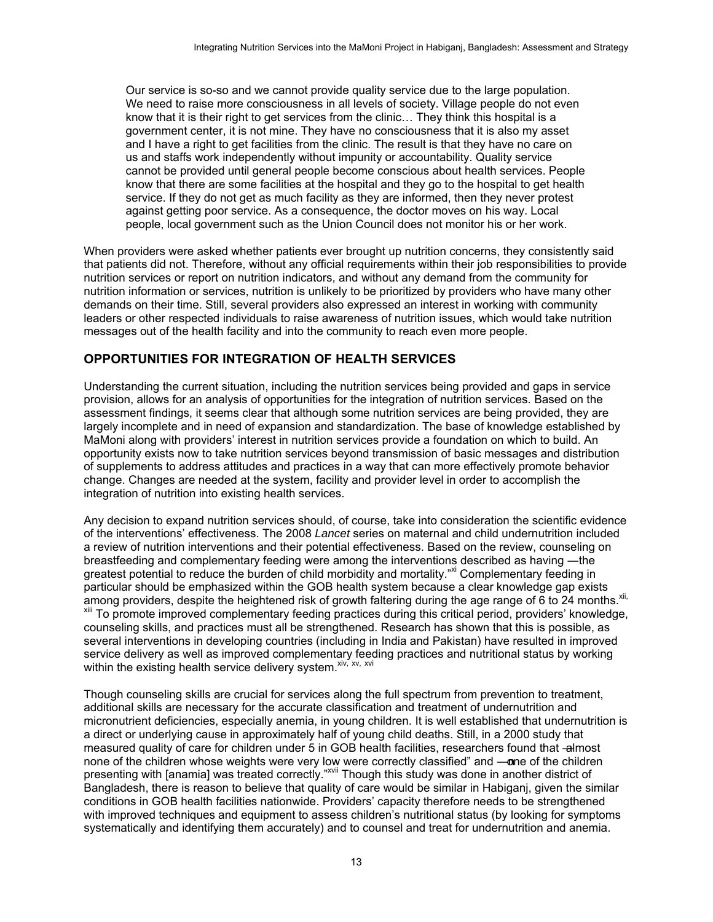Our service is so-so and we cannot provide quality service due to the large population. We need to raise more consciousness in all levels of society. Village people do not even know that it is their right to get services from the clinic... They think this hospital is a government center, it is not mine. They have no consciousness that it is also my asset and I have a right to get facilities from the clinic. The result is that they have no care on us and staffs work independently without impunity or accountability. Quality service cannot be provided until general people become conscious about health services. People know that there are some facilities at the hospital and they go to the hospital to get health service. If they do not get as much facility as they are informed, then they never protest against getting poor service. As a consequence, the doctor moves on his way. Local people, local government such as the Union Council does not monitor his or her work.

When providers were asked whether patients ever brought up nutrition concerns, they consistently said that patients did not. Therefore, without any official requirements within their job responsibilities to provide nutrition services or report on nutrition indicators, and without any demand from the community for nutrition information or services, nutrition is unlikely to be prioritized by providers who have many other demands on their time. Still, several providers also expressed an interest in working with community leaders or other respected individuals to raise awareness of nutrition issues, which would take nutrition messages out of the health facility and into the community to reach even more people.

### <span id="page-20-0"></span>**OPPORTUNITIES FOR INTEGRATION OF HEALTH SERVICES**

Understanding the current situation, including the nutrition services being provided and gaps in service provision, allows for an analysis of opportunities for the integration of nutrition services. Based on the assessment findings, it seems clear that although some nutrition services are being provided, they are largely incomplete and in need of expansion and standardization. The base of knowledge established by MaMoni along with providers' interest in nutrition services provide a foundation on which to build. An opportunity exists now to take nutrition services beyond transmission of basic messages and distribution of supplements to address attitudes and practices in a way that can more effectively promote behavior change. Changes are needed at the system, facility and provider level in order to accomplish the integration of nutrition into existing health services.

Any decision to expand nutrition services should, of course, take into consideration the scientific evidence of the interventions' effectiveness. The 2008 *Lancet* series on maternal and child undernutrition included a review of nutrition interventions and their potential effectiveness. Based on the review, counseling on breastfeeding and complementary feeding were among the interventions described as having ―the greatest potential to reduce the burden of child morbidity and mortality.<sup>xi</sup> Complementary feeding in particular should be emphasized within the GOB health system because a clear knowledge gap exists among providers, despite the heightened risk of growth faltering during the age range of 6 to 24 months.<sup>xi</sup> To promote improved complementary feeding practices during this critical period, providers' knowledge, counseling skills, and practices must all be strengthened. Research has shown that this is possible, as several interventions in developing countries (including in India and Pakistan) have resulted in improved service delivery as well as improved complementary feeding practices and nutritional status by working within the existing health service delivery system. xiv, xvi

Though counseling skills are crucial for services along the full spectrum from prevention to treatment, additional skills are necessary for the accurate classification and treatment of undernutrition and micronutrient deficiencies, especially anemia, in young children. It is well established that undernutrition is a direct or underlying cause in approximately half of young child deaths. Still, in a 2000 study that measured quality of care for children under 5 in GOB health facilities, researchers found that -almost none of the children whose weights were very low were correctly classified" and —one of the children presenting with [anamia] was treated correctly."<sup>xvii</sup> Though this study was done in another district of Bangladesh, there is reason to believe that quality of care would be similar in Habiganj, given the similar conditions in GOB health facilities nationwide. Providers' capacity therefore needs to be strengthened with improved techniques and equipment to assess children's nutritional status (by looking for symptoms systematically and identifying them accurately) and to counsel and treat for undernutrition and anemia.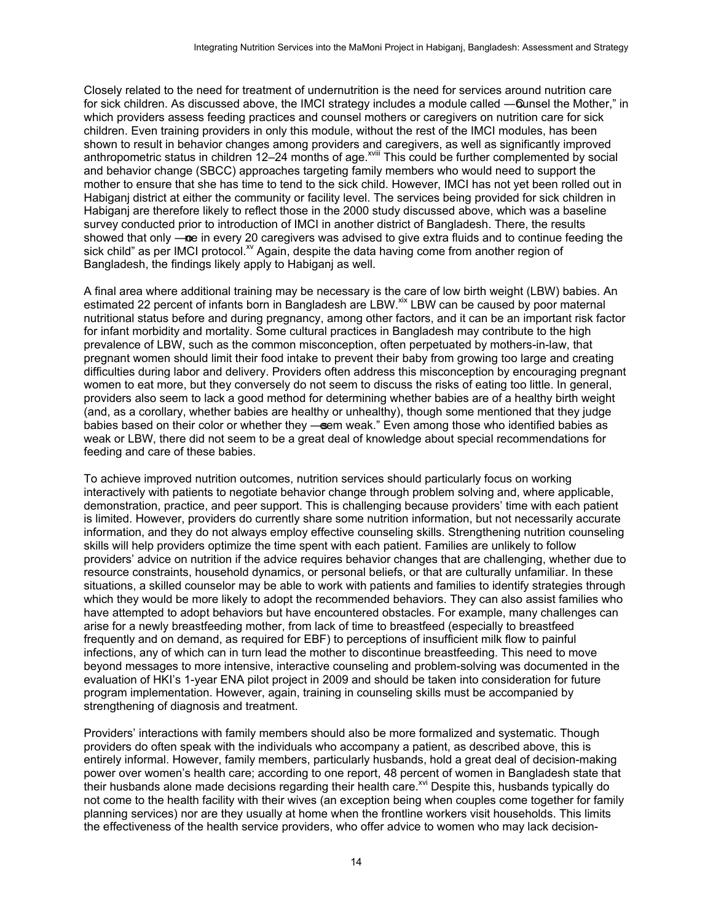Closely related to the need for treatment of undernutrition is the need for services around nutrition care for sick children. As discussed above, the IMCI strategy includes a module called —Ounsel the Mother," in which providers assess feeding practices and counsel mothers or caregivers on nutrition care for sick children. Even training providers in only this module, without the rest of the IMCI modules, has been shown to result in behavior changes among providers and caregivers, as well as significantly improved anthropometric status in children 12–24 months of age.<sup>xviii</sup> This could be further complemented by social and behavior change (SBCC) approaches targeting family members who would need to support the mother to ensure that she has time to tend to the sick child. However, IMCI has not yet been rolled out in Habiganj district at either the community or facility level. The services being provided for sick children in Habiganj are therefore likely to reflect those in the 2000 study discussed above, which was a baseline survey conducted prior to introduction of IMCI in another district of Bangladesh. There, the results showed that only —ne in every 20 caregivers was advised to give extra fluids and to continue feeding the sick child" as per IMCI protocol.<sup>xv</sup> Again, despite the data having come from another region of Bangladesh, the findings likely apply to Habiganj as well.

A final area where additional training may be necessary is the care of low birth weight (LBW) babies. An estimated 22 percent of infants born in Bangladesh are LBW.<sup>xix</sup> LBW can be caused by poor maternal nutritional status before and during pregnancy, among other factors, and it can be an important risk factor for infant morbidity and mortality. Some cultural practices in Bangladesh may contribute to the high prevalence of LBW, such as the common misconception, often perpetuated by mothers-in-law, that pregnant women should limit their food intake to prevent their baby from growing too large and creating difficulties during labor and delivery. Providers often address this misconception by encouraging pregnant women to eat more, but they conversely do not seem to discuss the risks of eating too little. In general, providers also seem to lack a good method for determining whether babies are of a healthy birth weight (and, as a corollary, whether babies are healthy or unhealthy), though some mentioned that they judge babies based on their color or whether they —seem weak." Even among those who identified babies as weak or LBW, there did not seem to be a great deal of knowledge about special recommendations for feeding and care of these babies.

To achieve improved nutrition outcomes, nutrition services should particularly focus on working interactively with patients to negotiate behavior change through problem solving and, where applicable, demonstration, practice, and peer support. This is challenging because providers' time with each patient is limited. However, providers do currently share some nutrition information, but not necessarily accurate information, and they do not always employ effective counseling skills. Strengthening nutrition counseling skills will help providers optimize the time spent with each patient. Families are unlikely to follow providers' advice on nutrition if the advice requires behavior changes that are challenging, whether due to resource constraints, household dynamics, or personal beliefs, or that are culturally unfamiliar. In these situations, a skilled counselor may be able to work with patients and families to identify strategies through which they would be more likely to adopt the recommended behaviors. They can also assist families who have attempted to adopt behaviors but have encountered obstacles. For example, many challenges can arise for a newly breastfeeding mother, from lack of time to breastfeed (especially to breastfeed frequently and on demand, as required for EBF) to perceptions of insufficient milk flow to painful infections, any of which can in turn lead the mother to discontinue breastfeeding. This need to move beyond messages to more intensive, interactive counseling and problem-solving was documented in the evaluation of HKI's 1-year ENA pilot project in 2009 and should be taken into consideration for future program implementation. However, again, training in counseling skills must be accompanied by strengthening of diagnosis and treatment.

Providers' interactions with family members should also be more formalized and systematic. Though providers do often speak with the individuals who accompany a patient, as described above, this is entirely informal. However, family members, particularly husbands, hold a great deal of decision-making power over women's health care; according to one report, 48 percent of women in Bangladesh state that power over women's nearer care, according to one report, to porson, or measure a single this proposally do their husbands typically do not come to the health facility with their wives (an exception being when couples come together for family planning services) nor are they usually at home when the frontline workers visit households. This limits the effectiveness of the health service providers, who offer advice to women who may lack decision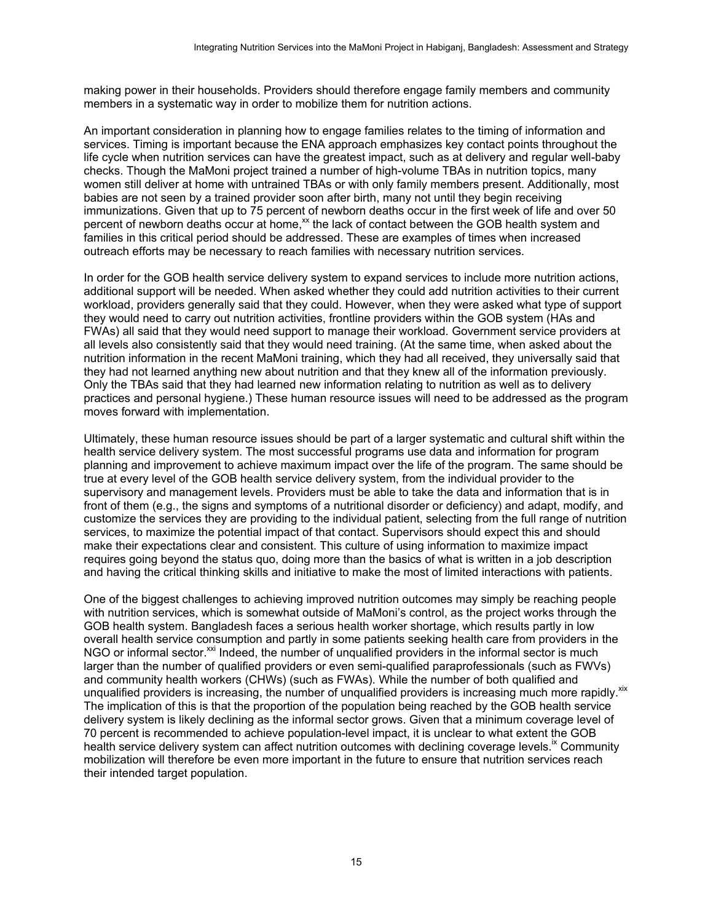making power in their households. Providers should therefore engage family members and community members in a systematic way in order to mobilize them for nutrition actions.

An important consideration in planning how to engage families relates to the timing of information and services. Timing is important because the ENA approach emphasizes key contact points throughout the life cycle when nutrition services can have the greatest impact, such as at delivery and regular well-baby checks. Though the MaMoni project trained a number of high-volume TBAs in nutrition topics, many women still deliver at home with untrained TBAs or with only family members present. Additionally, most babies are not seen by a trained provider soon after birth, many not until they begin receiving immunizations. Given that up to 75 percent of newborn deaths occur in the first week of life and over 50 percent of newborn deaths occur at home,<sup>xx</sup> the lack of contact between the GOB health system and families in this critical period should be addressed. These are examples of times when increased outreach efforts may be necessary to reach families with necessary nutrition services.

In order for the GOB health service delivery system to expand services to include more nutrition actions, additional support will be needed. When asked whether they could add nutrition activities to their current workload, providers generally said that they could. However, when they were asked what type of support they would need to carry out nutrition activities, frontline providers within the GOB system (HAs and FWAs) all said that they would need support to manage their workload. Government service providers at all levels also consistently said that they would need training. (At the same time, when asked about the nutrition information in the recent MaMoni training, which they had all received, they universally said that they had not learned anything new about nutrition and that they knew all of the information previously. Only the TBAs said that they had learned new information relating to nutrition as well as to delivery practices and personal hygiene.) These human resource issues will need to be addressed as the program moves forward with implementation.

Ultimately, these human resource issues should be part of a larger systematic and cultural shift within the health service delivery system. The most successful programs use data and information for program planning and improvement to achieve maximum impact over the life of the program. The same should be true at every level of the GOB health service delivery system, from the individual provider to the supervisory and management levels. Providers must be able to take the data and information that is in front of them (e.g., the signs and symptoms of a nutritional disorder or deficiency) and adapt, modify, and customize the services they are providing to the individual patient, selecting from the full range of nutrition services, to maximize the potential impact of that contact. Supervisors should expect this and should make their expectations clear and consistent. This culture of using information to maximize impact requires going beyond the status quo, doing more than the basics of what is written in a job description and having the critical thinking skills and initiative to make the most of limited interactions with patients.

One of the biggest challenges to achieving improved nutrition outcomes may simply be reaching people with nutrition services, which is somewhat outside of MaMoni's control, as the project works through the GOB health system. Bangladesh faces a serious health worker shortage, which results partly in low overall health service consumption and partly in some patients seeking health care from providers in the NGO or informal sector.<sup>xxi</sup> Indeed, the number of unqualified providers in the informal sector is much larger than the number of qualified providers or even semi-qualified paraprofessionals (such as FWVs) and community health workers (CHWs) (such as FWAs). While the number of both qualified and unqualified providers is increasing, the number of unqualified providers is increasing much more rapidly. xix The implication of this is that the proportion of the population being reached by the GOB health service delivery system is likely declining as the informal sector grows. Given that a minimum coverage level of 70 percent is recommended to achieve population-level impact, it is unclear to what extent the GOB health service delivery system can affect nutrition outcomes with declining coverage levels.<sup>ix</sup> Community mobilization will therefore be even more important in the future to ensure that nutrition services reach their intended target population.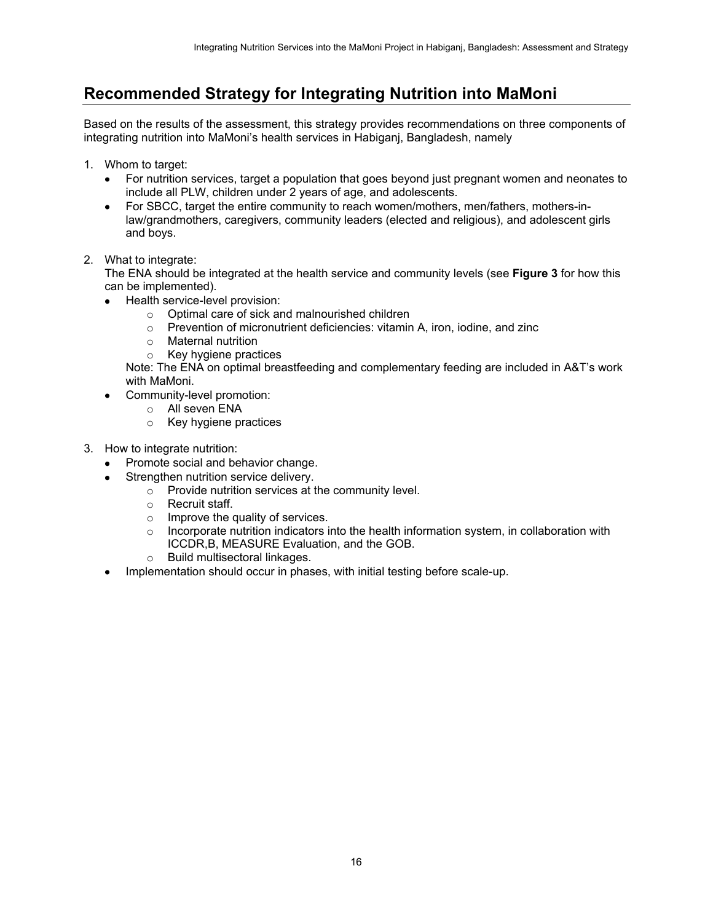## <span id="page-23-0"></span>**Recommended Strategy for Integrating Nutrition into MaMoni**

Based on the results of the assessment, this strategy provides recommendations on three components of integrating nutrition into MaMoni's health services in Habiganj, Bangladesh, namely

- 1. Whom to target:
	- For nutrition services, target a population that goes beyond just pregnant women and neonates to include all PLW, children under 2 years of age, and adolescents.
	- For SBCC, target the entire community to reach women/mothers, men/fathers, mothers-inlaw/grandmothers, caregivers, community leaders (elected and religious), and adolescent girls and boys.
- 2. What to integrate:

The ENA should be integrated at the health service and community levels (see **Figure 3** for how this can be implemented).

- Health service-level provision:
	- o Optimal care of sick and malnourished children
	- o Prevention of micronutrient deficiencies: vitamin A, iron, iodine, and zinc
	-
	- o Maternal nutrition<br>o Key hygiene pract Key hygiene practices

Note: The ENA on optimal breastfeeding and complementary feeding are included in A&T's work with MaMoni.

- Community-level promotion:
	- o All seven ENA
	- o Key hygiene practices
- 3. How to integrate nutrition:
	- Promote social and behavior change.
	- Strengthen nutrition service delivery.
		- o Provide nutrition services at the community level.
			- o Recruit staff.
			- o Improve the quality of services.
			- $\circ$  Incorporate nutrition indicators into the health information system, in collaboration with ICCDR,B, MEASURE Evaluation, and the GOB.
			- o Build multisectoral linkages.
	- Implementation should occur in phases, with initial testing before scale-up.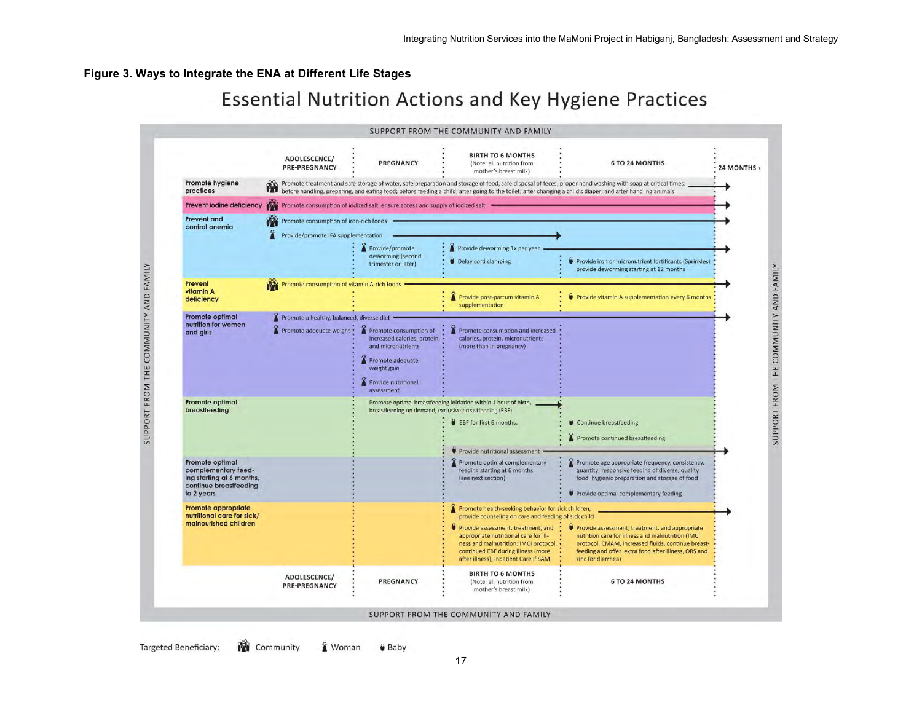#### **Figure 3. Ways to Integrate the ENA at Different Life Stages**

# **Essential Nutrition Actions and Key Hygiene Practices**

<span id="page-24-0"></span>

**Targeted Beneficiary:** & Woman **M** Community **O** Baby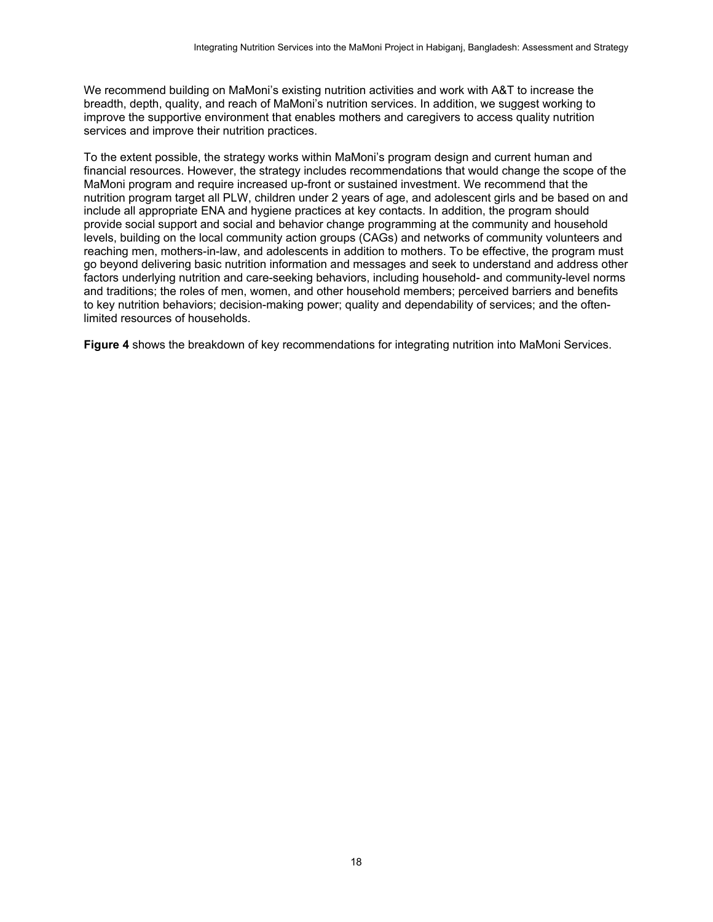We recommend building on MaMoni's existing nutrition activities and work with A&T to increase the breadth, depth, quality, and reach of MaMoni's nutrition services. In addition, we suggest working to improve the supportive environment that enables mothers and caregivers to access quality nutrition services and improve their nutrition practices.

To the extent possible, the strategy works within MaMoni's program design and current human and financial resources. However, the strategy includes recommendations that would change the scope of the MaMoni program and require increased up-front or sustained investment. We recommend that the nutrition program target all PLW, children under 2 years of age, and adolescent girls and be based on and include all appropriate ENA and hygiene practices at key contacts. In addition, the program should provide social support and social and behavior change programming at the community and household levels, building on the local community action groups (CAGs) and networks of community volunteers and reaching men, mothers-in-law, and adolescents in addition to mothers. To be effective, the program must go beyond delivering basic nutrition information and messages and seek to understand and address other factors underlying nutrition and care-seeking behaviors, including household- and community-level norms and traditions; the roles of men, women, and other household members; perceived barriers and benefits to key nutrition behaviors; decision-making power; quality and dependability of services; and the oftenlimited resources of households.

**Figure 4** shows the breakdown of key recommendations for integrating nutrition into MaMoni Services.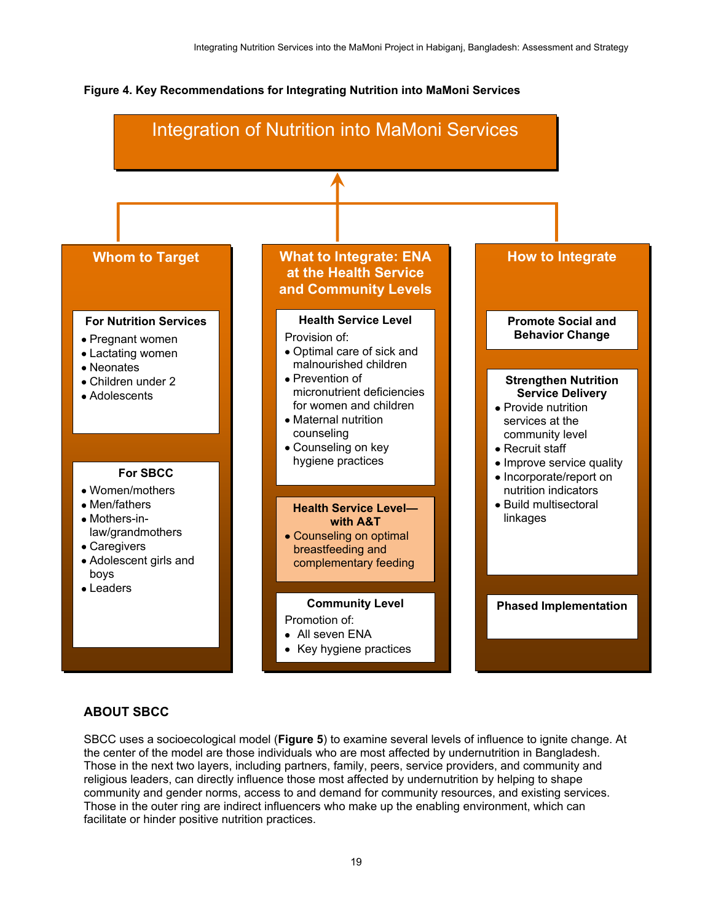#### <span id="page-26-0"></span>**Figure 4. Key Recommendations for Integrating Nutrition into MaMoni Services**



#### **ABOUT SBCC**

SBCC uses a socioecological model (**Figure 5**) to examine several levels of influence to ignite change. At the center of the model are those individuals who are most affected by undernutrition in Bangladesh. Those in the next two layers, including partners, family, peers, service providers, and community and religious leaders, can directly influence those most affected by undernutrition by helping to shape community and gender norms, access to and demand for community resources, and existing services. Those in the outer ring are indirect influencers who make up the enabling environment, which can facilitate or hinder positive nutrition practices.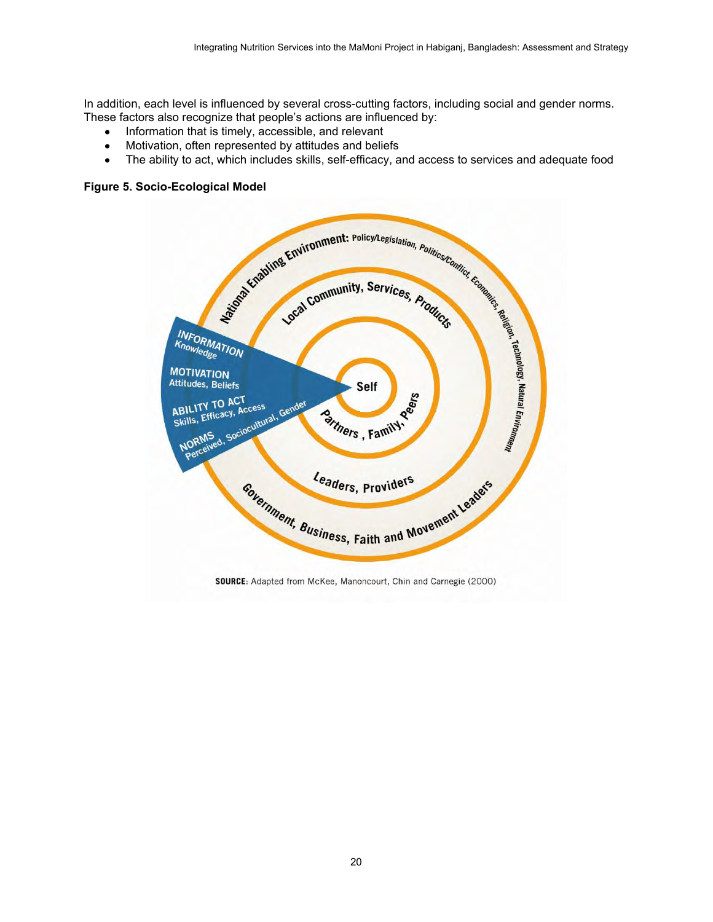In addition, each level is influenced by several cross-cutting factors, including social and gender norms. These factors also recognize that people's actions are influenced by:

- Information that is timely, accessible, and relevant
- 
- The ability to act, which includes skills, self-efficacy, and access to services and adequate food

#### <span id="page-27-0"></span>**Figure 5. Socio-Ecological Model**

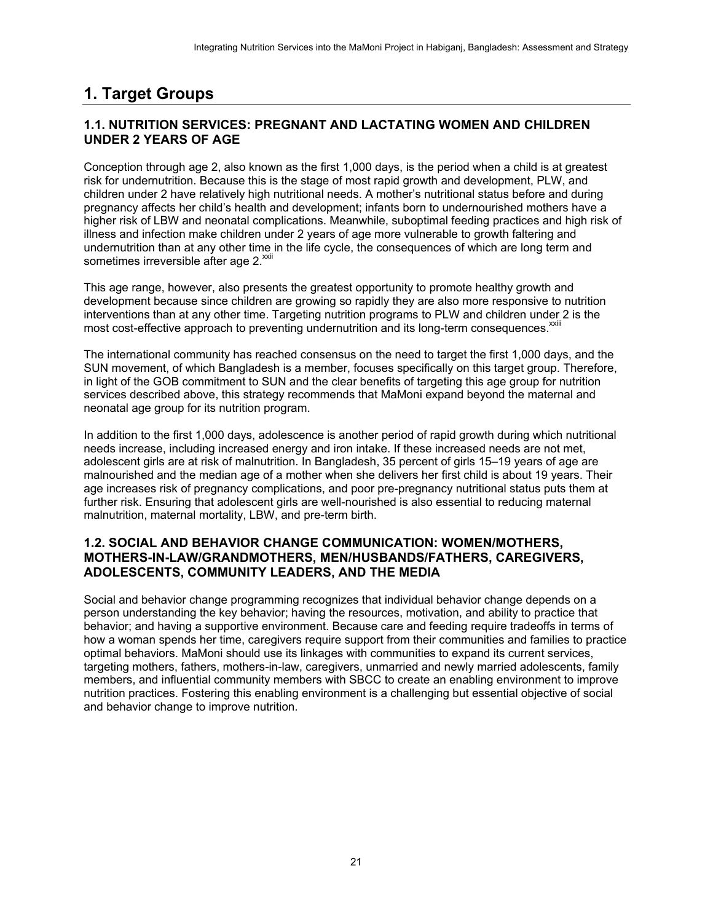# <span id="page-28-0"></span>**1. Target Groups**

### <span id="page-28-1"></span>**1.1. NUTRITION SERVICES: PREGNANT AND LACTATING WOMEN AND CHILDREN UNDER 2 YEARS OF AGE**

Conception through age 2, also known as the first 1,000 days, is the period when a child is at greatest risk for undernutrition. Because this is the stage of most rapid growth and development, PLW, and children under 2 have relatively high nutritional needs. A mother's nutritional status before and during pregnancy affects her child's health and development; infants born to undernourished mothers have a higher risk of LBW and neonatal complications. Meanwhile, suboptimal feeding practices and high risk of illness and infection make children under 2 years of age more vulnerable to growth faltering and undernutrition than at any other time in the life cycle, the consequences of which are long term and sometimes irreversible after age 2.<sup>xxii</sup>

This age range, however, also presents the greatest opportunity to promote healthy growth and development because since children are growing so rapidly they are also more responsive to nutrition interventions than at any other time. Targeting nutrition programs to PLW and children under 2 is the most cost-effective approach to preventing undernutrition and its long-term consequences.<sup>xxiii</sup>

The international community has reached consensus on the need to target the first 1,000 days, and the SUN movement, of which Bangladesh is a member, focuses specifically on this target group. Therefore, in light of the GOB commitment to SUN and the clear benefits of targeting this age group for nutrition services described above, this strategy recommends that MaMoni expand beyond the maternal and neonatal age group for its nutrition program.

In addition to the first 1,000 days, adolescence is another period of rapid growth during which nutritional needs increase, including increased energy and iron intake. If these increased needs are not met, adolescent girls are at risk of malnutrition. In Bangladesh, 35 percent of girls 15–19 years of age are malnourished and the median age of a mother when she delivers her first child is about 19 years. Their age increases risk of pregnancy complications, and poor pre-pregnancy nutritional status puts them at further risk. Ensuring that adolescent girls are well-nourished is also essential to reducing maternal malnutrition, maternal mortality, LBW, and pre-term birth.

#### <span id="page-28-2"></span>**1.2. SOCIAL AND BEHAVIOR CHANGE COMMUNICATION: WOMEN/MOTHERS, MOTHERS-IN-LAW/GRANDMOTHERS, MEN/HUSBANDS/FATHERS, CAREGIVERS, ADOLESCENTS, COMMUNITY LEADERS, AND THE MEDIA**

Social and behavior change programming recognizes that individual behavior change depends on a person understanding the key behavior; having the resources, motivation, and ability to practice that behavior; and having a supportive environment. Because care and feeding require tradeoffs in terms of how a woman spends her time, caregivers require support from their communities and families to practice optimal behaviors. MaMoni should use its linkages with communities to expand its current services, targeting mothers, fathers, mothers-in-law, caregivers, unmarried and newly married adolescents, family members, and influential community members with SBCC to create an enabling environment to improve nutrition practices. Fostering this enabling environment is a challenging but essential objective of social and behavior change to improve nutrition.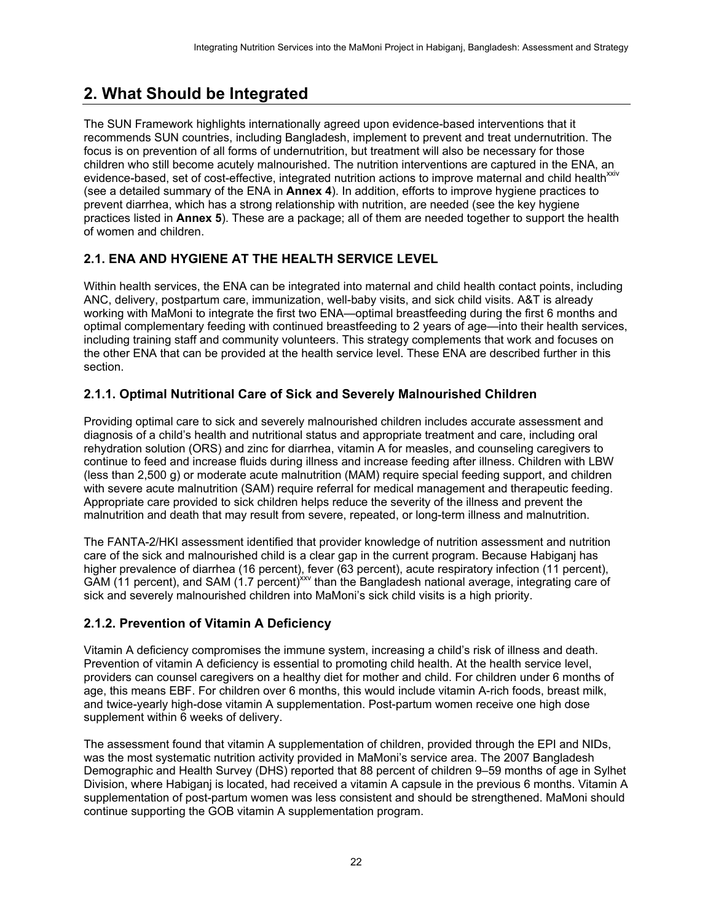# <span id="page-29-0"></span>**2. What Should be Integrated**

The SUN Framework highlights internationally agreed upon evidence-based interventions that it recommends SUN countries, including Bangladesh, implement to prevent and treat undernutrition. The focus is on prevention of all forms of undernutrition, but treatment will also be necessary for those children who still become acutely malnourished. The nutrition interventions are captured in the ENA, an evidence-based, set of cost-effective, integrated nutrition actions to improve maternal and child health<sup>xxiv</sup> (see a detailed summary of the ENA in **Annex 4**). In addition, efforts to improve hygiene practices to prevent diarrhea, which has a strong relationship with nutrition, are needed (see the key hygiene practices listed in **Annex 5**). These are a package; all of them are needed together to support the health of women and children.

## <span id="page-29-1"></span>**2.1. ENA AND HYGIENE AT THE HEALTH SERVICE LEVEL**

Within health services, the ENA can be integrated into maternal and child health contact points, including ANC, delivery, postpartum care, immunization, well-baby visits, and sick child visits. A&T is already working with MaMoni to integrate the first two ENA—optimal breastfeeding during the first 6 months and optimal complementary feeding with continued breastfeeding to 2 years of age—into their health services, including training staff and community volunteers. This strategy complements that work and focuses on the other ENA that can be provided at the health service level. These ENA are described further in this section.

### <span id="page-29-2"></span>**2.1.1. Optimal Nutritional Care of Sick and Severely Malnourished Children**

Providing optimal care to sick and severely malnourished children includes accurate assessment and diagnosis of a child's health and nutritional status and appropriate treatment and care, including oral rehydration solution (ORS) and zinc for diarrhea, vitamin A for measles, and counseling caregivers to continue to feed and increase fluids during illness and increase feeding after illness. Children with LBW (less than 2,500 g) or moderate acute malnutrition (MAM) require special feeding support, and children with severe acute malnutrition (SAM) require referral for medical management and therapeutic feeding. Appropriate care provided to sick children helps reduce the severity of the illness and prevent the malnutrition and death that may result from severe, repeated, or long-term illness and malnutrition.

The FANTA-2/HKI assessment identified that provider knowledge of nutrition assessment and nutrition care of the sick and malnourished child is a clear gap in the current program. Because Habiganj has higher prevalence of diarrhea (16 percent), fever (63 percent), acute respiratory infection (11 percent), GAM (11 percent), and SAM (1.7 percent)<sup>xxv</sup> than the Bangladesh national average, integrating care of sick and severely malnourished children into MaMoni's sick child visits is a high priority.

### <span id="page-29-3"></span>**2.1.2. Prevention of Vitamin A Deficiency**

Vitamin A deficiency compromises the immune system, increasing a child's risk of illness and death. Prevention of vitamin A deficiency is essential to promoting child health. At the health service level, providers can counsel caregivers on a healthy diet for mother and child. For children under 6 months of age, this means EBF. For children over 6 months, this would include vitamin A-rich foods, breast milk, and twice-yearly high-dose vitamin A supplementation. Post-partum women receive one high dose supplement within 6 weeks of delivery.

The assessment found that vitamin A supplementation of children, provided through the EPI and NIDs, was the most systematic nutrition activity provided in MaMoni's service area. The 2007 Bangladesh Demographic and Health Survey (DHS) reported that 88 percent of children 9–59 months of age in Sylhet Division, where Habiganj is located, had received a vitamin A capsule in the previous 6 months. Vitamin A supplementation of post-partum women was less consistent and should be strengthened. MaMoni should continue supporting the GOB vitamin A supplementation program.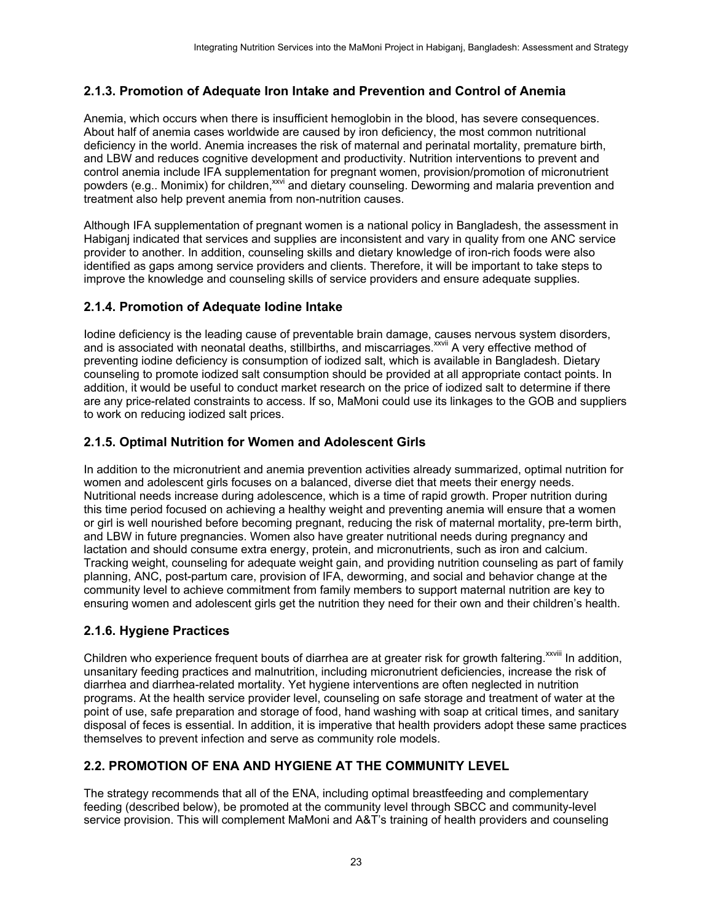### <span id="page-30-0"></span>**2.1.3. Promotion of Adequate Iron Intake and Prevention and Control of Anemia**

Anemia, which occurs when there is insufficient hemoglobin in the blood, has severe consequences. About half of anemia cases worldwide are caused by iron deficiency, the most common nutritional deficiency in the world. Anemia increases the risk of maternal and perinatal mortality, premature birth, and LBW and reduces cognitive development and productivity. Nutrition interventions to prevent and control anemia include IFA supplementation for pregnant women, provision/promotion of micronutrient powders (e.g.. Monimix) for children,<sup>xxvi</sup> and dietary counseling. Deworming and malaria prevention and treatment also help prevent anemia from non-nutrition causes.

Although IFA supplementation of pregnant women is a national policy in Bangladesh, the assessment in Habiganj indicated that services and supplies are inconsistent and vary in quality from one ANC service provider to another. In addition, counseling skills and dietary knowledge of iron-rich foods were also identified as gaps among service providers and clients. Therefore, it will be important to take steps to improve the knowledge and counseling skills of service providers and ensure adequate supplies.

#### <span id="page-30-1"></span>**2.1.4. Promotion of Adequate Iodine Intake**

Iodine deficiency is the leading cause of preventable brain damage, causes nervous system disorders, and is associated with neonatal deaths, stillbirths, and miscarriages.<sup>XXVII</sup> A very effective method of preventing iodine deficiency is consumption of iodized salt, which is available in Bangladesh. Dietary counseling to promote iodized salt consumption should be provided at all appropriate contact points. In addition, it would be useful to conduct market research on the price of iodized salt to determine if there are any price-related constraints to access. If so, MaMoni could use its linkages to the GOB and suppliers to work on reducing iodized salt prices.

#### <span id="page-30-2"></span>**2.1.5. Optimal Nutrition for Women and Adolescent Girls**

In addition to the micronutrient and anemia prevention activities already summarized, optimal nutrition for women and adolescent girls focuses on a balanced, diverse diet that meets their energy needs. Nutritional needs increase during adolescence, which is a time of rapid growth. Proper nutrition during this time period focused on achieving a healthy weight and preventing anemia will ensure that a women or girl is well nourished before becoming pregnant, reducing the risk of maternal mortality, pre-term birth, and LBW in future pregnancies. Women also have greater nutritional needs during pregnancy and lactation and should consume extra energy, protein, and micronutrients, such as iron and calcium. Tracking weight, counseling for adequate weight gain, and providing nutrition counseling as part of family planning, ANC, post-partum care, provision of IFA, deworming, and social and behavior change at the community level to achieve commitment from family members to support maternal nutrition are key to ensuring women and adolescent girls get the nutrition they need for their own and their children's health.

#### <span id="page-30-3"></span>**2.1.6. Hygiene Practices**

Children who experience frequent bouts of diarrhea are at greater risk for growth faltering.<sup>xxviii</sup> In addition, unsanitary feeding practices and malnutrition, including micronutrient deficiencies, increase the risk of diarrhea and diarrhea-related mortality. Yet hygiene interventions are often neglected in nutrition programs. At the health service provider level, counseling on safe storage and treatment of water at the point of use, safe preparation and storage of food, hand washing with soap at critical times, and sanitary disposal of feces is essential. In addition, it is imperative that health providers adopt these same practices themselves to prevent infection and serve as community role models.

### <span id="page-30-4"></span>**2.2. PROMOTION OF ENA AND HYGIENE AT THE COMMUNITY LEVEL**

The strategy recommends that all of the ENA, including optimal breastfeeding and complementary feeding (described below), be promoted at the community level through SBCC and community-level service provision. This will complement MaMoni and A&T's training of health providers and counseling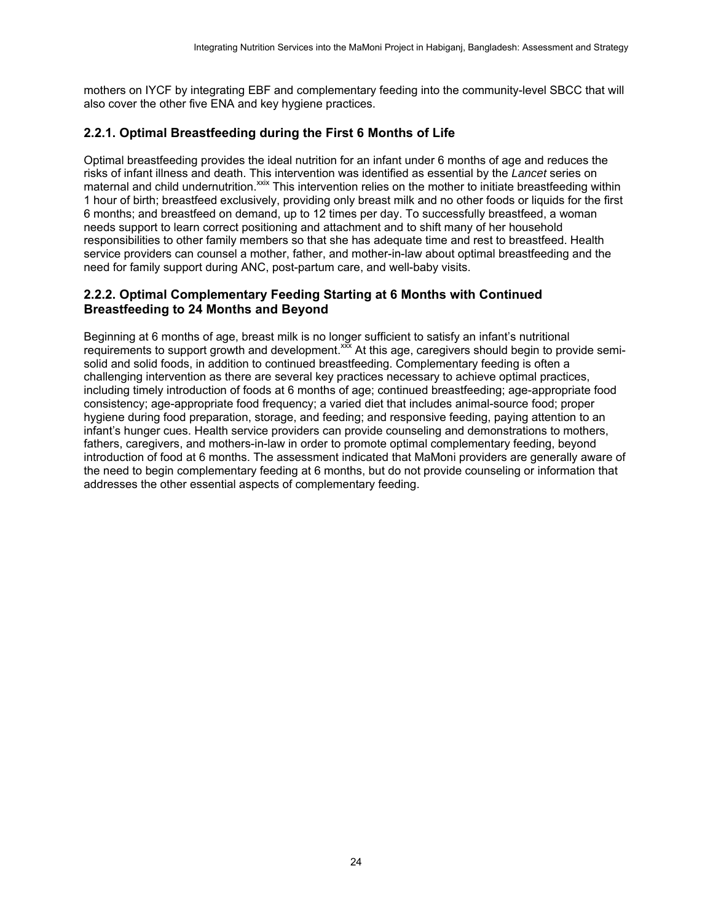mothers on IYCF by integrating EBF and complementary feeding into the community-level SBCC that will also cover the other five ENA and key hygiene practices.

### <span id="page-31-0"></span>**2.2.1. Optimal Breastfeeding during the First 6 Months of Life**

Optimal breastfeeding provides the ideal nutrition for an infant under 6 months of age and reduces the risks of infant illness and death. This intervention was identified as essential by the *Lancet* series on maternal and child undernutrition.<sup>xxix</sup> This intervention relies on the mother to initiate breastfeeding within 1 hour of birth; breastfeed exclusively, providing only breast milk and no other foods or liquids for the first 6 months; and breastfeed on demand, up to 12 times per day. To successfully breastfeed, a woman needs support to learn correct positioning and attachment and to shift many of her household responsibilities to other family members so that she has adequate time and rest to breastfeed. Health service providers can counsel a mother, father, and mother-in-law about optimal breastfeeding and the need for family support during ANC, post-partum care, and well-baby visits.

### <span id="page-31-1"></span>**2.2.2. Optimal Complementary Feeding Starting at 6 Months with Continued Breastfeeding to 24 Months and Beyond**

Beginning at 6 months of age, breast milk is no longer sufficient to satisfy an infant's nutritional requirements to support growth and development.<sup>xxx</sup> At this age, caregivers should begin to provide semisolid and solid foods, in addition to continued breastfeeding. Complementary feeding is often a challenging intervention as there are several key practices necessary to achieve optimal practices, including timely introduction of foods at 6 months of age; continued breastfeeding; age-appropriate food consistency; age-appropriate food frequency; a varied diet that includes animal-source food; proper hygiene during food preparation, storage, and feeding; and responsive feeding, paying attention to an infant's hunger cues. Health service providers can provide counseling and demonstrations to mothers, fathers, caregivers, and mothers-in-law in order to promote optimal complementary feeding, beyond introduction of food at 6 months. The assessment indicated that MaMoni providers are generally aware of the need to begin complementary feeding at 6 months, but do not provide counseling or information that addresses the other essential aspects of complementary feeding.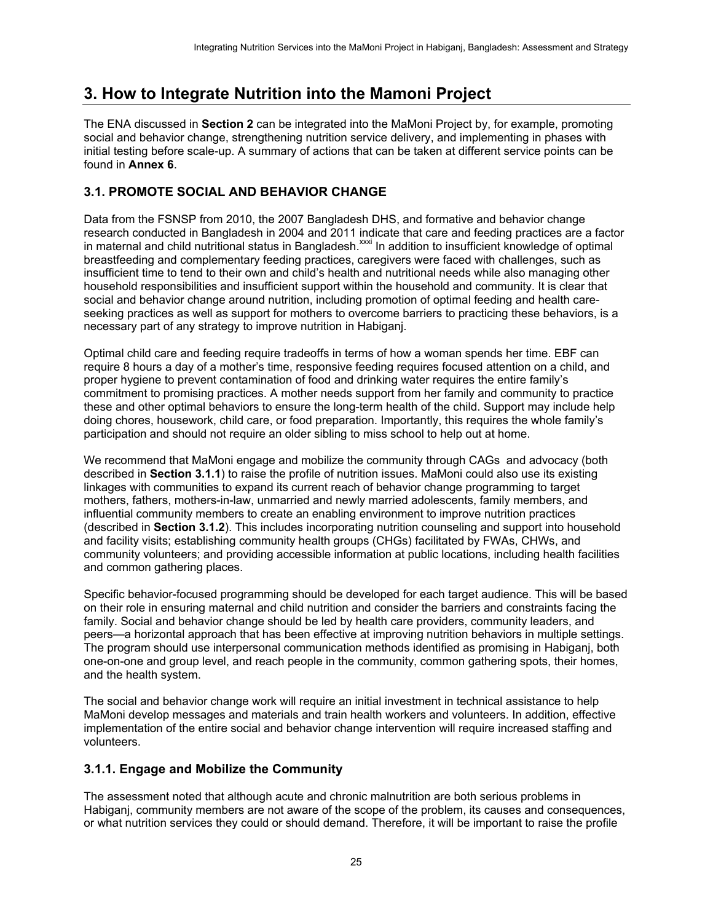## <span id="page-32-0"></span>**3. How to Integrate Nutrition into the Mamoni Project**

The ENA discussed in **Section 2** can be integrated into the MaMoni Project by, for example, promoting social and behavior change, strengthening nutrition service delivery, and implementing in phases with initial testing before scale-up. A summary of actions that can be taken at different service points can be found in **Annex 6**.

### <span id="page-32-1"></span>**3.1. PROMOTE SOCIAL AND BEHAVIOR CHANGE**

Data from the FSNSP from 2010, the 2007 Bangladesh DHS, and formative and behavior change research conducted in Bangladesh in 2004 and 2011 indicate that care and feeding practices are a factor in maternal and child nutritional status in Bangladesh.xxxi In addition to insufficient knowledge of optimal breastfeeding and complementary feeding practices, caregivers were faced with challenges, such as insufficient time to tend to their own and child's health and nutritional needs while also managing other household responsibilities and insufficient support within the household and community. It is clear that social and behavior change around nutrition, including promotion of optimal feeding and health careseeking practices as well as support for mothers to overcome barriers to practicing these behaviors, is a necessary part of any strategy to improve nutrition in Habiganj.

Optimal child care and feeding require tradeoffs in terms of how a woman spends her time. EBF can require 8 hours a day of a mother's time, responsive feeding requires focused attention on a child, and proper hygiene to prevent contamination of food and drinking water requires the entire family's commitment to promising practices. A mother needs support from her family and community to practice these and other optimal behaviors to ensure the long-term health of the child. Support may include help doing chores, housework, child care, or food preparation. Importantly, this requires the whole family's participation and should not require an older sibling to miss school to help out at home.

We recommend that MaMoni engage and mobilize the community through CAGs and advocacy (both described in **Section 3.1.1**) to raise the profile of nutrition issues. MaMoni could also use its existing linkages with communities to expand its current reach of behavior change programming to target mothers, fathers, mothers-in-law, unmarried and newly married adolescents, family members, and influential community members to create an enabling environment to improve nutrition practices (described in **Section 3.1.2**). This includes incorporating nutrition counseling and support into household and facility visits; establishing community health groups (CHGs) facilitated by FWAs, CHWs, and community volunteers; and providing accessible information at public locations, including health facilities and common gathering places.

Specific behavior-focused programming should be developed for each target audience. This will be based on their role in ensuring maternal and child nutrition and consider the barriers and constraints facing the family. Social and behavior change should be led by health care providers, community leaders, and peers—a horizontal approach that has been effective at improving nutrition behaviors in multiple settings. The program should use interpersonal communication methods identified as promising in Habiganj, both one-on-one and group level, and reach people in the community, common gathering spots, their homes, and the health system.

The social and behavior change work will require an initial investment in technical assistance to help MaMoni develop messages and materials and train health workers and volunteers. In addition, effective implementation of the entire social and behavior change intervention will require increased staffing and volunteers.

#### <span id="page-32-2"></span>**3.1.1. Engage and Mobilize the Community**

The assessment noted that although acute and chronic malnutrition are both serious problems in Habiganj, community members are not aware of the scope of the problem, its causes and consequences, or what nutrition services they could or should demand. Therefore, it will be important to raise the profile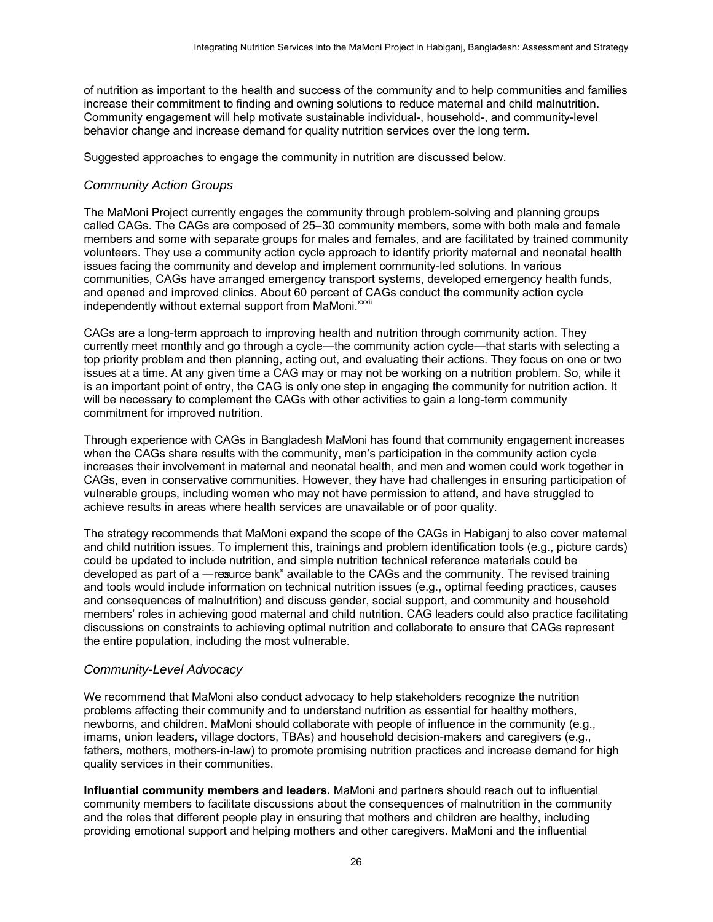of nutrition as important to the health and success of the community and to help communities and families increase their commitment to finding and owning solutions to reduce maternal and child malnutrition. Community engagement will help motivate sustainable individual-, household-, and community-level behavior change and increase demand for quality nutrition services over the long term.

Suggested approaches to engage the community in nutrition are discussed below.

#### *Community Action Groups*

The MaMoni Project currently engages the community through problem-solving and planning groups called CAGs. The CAGs are composed of 25–30 community members, some with both male and female members and some with separate groups for males and females, and are facilitated by trained community volunteers. They use a community action cycle approach to identify priority maternal and neonatal health issues facing the community and develop and implement community-led solutions. In various communities, CAGs have arranged emergency transport systems, developed emergency health funds, and opened and improved clinics. About 60 percent of CAGs conduct the community action cycle independently without external support from MaMoni.<sup>xxxii</sup>

CAGs are a long-term approach to improving health and nutrition through community action. They currently meet monthly and go through a cycle—the community action cycle—that starts with selecting a top priority problem and then planning, acting out, and evaluating their actions. They focus on one or two issues at a time. At any given time a CAG may or may not be working on a nutrition problem. So, while it is an important point of entry, the CAG is only one step in engaging the community for nutrition action. It will be necessary to complement the CAGs with other activities to gain a long-term community commitment for improved nutrition.

Through experience with CAGs in Bangladesh MaMoni has found that community engagement increases when the CAGs share results with the community, men's participation in the community action cycle increases their involvement in maternal and neonatal health, and men and women could work together in CAGs, even in conservative communities. However, they have had challenges in ensuring participation of vulnerable groups, including women who may not have permission to attend, and have struggled to achieve results in areas where health services are unavailable or of poor quality.

The strategy recommends that MaMoni expand the scope of the CAGs in Habiganj to also cover maternal and child nutrition issues. To implement this, trainings and problem identification tools (e.g., picture cards) could be updated to include nutrition, and simple nutrition technical reference materials could be developed as part of a —ressurce bank" available to the CAGs and the community. The revised training and tools would include information on technical nutrition issues (e.g., optimal feeding practices, causes and consequences of malnutrition) and discuss gender, social support, and community and household members' roles in achieving good maternal and child nutrition. CAG leaders could also practice facilitating discussions on constraints to achieving optimal nutrition and collaborate to ensure that CAGs represent the entire population, including the most vulnerable.

#### *Community-Level Advocacy*

We recommend that MaMoni also conduct advocacy to help stakeholders recognize the nutrition problems affecting their community and to understand nutrition as essential for healthy mothers, newborns, and children. MaMoni should collaborate with people of influence in the community (e.g., imams, union leaders, village doctors, TBAs) and household decision-makers and caregivers (e.g., fathers, mothers, mothers-in-law) to promote promising nutrition practices and increase demand for high quality services in their communities.

**Influential community members and leaders.** MaMoni and partners should reach out to influential community members to facilitate discussions about the consequences of malnutrition in the community and the roles that different people play in ensuring that mothers and children are healthy, including providing emotional support and helping mothers and other caregivers. MaMoni and the influential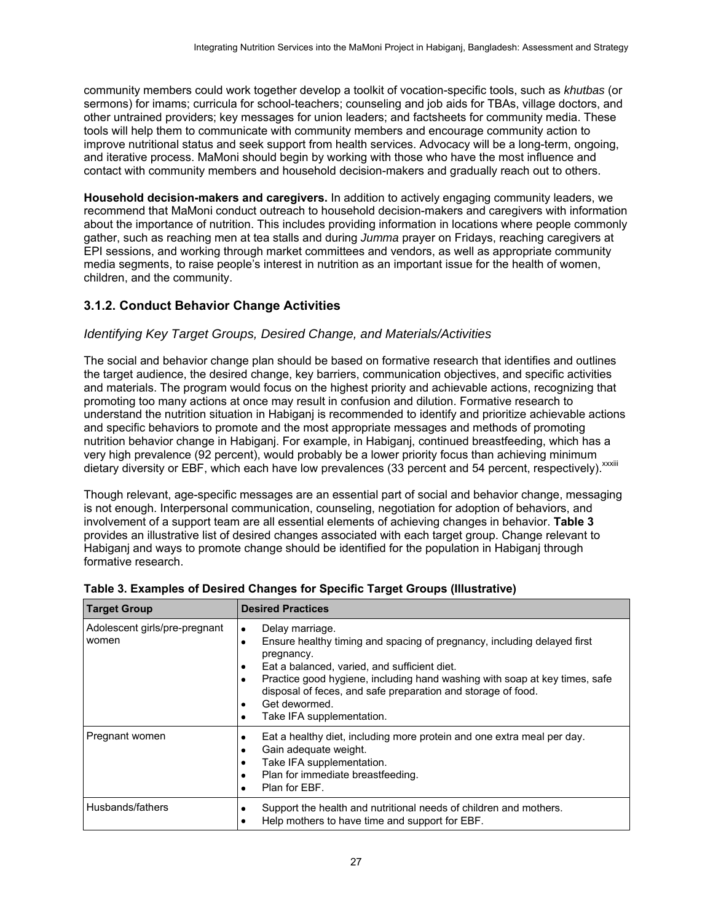community members could work together develop a toolkit of vocation-specific tools, such as *khutbas* (or sermons) for imams; curricula for school-teachers; counseling and job aids for TBAs, village doctors, and other untrained providers; key messages for union leaders; and factsheets for community media. These tools will help them to communicate with community members and encourage community action to improve nutritional status and seek support from health services. Advocacy will be a long-term, ongoing, and iterative process. MaMoni should begin by working with those who have the most influence and contact with community members and household decision-makers and gradually reach out to others.

**Household decision-makers and caregivers.** In addition to actively engaging community leaders, we recommend that MaMoni conduct outreach to household decision-makers and caregivers with information about the importance of nutrition. This includes providing information in locations where people commonly gather, such as reaching men at tea stalls and during *Jumma* prayer on Fridays, reaching caregivers at EPI sessions, and working through market committees and vendors, as well as appropriate community media segments, to raise people's interest in nutrition as an important issue for the health of women, children, and the community.

### <span id="page-34-0"></span>**3.1.2. Conduct Behavior Change Activities**

#### *Identifying Key Target Groups, Desired Change, and Materials/Activities*

The social and behavior change plan should be based on formative research that identifies and outlines the target audience, the desired change, key barriers, communication objectives, and specific activities and materials. The program would focus on the highest priority and achievable actions, recognizing that promoting too many actions at once may result in confusion and dilution. Formative research to understand the nutrition situation in Habiganj is recommended to identify and prioritize achievable actions and specific behaviors to promote and the most appropriate messages and methods of promoting nutrition behavior change in Habiganj. For example, in Habiganj, continued breastfeeding, which has a very high prevalence (92 percent), would probably be a lower priority focus than achieving minimum dietary diversity or EBF, which each have low prevalences (33 percent and 54 percent, respectively). xxxiii

Though relevant, age-specific messages are an essential part of social and behavior change, messaging is not enough. Interpersonal communication, counseling, negotiation for adoption of behaviors, and involvement of a support team are all essential elements of achieving changes in behavior. **Table 3**  provides an illustrative list of desired changes associated with each target group. Change relevant to Habiganj and ways to promote change should be identified for the population in Habiganj through formative research.

| <b>Target Group</b>                    | <b>Desired Practices</b>                                                                                                                                                                                                                                                                                                                                                                                      |  |
|----------------------------------------|---------------------------------------------------------------------------------------------------------------------------------------------------------------------------------------------------------------------------------------------------------------------------------------------------------------------------------------------------------------------------------------------------------------|--|
| Adolescent girls/pre-pregnant<br>women | Delay marriage.<br>$\bullet$<br>Ensure healthy timing and spacing of pregnancy, including delayed first<br>$\bullet$<br>pregnancy.<br>Eat a balanced, varied, and sufficient diet.<br>$\bullet$<br>Practice good hygiene, including hand washing with soap at key times, safe<br>$\bullet$<br>disposal of feces, and safe preparation and storage of food.<br>Get dewormed.<br>Take IFA supplementation.<br>٠ |  |
| Pregnant women                         | Eat a healthy diet, including more protein and one extra meal per day.<br>٠<br>Gain adequate weight.<br>٠<br>Take IFA supplementation.<br>٠<br>Plan for immediate breastfeeding.<br>٠<br>Plan for EBF.<br>٠                                                                                                                                                                                                   |  |
| Husbands/fathers                       | Support the health and nutritional needs of children and mothers.<br>٠<br>Help mothers to have time and support for EBF.<br>٠                                                                                                                                                                                                                                                                                 |  |

<span id="page-34-1"></span>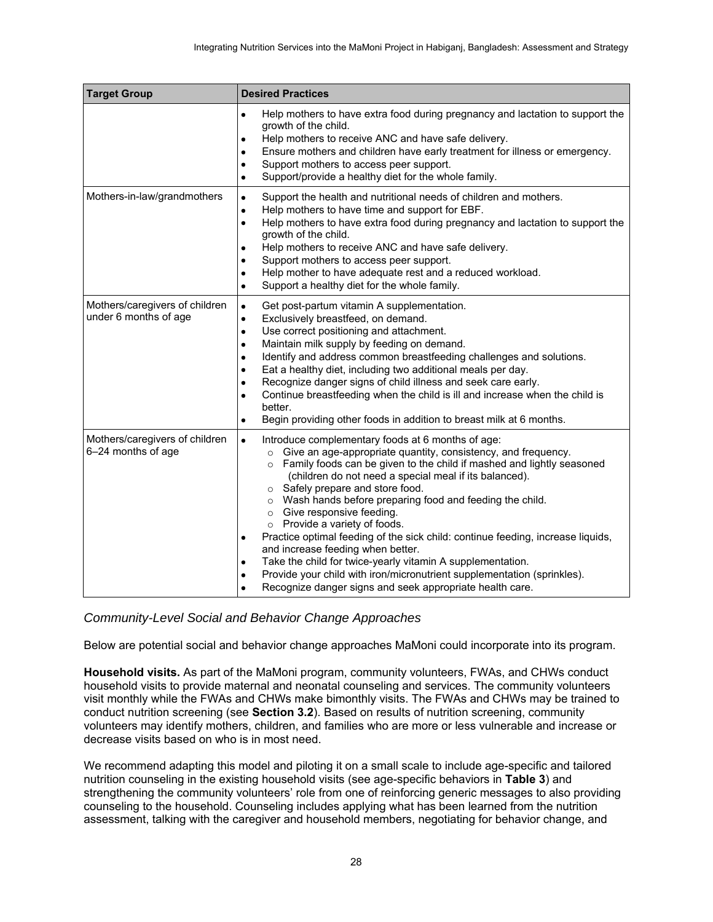| <b>Target Group</b>                                     | <b>Desired Practices</b>                                                                                                                                                                                                                                                                                                                                                                                                                                                                                                                                                                                                                                                                                                                                                                                  |  |
|---------------------------------------------------------|-----------------------------------------------------------------------------------------------------------------------------------------------------------------------------------------------------------------------------------------------------------------------------------------------------------------------------------------------------------------------------------------------------------------------------------------------------------------------------------------------------------------------------------------------------------------------------------------------------------------------------------------------------------------------------------------------------------------------------------------------------------------------------------------------------------|--|
|                                                         | Help mothers to have extra food during pregnancy and lactation to support the<br>$\bullet$<br>growth of the child.<br>Help mothers to receive ANC and have safe delivery.<br>$\bullet$<br>Ensure mothers and children have early treatment for illness or emergency.<br>$\bullet$<br>Support mothers to access peer support.<br>٠<br>Support/provide a healthy diet for the whole family.<br>$\bullet$                                                                                                                                                                                                                                                                                                                                                                                                    |  |
| Mothers-in-law/grandmothers                             | Support the health and nutritional needs of children and mothers.<br>$\bullet$<br>Help mothers to have time and support for EBF.<br>$\bullet$<br>Help mothers to have extra food during pregnancy and lactation to support the<br>$\bullet$<br>growth of the child.<br>Help mothers to receive ANC and have safe delivery.<br>$\bullet$<br>Support mothers to access peer support.<br>٠<br>Help mother to have adequate rest and a reduced workload.<br>٠<br>Support a healthy diet for the whole family.<br>$\bullet$                                                                                                                                                                                                                                                                                    |  |
| Mothers/caregivers of children<br>under 6 months of age | $\bullet$<br>Get post-partum vitamin A supplementation.<br>Exclusively breastfeed, on demand.<br>$\bullet$<br>Use correct positioning and attachment.<br>$\bullet$<br>Maintain milk supply by feeding on demand.<br>٠<br>Identify and address common breastfeeding challenges and solutions.<br>٠<br>Eat a healthy diet, including two additional meals per day.<br>$\bullet$<br>Recognize danger signs of child illness and seek care early.<br>$\bullet$<br>Continue breastfeeding when the child is ill and increase when the child is<br>$\bullet$<br>better.<br>Begin providing other foods in addition to breast milk at 6 months.<br>٠                                                                                                                                                             |  |
| Mothers/caregivers of children<br>6-24 months of age    | Introduce complementary foods at 6 months of age:<br>$\bullet$<br>Give an age-appropriate quantity, consistency, and frequency.<br>$\circ$<br>Family foods can be given to the child if mashed and lightly seasoned<br>$\circ$<br>(children do not need a special meal if its balanced).<br>o Safely prepare and store food.<br>o Wash hands before preparing food and feeding the child.<br>o Give responsive feeding.<br>o Provide a variety of foods.<br>Practice optimal feeding of the sick child: continue feeding, increase liquids,<br>٠<br>and increase feeding when better.<br>Take the child for twice-yearly vitamin A supplementation.<br>٠<br>Provide your child with iron/micronutrient supplementation (sprinkles).<br>٠<br>Recognize danger signs and seek appropriate health care.<br>٠ |  |

#### *Community-Level Social and Behavior Change Approaches*

Below are potential social and behavior change approaches MaMoni could incorporate into its program.

**Household visits.** As part of the MaMoni program, community volunteers, FWAs, and CHWs conduct household visits to provide maternal and neonatal counseling and services. The community volunteers visit monthly while the FWAs and CHWs make bimonthly visits. The FWAs and CHWs may be trained to conduct nutrition screening (see **Section 3.2**). Based on results of nutrition screening, community volunteers may identify mothers, children, and families who are more or less vulnerable and increase or decrease visits based on who is in most need.

We recommend adapting this model and piloting it on a small scale to include age-specific and tailored nutrition counseling in the existing household visits (see age-specific behaviors in **Table 3**) and strengthening the community volunteers' role from one of reinforcing generic messages to also providing counseling to the household. Counseling includes applying what has been learned from the nutrition assessment, talking with the caregiver and household members, negotiating for behavior change, and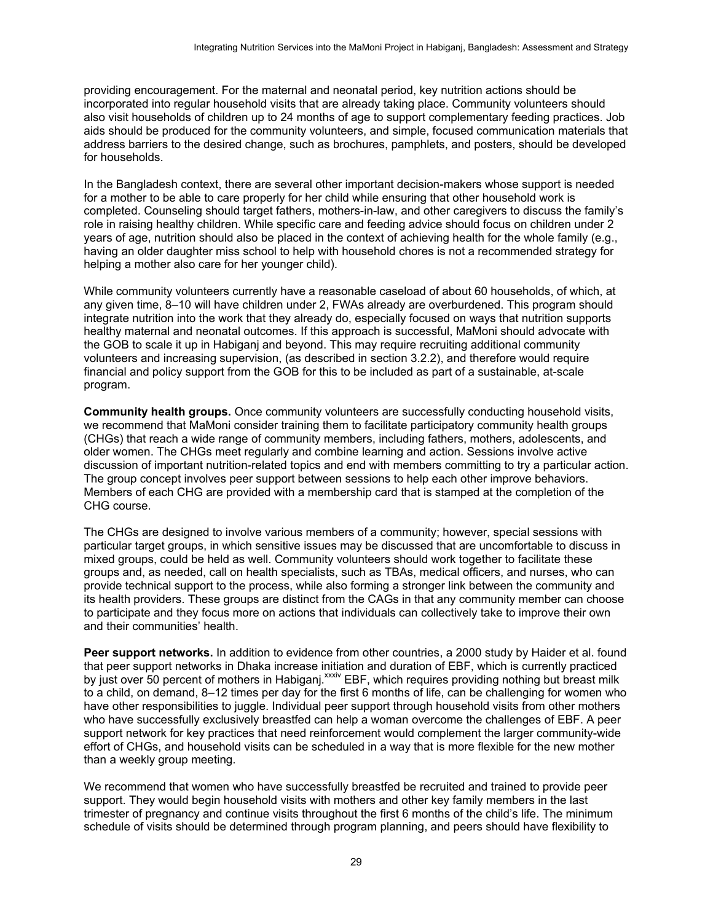providing encouragement. For the maternal and neonatal period, key nutrition actions should be incorporated into regular household visits that are already taking place. Community volunteers should also visit households of children up to 24 months of age to support complementary feeding practices. Job aids should be produced for the community volunteers, and simple, focused communication materials that address barriers to the desired change, such as brochures, pamphlets, and posters, should be developed for households.

In the Bangladesh context, there are several other important decision-makers whose support is needed for a mother to be able to care properly for her child while ensuring that other household work is completed. Counseling should target fathers, mothers-in-law, and other caregivers to discuss the family's role in raising healthy children. While specific care and feeding advice should focus on children under 2 years of age, nutrition should also be placed in the context of achieving health for the whole family (e.g., having an older daughter miss school to help with household chores is not a recommended strategy for helping a mother also care for her younger child).

While community volunteers currently have a reasonable caseload of about 60 households, of which, at any given time, 8–10 will have children under 2, FWAs already are overburdened. This program should integrate nutrition into the work that they already do, especially focused on ways that nutrition supports healthy maternal and neonatal outcomes. If this approach is successful, MaMoni should advocate with the GOB to scale it up in Habiganj and beyond. This may require recruiting additional community volunteers and increasing supervision, (as described in section 3.2.2), and therefore would require financial and policy support from the GOB for this to be included as part of a sustainable, at-scale program.

**Community health groups.** Once community volunteers are successfully conducting household visits, we recommend that MaMoni consider training them to facilitate participatory community health groups (CHGs) that reach a wide range of community members, including fathers, mothers, adolescents, and older women. The CHGs meet regularly and combine learning and action. Sessions involve active discussion of important nutrition-related topics and end with members committing to try a particular action. The group concept involves peer support between sessions to help each other improve behaviors. Members of each CHG are provided with a membership card that is stamped at the completion of the CHG course.

The CHGs are designed to involve various members of a community; however, special sessions with particular target groups, in which sensitive issues may be discussed that are uncomfortable to discuss in mixed groups, could be held as well. Community volunteers should work together to facilitate these groups and, as needed, call on health specialists, such as TBAs, medical officers, and nurses, who can provide technical support to the process, while also forming a stronger link between the community and its health providers. These groups are distinct from the CAGs in that any community member can choose to participate and they focus more on actions that individuals can collectively take to improve their own and their communities' health.

Peer support networks. In addition to evidence from other countries, a 2000 study by Haider et al. found that peer support networks in Dhaka increase initiation and duration of EBF, which is currently practiced by just over 50 percent of mothers in Habiganj.<sup>xxxiv</sup> EBF, which requires providing nothing but breast milk to a child, on demand, 8–12 times per day for the first 6 months of life, can be challenging for women who have other responsibilities to juggle. Individual peer support through household visits from other mothers who have successfully exclusively breastfed can help a woman overcome the challenges of EBF. A peer support network for key practices that need reinforcement would complement the larger community-wide effort of CHGs, and household visits can be scheduled in a way that is more flexible for the new mother than a weekly group meeting.

We recommend that women who have successfully breastfed be recruited and trained to provide peer support. They would begin household visits with mothers and other key family members in the last trimester of pregnancy and continue visits throughout the first 6 months of the child's life. The minimum schedule of visits should be determined through program planning, and peers should have flexibility to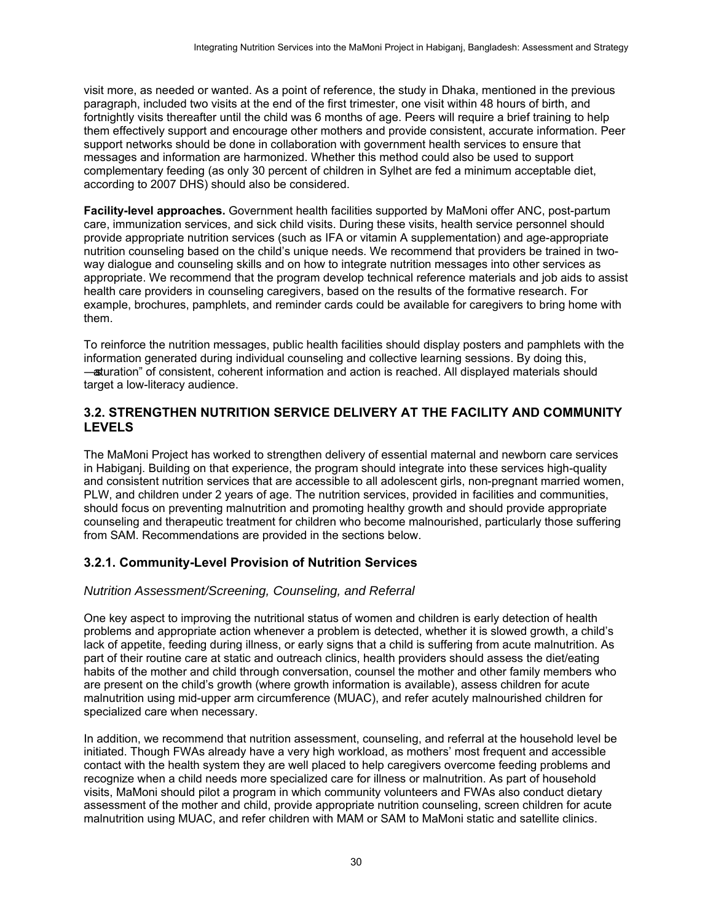visit more, as needed or wanted. As a point of reference, the study in Dhaka, mentioned in the previous paragraph, included two visits at the end of the first trimester, one visit within 48 hours of birth, and fortnightly visits thereafter until the child was 6 months of age. Peers will require a brief training to help them effectively support and encourage other mothers and provide consistent, accurate information. Peer support networks should be done in collaboration with government health services to ensure that messages and information are harmonized. Whether this method could also be used to support complementary feeding (as only 30 percent of children in Sylhet are fed a minimum acceptable diet, according to 2007 DHS) should also be considered.

**Facility-level approaches.** Government health facilities supported by MaMoni offer ANC, post-partum care, immunization services, and sick child visits. During these visits, health service personnel should provide appropriate nutrition services (such as IFA or vitamin A supplementation) and age-appropriate nutrition counseling based on the child's unique needs. We recommend that providers be trained in twoway dialogue and counseling skills and on how to integrate nutrition messages into other services as appropriate. We recommend that the program develop technical reference materials and job aids to assist health care providers in counseling caregivers, based on the results of the formative research. For example, brochures, pamphlets, and reminder cards could be available for caregivers to bring home with them.

To reinforce the nutrition messages, public health facilities should display posters and pamphlets with the information generated during individual counseling and collective learning sessions. By doing this, ―saturation‖ of consistent, coherent information and action is reached. All displayed materials should target a low-literacy audience.

#### <span id="page-37-0"></span>**3.2. STRENGTHEN NUTRITION SERVICE DELIVERY AT THE FACILITY AND COMMUNITY LEVELS**

The MaMoni Project has worked to strengthen delivery of essential maternal and newborn care services in Habiganj. Building on that experience, the program should integrate into these services high-quality and consistent nutrition services that are accessible to all adolescent girls, non-pregnant married women, PLW, and children under 2 years of age. The nutrition services, provided in facilities and communities, should focus on preventing malnutrition and promoting healthy growth and should provide appropriate counseling and therapeutic treatment for children who become malnourished, particularly those suffering from SAM. Recommendations are provided in the sections below.

#### <span id="page-37-1"></span>**3.2.1. Community-Level Provision of Nutrition Services**

#### *Nutrition Assessment/Screening, Counseling, and Referral*

One key aspect to improving the nutritional status of women and children is early detection of health problems and appropriate action whenever a problem is detected, whether it is slowed growth, a child's lack of appetite, feeding during illness, or early signs that a child is suffering from acute malnutrition. As part of their routine care at static and outreach clinics, health providers should assess the diet/eating habits of the mother and child through conversation, counsel the mother and other family members who are present on the child's growth (where growth information is available), assess children for acute malnutrition using mid-upper arm circumference (MUAC), and refer acutely malnourished children for specialized care when necessary.

In addition, we recommend that nutrition assessment, counseling, and referral at the household level be initiated. Though FWAs already have a very high workload, as mothers' most frequent and accessible contact with the health system they are well placed to help caregivers overcome feeding problems and recognize when a child needs more specialized care for illness or malnutrition. As part of household visits, MaMoni should pilot a program in which community volunteers and FWAs also conduct dietary assessment of the mother and child, provide appropriate nutrition counseling, screen children for acute malnutrition using MUAC, and refer children with MAM or SAM to MaMoni static and satellite clinics.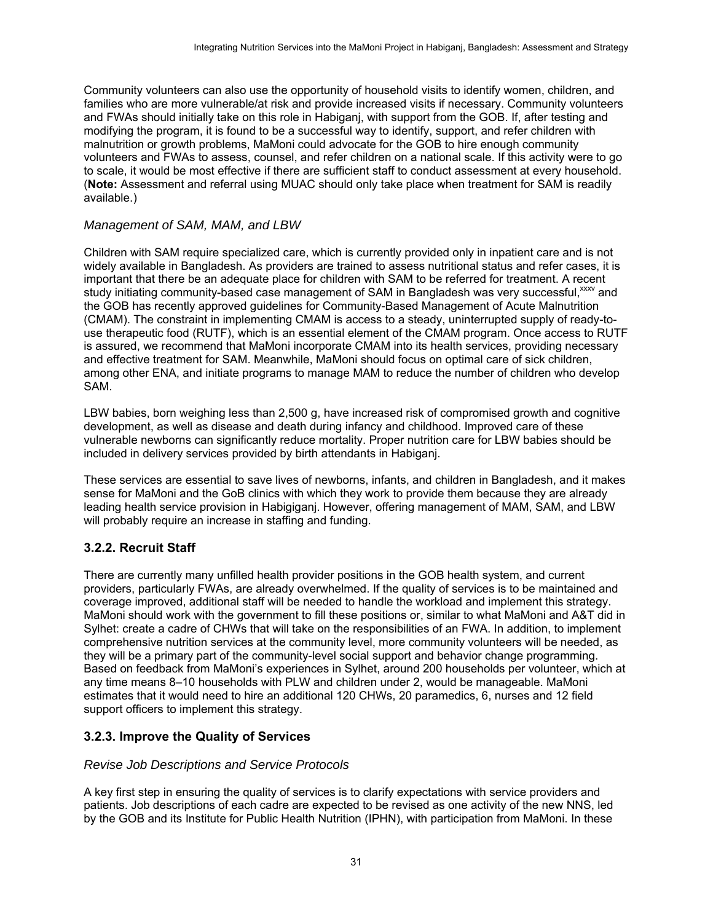Community volunteers can also use the opportunity of household visits to identify women, children, and families who are more vulnerable/at risk and provide increased visits if necessary. Community volunteers and FWAs should initially take on this role in Habigani, with support from the GOB. If, after testing and modifying the program, it is found to be a successful way to identify, support, and refer children with malnutrition or growth problems, MaMoni could advocate for the GOB to hire enough community volunteers and FWAs to assess, counsel, and refer children on a national scale. If this activity were to go to scale, it would be most effective if there are sufficient staff to conduct assessment at every household. (**Note:** Assessment and referral using MUAC should only take place when treatment for SAM is readily available.)

#### *Management of SAM, MAM, and LBW*

Children with SAM require specialized care, which is currently provided only in inpatient care and is not widely available in Bangladesh. As providers are trained to assess nutritional status and refer cases, it is important that there be an adequate place for children with SAM to be referred for treatment. A recent study initiating community-based case management of SAM in Bangladesh was very successful,<sup>xxxv</sup> and the GOB has recently approved guidelines for Community-Based Management of Acute Malnutrition (CMAM). The constraint in implementing CMAM is access to a steady, uninterrupted supply of ready-touse therapeutic food (RUTF), which is an essential element of the CMAM program. Once access to RUTF is assured, we recommend that MaMoni incorporate CMAM into its health services, providing necessary and effective treatment for SAM. Meanwhile, MaMoni should focus on optimal care of sick children, among other ENA, and initiate programs to manage MAM to reduce the number of children who develop SAM.

LBW babies, born weighing less than 2,500 g, have increased risk of compromised growth and cognitive development, as well as disease and death during infancy and childhood. Improved care of these vulnerable newborns can significantly reduce mortality. Proper nutrition care for LBW babies should be included in delivery services provided by birth attendants in Habiganj.

These services are essential to save lives of newborns, infants, and children in Bangladesh, and it makes sense for MaMoni and the GoB clinics with which they work to provide them because they are already leading health service provision in Habigiganj. However, offering management of MAM, SAM, and LBW will probably require an increase in staffing and funding.

#### <span id="page-38-0"></span>**3.2.2. Recruit Staff**

There are currently many unfilled health provider positions in the GOB health system, and current providers, particularly FWAs, are already overwhelmed. If the quality of services is to be maintained and coverage improved, additional staff will be needed to handle the workload and implement this strategy. MaMoni should work with the government to fill these positions or, similar to what MaMoni and A&T did in Sylhet: create a cadre of CHWs that will take on the responsibilities of an FWA. In addition, to implement comprehensive nutrition services at the community level, more community volunteers will be needed, as they will be a primary part of the community-level social support and behavior change programming. Based on feedback from MaMoni's experiences in Sylhet, around 200 households per volunteer, which at any time means 8–10 households with PLW and children under 2, would be manageable. MaMoni estimates that it would need to hire an additional 120 CHWs, 20 paramedics, 6, nurses and 12 field support officers to implement this strategy.

#### <span id="page-38-1"></span>**3.2.3. Improve the Quality of Services**

#### *Revise Job Descriptions and Service Protocols*

A key first step in ensuring the quality of services is to clarify expectations with service providers and patients. Job descriptions of each cadre are expected to be revised as one activity of the new NNS, led by the GOB and its Institute for Public Health Nutrition (IPHN), with participation from MaMoni. In these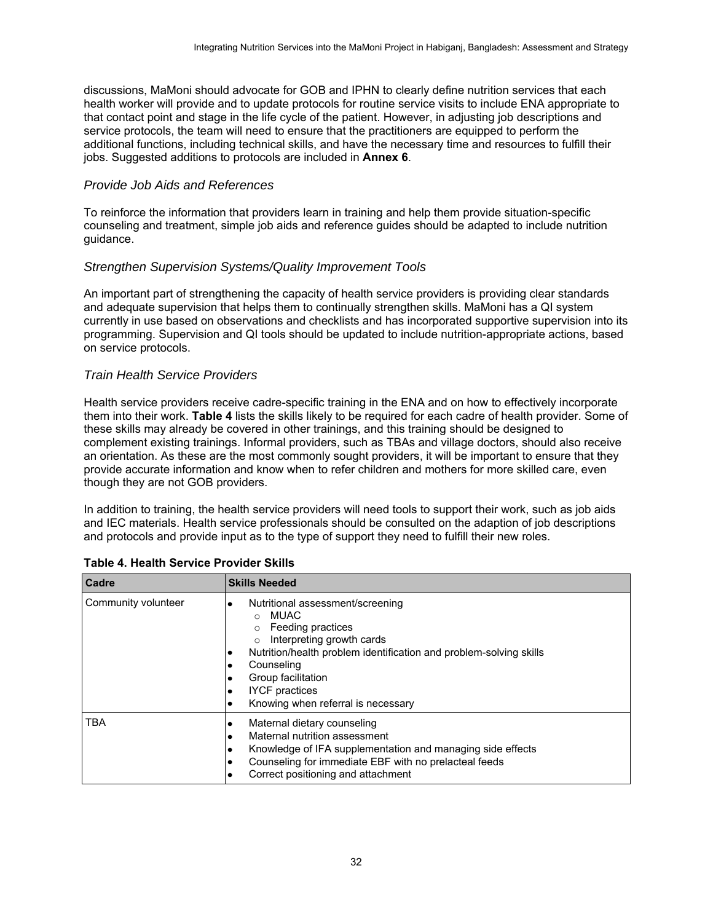discussions, MaMoni should advocate for GOB and IPHN to clearly define nutrition services that each health worker will provide and to update protocols for routine service visits to include ENA appropriate to that contact point and stage in the life cycle of the patient. However, in adjusting job descriptions and service protocols, the team will need to ensure that the practitioners are equipped to perform the additional functions, including technical skills, and have the necessary time and resources to fulfill their jobs. Suggested additions to protocols are included in **Annex 6**.

#### *Provide Job Aids and References*

To reinforce the information that providers learn in training and help them provide situation-specific counseling and treatment, simple job aids and reference guides should be adapted to include nutrition guidance.

#### *Strengthen Supervision Systems/Quality Improvement Tools*

An important part of strengthening the capacity of health service providers is providing clear standards and adequate supervision that helps them to continually strengthen skills. MaMoni has a QI system currently in use based on observations and checklists and has incorporated supportive supervision into its programming. Supervision and QI tools should be updated to include nutrition-appropriate actions, based on service protocols.

#### *Train Health Service Providers*

Health service providers receive cadre-specific training in the ENA and on how to effectively incorporate them into their work. **Table 4** lists the skills likely to be required for each cadre of health provider. Some of these skills may already be covered in other trainings, and this training should be designed to complement existing trainings. Informal providers, such as TBAs and village doctors, should also receive an orientation. As these are the most commonly sought providers, it will be important to ensure that they provide accurate information and know when to refer children and mothers for more skilled care, even though they are not GOB providers.

In addition to training, the health service providers will need tools to support their work, such as job aids and IEC materials. Health service professionals should be consulted on the adaption of job descriptions and protocols and provide input as to the type of support they need to fulfill their new roles.

| Cadre               | <b>Skills Needed</b>                                                                                                                                                                                                                                                                   |
|---------------------|----------------------------------------------------------------------------------------------------------------------------------------------------------------------------------------------------------------------------------------------------------------------------------------|
| Community volunteer | Nutritional assessment/screening<br><b>MUAC</b><br>$\Omega$<br>Feeding practices<br>Interpreting growth cards<br>Nutrition/health problem identification and problem-solving skills<br>Counseling<br>Group facilitation<br><b>IYCF</b> practices<br>Knowing when referral is necessary |
| TBA                 | Maternal dietary counseling<br>٠<br>Maternal nutrition assessment<br>Knowledge of IFA supplementation and managing side effects<br>٠<br>Counseling for immediate EBF with no prelacteal feeds<br>Correct positioning and attachment                                                    |

<span id="page-39-0"></span>

| Table 4. Health Service Provider Skills |  |  |  |
|-----------------------------------------|--|--|--|
|-----------------------------------------|--|--|--|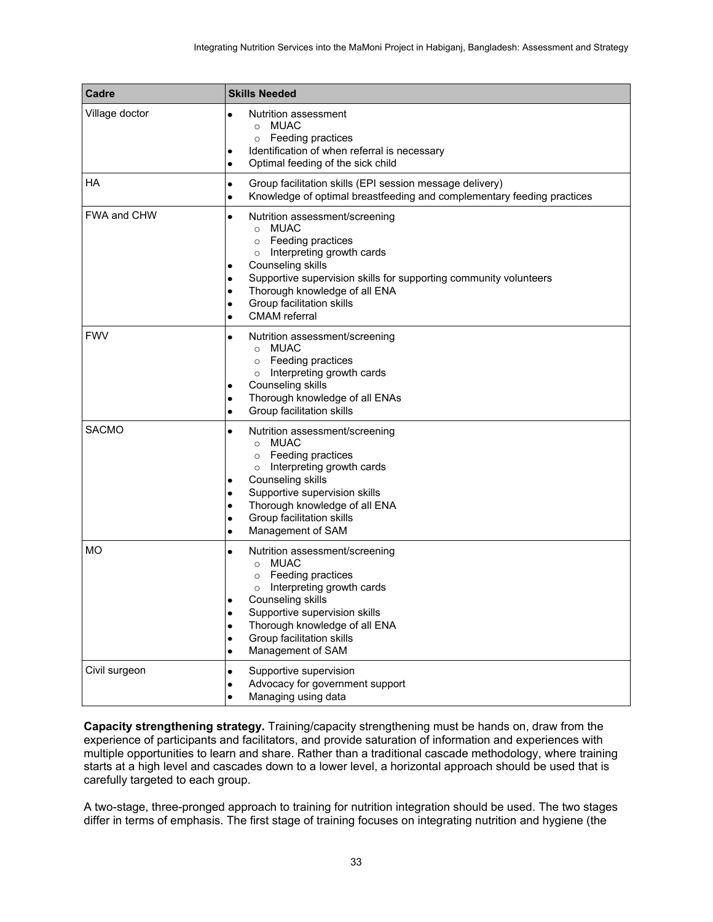| Cadre              | <b>Skills Needed</b>                                                                                                                                                                                                                                                                                                                 |
|--------------------|--------------------------------------------------------------------------------------------------------------------------------------------------------------------------------------------------------------------------------------------------------------------------------------------------------------------------------------|
| Village doctor     | Nutrition assessment<br>$\bullet$<br><b>MUAC</b><br>$\circ$<br>Feeding practices<br>$\circ$<br>Identification of when referral is necessary<br>٠<br>Optimal feeding of the sick child<br>$\bullet$                                                                                                                                   |
| <b>HA</b>          | Group facilitation skills (EPI session message delivery)<br>$\bullet$<br>Knowledge of optimal breastfeeding and complementary feeding practices<br>۰                                                                                                                                                                                 |
| <b>FWA and CHW</b> | Nutrition assessment/screening<br>$\bullet$<br>o MUAC<br>Feeding practices<br>$\circ$<br>Interpreting growth cards<br>$\circ$<br>Counseling skills<br>٠<br>Supportive supervision skills for supporting community volunteers<br>Thorough knowledge of all ENA<br>Group facilitation skills<br>٠<br><b>CMAM</b> referral<br>$\bullet$ |
| <b>FWV</b>         | Nutrition assessment/screening<br>$\bullet$<br>o MUAC<br>o Feeding practices<br>Interpreting growth cards<br>$\circ$<br>Counseling skills<br>Thorough knowledge of all ENAs<br>٠<br>Group facilitation skills<br>٠                                                                                                                   |
| <b>SACMO</b>       | Nutrition assessment/screening<br>٠<br><b>MUAC</b><br>$\circ$<br>Feeding practices<br>$\circ$<br>Interpreting growth cards<br>$\circ$<br>Counseling skills<br>Supportive supervision skills<br>Thorough knowledge of all ENA<br>٠<br>Group facilitation skills<br>٠<br>Management of SAM<br>٠                                        |
| <b>MO</b>          | Nutrition assessment/screening<br>٠<br>o MUAC<br>Feeding practices<br>$\circ$<br>Interpreting growth cards<br>$\circ$<br>Counseling skills<br>Supportive supervision skills<br>٠<br>Thorough knowledge of all ENA<br>$\bullet$<br>Group facilitation skills<br>$\bullet$<br>Management of SAM<br>$\bullet$                           |
| Civil surgeon      | Supportive supervision<br>$\bullet$<br>Advocacy for government support<br>٠<br>Managing using data<br>$\bullet$                                                                                                                                                                                                                      |

**Capacity strengthening strategy.** Training/capacity strengthening must be hands on, draw from the experience of participants and facilitators, and provide saturation of information and experiences with multiple opportunities to learn and share. Rather than a traditional cascade methodology, where training starts at a high level and cascades down to a lower level, a horizontal approach should be used that is carefully targeted to each group.

A two-stage, three-pronged approach to training for nutrition integration should be used. The two stages differ in terms of emphasis. The first stage of training focuses on integrating nutrition and hygiene (the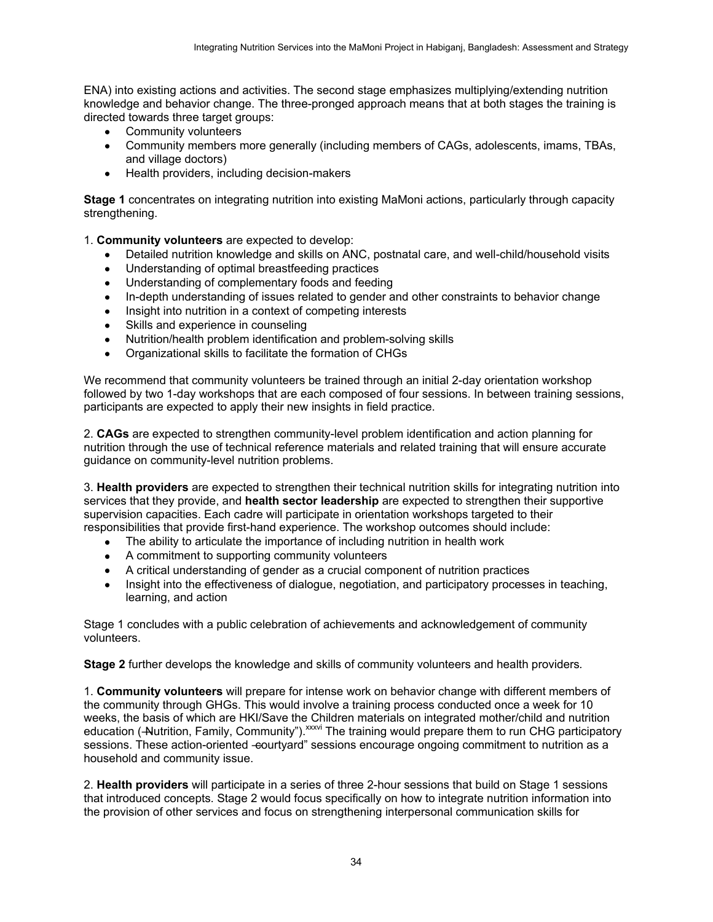ENA) into existing actions and activities. The second stage emphasizes multiplying/extending nutrition knowledge and behavior change. The three-pronged approach means that at both stages the training is directed towards three target groups:

- Community volunteers
- Community members more generally (including members of CAGs, adolescents, imams, TBAs, and village doctors)
- Health providers, including decision-makers

**Stage 1** concentrates on integrating nutrition into existing MaMoni actions, particularly through capacity strengthening.

1. **Community volunteers** are expected to develop:

- Detailed nutrition knowledge and skills on ANC, postnatal care, and well-child/household visits
- Understanding of optimal breastfeeding practices
- Understanding of complementary foods and feeding
- In-depth understanding of issues related to gender and other constraints to behavior change  $\bullet$
- Insight into nutrition in a context of competing interests
- Skills and experience in counseling
- Nutrition/health problem identification and problem-solving skills
- Organizational skills to facilitate the formation of CHGs

We recommend that community volunteers be trained through an initial 2-day orientation workshop followed by two 1-day workshops that are each composed of four sessions. In between training sessions, participants are expected to apply their new insights in field practice.

2. **CAGs** are expected to strengthen community-level problem identification and action planning for nutrition through the use of technical reference materials and related training that will ensure accurate guidance on community-level nutrition problems.

3. **Health providers** are expected to strengthen their technical nutrition skills for integrating nutrition into services that they provide, and **health sector leadership** are expected to strengthen their supportive supervision capacities. Each cadre will participate in orientation workshops targeted to their responsibilities that provide first-hand experience. The workshop outcomes should include:

- The ability to articulate the importance of including nutrition in health work
- A commitment to supporting community volunteers
- A critical understanding of gender as a crucial component of nutrition practices
- Insight into the effectiveness of dialogue, negotiation, and participatory processes in teaching, learning, and action

Stage 1 concludes with a public celebration of achievements and acknowledgement of community volunteers.

**Stage 2** further develops the knowledge and skills of community volunteers and health providers*.* 

1. **Community volunteers** will prepare for intense work on behavior change with different members of the community through GHGs. This would involve a training process conducted once a week for 10 weeks, the basis of which are HKI/Save the Children materials on integrated mother/child and nutrition education (-Nutrition, Family, Community"). XXXVI The training would prepare them to run CHG participatory sessions. These action-oriented -courtyard" sessions encourage ongoing commitment to nutrition as a household and community issue.

2. **Health providers** will participate in a series of three 2-hour sessions that build on Stage 1 sessions that introduced concepts. Stage 2 would focus specifically on how to integrate nutrition information into the provision of other services and focus on strengthening interpersonal communication skills for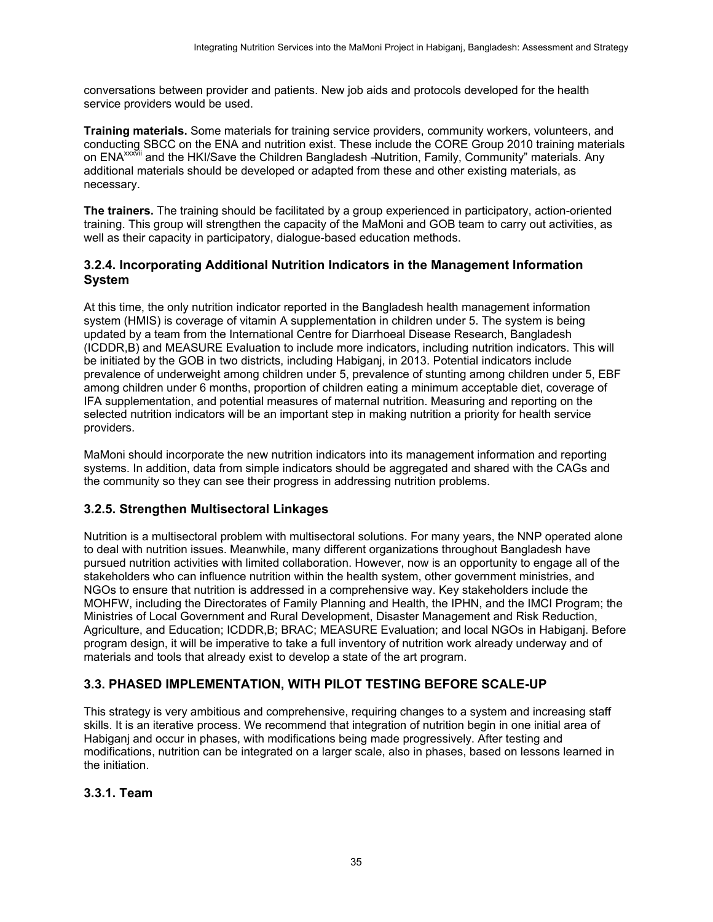conversations between provider and patients. New job aids and protocols developed for the health service providers would be used.

**Training materials.** Some materials for training service providers, community workers, volunteers, and conducting SBCC on the ENA and nutrition exist. These include the CORE Group 2010 training materials on ENA<sup>xxxvii</sup> and the HKI/Save the Children Bangladesh —Nutrition, Family, Community" materials, Any additional materials should be developed or adapted from these and other existing materials, as necessary.

**The trainers.** The training should be facilitated by a group experienced in participatory, action-oriented training. This group will strengthen the capacity of the MaMoni and GOB team to carry out activities, as well as their capacity in participatory, dialogue-based education methods.

#### <span id="page-42-0"></span>**3.2.4. Incorporating Additional Nutrition Indicators in the Management Information System**

At this time, the only nutrition indicator reported in the Bangladesh health management information system (HMIS) is coverage of vitamin A supplementation in children under 5. The system is being updated by a team from the International Centre for Diarrhoeal Disease Research, Bangladesh (ICDDR,B) and MEASURE Evaluation to include more indicators, including nutrition indicators. This will be initiated by the GOB in two districts, including Habiganj, in 2013. Potential indicators include prevalence of underweight among children under 5, prevalence of stunting among children under 5, EBF among children under 6 months, proportion of children eating a minimum acceptable diet, coverage of IFA supplementation, and potential measures of maternal nutrition. Measuring and reporting on the selected nutrition indicators will be an important step in making nutrition a priority for health service providers.

MaMoni should incorporate the new nutrition indicators into its management information and reporting systems. In addition, data from simple indicators should be aggregated and shared with the CAGs and the community so they can see their progress in addressing nutrition problems.

#### <span id="page-42-1"></span>**3.2.5. Strengthen Multisectoral Linkages**

Nutrition is a multisectoral problem with multisectoral solutions. For many years, the NNP operated alone to deal with nutrition issues. Meanwhile, many different organizations throughout Bangladesh have pursued nutrition activities with limited collaboration. However, now is an opportunity to engage all of the stakeholders who can influence nutrition within the health system, other government ministries, and NGOs to ensure that nutrition is addressed in a comprehensive way. Key stakeholders include the MOHFW, including the Directorates of Family Planning and Health, the IPHN, and the IMCI Program; the Ministries of Local Government and Rural Development, Disaster Management and Risk Reduction, Agriculture, and Education; ICDDR,B; BRAC; MEASURE Evaluation: and local NGOs in Habigani. Before program design, it will be imperative to take a full inventory of nutrition work already underway and of materials and tools that already exist to develop a state of the art program.

### <span id="page-42-2"></span>**3.3. PHASED IMPLEMENTATION, WITH PILOT TESTING BEFORE SCALE-UP**

This strategy is very ambitious and comprehensive, requiring changes to a system and increasing staff skills. It is an iterative process. We recommend that integration of nutrition begin in one initial area of Habiganj and occur in phases, with modifications being made progressively. After testing and modifications, nutrition can be integrated on a larger scale, also in phases, based on lessons learned in the initiation.

#### <span id="page-42-3"></span>**3.3.1. Team**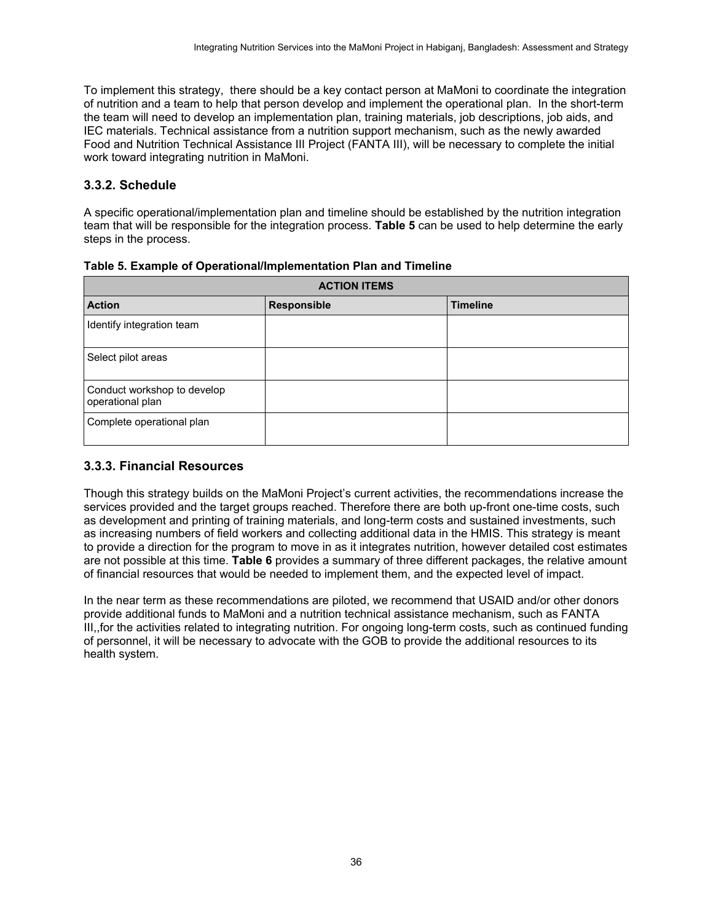To implement this strategy, there should be a key contact person at MaMoni to coordinate the integration of nutrition and a team to help that person develop and implement the operational plan. In the short-term the team will need to develop an implementation plan, training materials, job descriptions, job aids, and IEC materials. Technical assistance from a nutrition support mechanism, such as the newly awarded Food and Nutrition Technical Assistance III Project (FANTA III), will be necessary to complete the initial work toward integrating nutrition in MaMoni.

### <span id="page-43-0"></span>**3.3.2. Schedule**

A specific operational/implementation plan and timeline should be established by the nutrition integration team that will be responsible for the integration process. **Table 5** can be used to help determine the early steps in the process.

| <b>ACTION ITEMS</b>                             |                    |                 |  |
|-------------------------------------------------|--------------------|-----------------|--|
| <b>Action</b>                                   | <b>Responsible</b> | <b>Timeline</b> |  |
| Identify integration team                       |                    |                 |  |
| Select pilot areas                              |                    |                 |  |
| Conduct workshop to develop<br>operational plan |                    |                 |  |
| Complete operational plan                       |                    |                 |  |

<span id="page-43-2"></span>**Table 5. Example of Operational/Implementation Plan and Timeline** 

### <span id="page-43-1"></span>**3.3.3. Financial Resources**

Though this strategy builds on the MaMoni Project's current activities, the recommendations increase the services provided and the target groups reached. Therefore there are both up-front one-time costs, such as development and printing of training materials, and long-term costs and sustained investments, such as increasing numbers of field workers and collecting additional data in the HMIS. This strategy is meant to provide a direction for the program to move in as it integrates nutrition, however detailed cost estimates are not possible at this time. **Table 6** provides a summary of three different packages, the relative amount of financial resources that would be needed to implement them, and the expected level of impact.

In the near term as these recommendations are piloted, we recommend that USAID and/or other donors provide additional funds to MaMoni and a nutrition technical assistance mechanism, such as FANTA III,,for the activities related to integrating nutrition. For ongoing long-term costs, such as continued funding of personnel, it will be necessary to advocate with the GOB to provide the additional resources to its health system.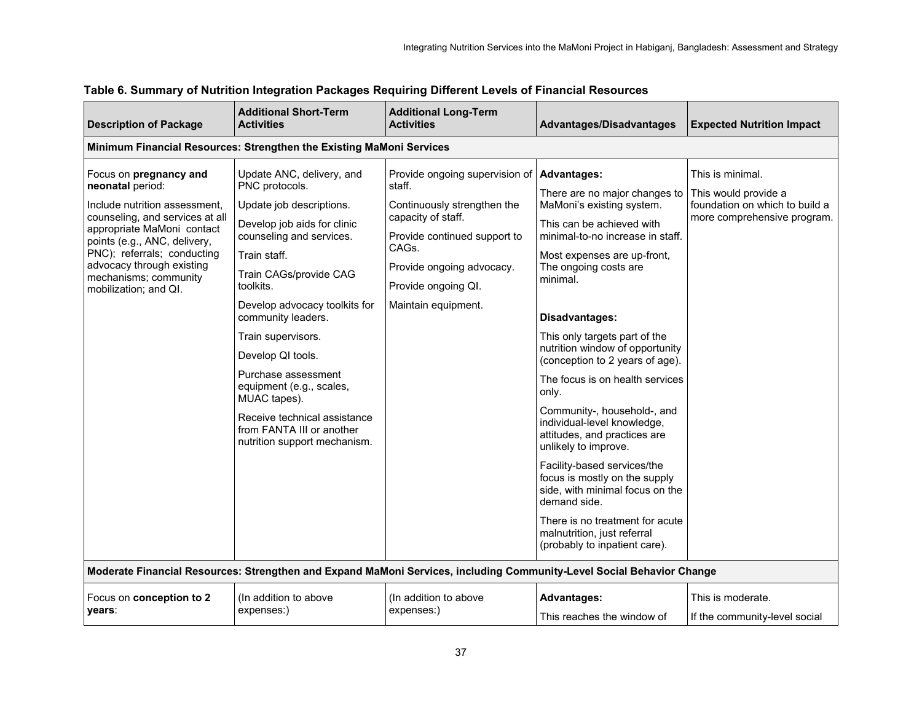| <b>Description of Package</b>                                                                                                                                                                                                                                                              | <b>Additional Short-Term</b><br><b>Activities</b>                                                                                                                                                                                                                                                                                                                                                                                                           | <b>Additional Long-Term</b><br><b>Activities</b>                                                                                                                                                                  | Advantages/Disadvantages                                                                                                                                                                                                                                                                                                                                                                                                                                                                                                                                                                                                                                                                                                               | <b>Expected Nutrition Impact</b>                                                                          |
|--------------------------------------------------------------------------------------------------------------------------------------------------------------------------------------------------------------------------------------------------------------------------------------------|-------------------------------------------------------------------------------------------------------------------------------------------------------------------------------------------------------------------------------------------------------------------------------------------------------------------------------------------------------------------------------------------------------------------------------------------------------------|-------------------------------------------------------------------------------------------------------------------------------------------------------------------------------------------------------------------|----------------------------------------------------------------------------------------------------------------------------------------------------------------------------------------------------------------------------------------------------------------------------------------------------------------------------------------------------------------------------------------------------------------------------------------------------------------------------------------------------------------------------------------------------------------------------------------------------------------------------------------------------------------------------------------------------------------------------------------|-----------------------------------------------------------------------------------------------------------|
|                                                                                                                                                                                                                                                                                            | Minimum Financial Resources: Strengthen the Existing MaMoni Services                                                                                                                                                                                                                                                                                                                                                                                        |                                                                                                                                                                                                                   |                                                                                                                                                                                                                                                                                                                                                                                                                                                                                                                                                                                                                                                                                                                                        |                                                                                                           |
| Focus on pregnancy and<br>neonatal period:<br>Include nutrition assessment.<br>counseling, and services at all<br>appropriate MaMoni contact<br>points (e.g., ANC, delivery,<br>PNC); referrals; conducting<br>advocacy through existing<br>mechanisms; community<br>mobilization; and QI. | Update ANC, delivery, and<br>PNC protocols.<br>Update job descriptions.<br>Develop job aids for clinic<br>counseling and services.<br>Train staff.<br>Train CAGs/provide CAG<br>toolkits.<br>Develop advocacy toolkits for<br>community leaders.<br>Train supervisors.<br>Develop QI tools.<br>Purchase assessment<br>equipment (e.g., scales,<br>MUAC tapes).<br>Receive technical assistance<br>from FANTA III or another<br>nutrition support mechanism. | Provide ongoing supervision of<br>staff.<br>Continuously strengthen the<br>capacity of staff.<br>Provide continued support to<br>CAGs.<br>Provide ongoing advocacy.<br>Provide ongoing QI.<br>Maintain equipment. | <b>Advantages:</b><br>There are no major changes to<br>MaMoni's existing system.<br>This can be achieved with<br>minimal-to-no increase in staff.<br>Most expenses are up-front,<br>The ongoing costs are<br>minimal.<br>Disadvantages:<br>This only targets part of the<br>nutrition window of opportunity<br>(conception to 2 years of age).<br>The focus is on health services<br>only.<br>Community-, household-, and<br>individual-level knowledge,<br>attitudes, and practices are<br>unlikely to improve.<br>Facility-based services/the<br>focus is mostly on the supply<br>side, with minimal focus on the<br>demand side.<br>There is no treatment for acute<br>malnutrition, just referral<br>(probably to inpatient care). | This is minimal.<br>This would provide a<br>foundation on which to build a<br>more comprehensive program. |
|                                                                                                                                                                                                                                                                                            |                                                                                                                                                                                                                                                                                                                                                                                                                                                             | Moderate Financial Resources: Strengthen and Expand MaMoni Services, including Community-Level Social Behavior Change                                                                                             |                                                                                                                                                                                                                                                                                                                                                                                                                                                                                                                                                                                                                                                                                                                                        |                                                                                                           |
| Focus on conception to 2<br>years:                                                                                                                                                                                                                                                         | (In addition to above<br>expenses:)                                                                                                                                                                                                                                                                                                                                                                                                                         | (In addition to above<br>expenses:)                                                                                                                                                                               | <b>Advantages:</b><br>This reaches the window of                                                                                                                                                                                                                                                                                                                                                                                                                                                                                                                                                                                                                                                                                       | This is moderate.<br>If the community-level social                                                        |

## **Table 6. Summary of Nutrition Integration Packages Requiring Different Levels of Financial Resources**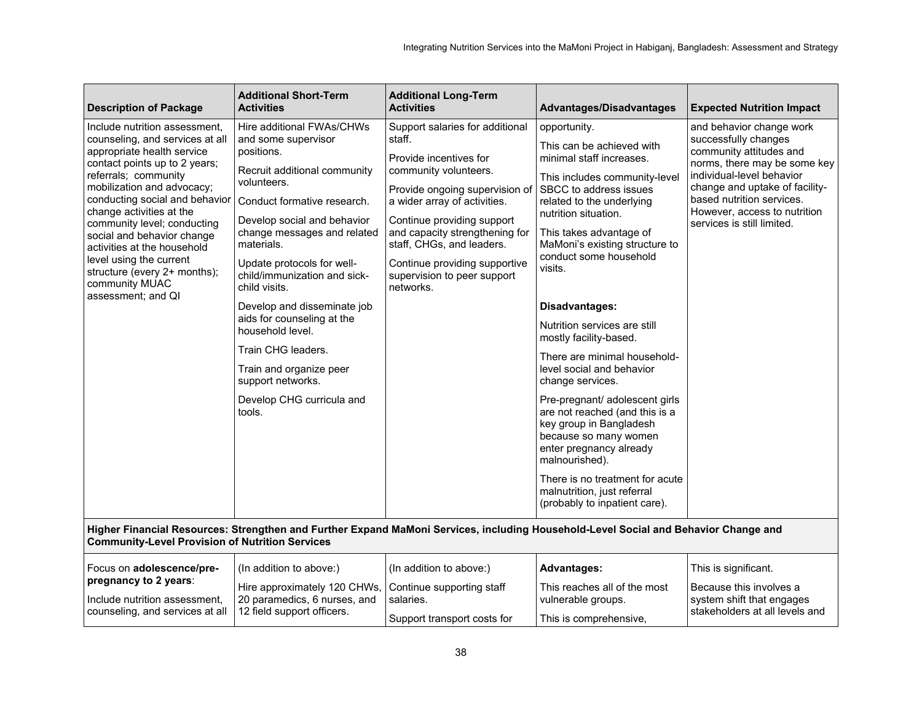| <b>Description of Package</b>                                                                                                                                                                                                                                                                                                                                                                                                                      | <b>Additional Short-Term</b><br><b>Activities</b>                                                                                                                                                                                                                                                                                                                                                                                                                                                     | <b>Additional Long-Term</b><br><b>Activities</b>                                                                                                                                                                                                                                                                                         | Advantages/Disadvantages                                                                                                                                                                                                                                                                                                                                                                                                                                                                                                                                                                                                                                                                                                     | <b>Expected Nutrition Impact</b>                                                                                                                                                                                                                                      |  |
|----------------------------------------------------------------------------------------------------------------------------------------------------------------------------------------------------------------------------------------------------------------------------------------------------------------------------------------------------------------------------------------------------------------------------------------------------|-------------------------------------------------------------------------------------------------------------------------------------------------------------------------------------------------------------------------------------------------------------------------------------------------------------------------------------------------------------------------------------------------------------------------------------------------------------------------------------------------------|------------------------------------------------------------------------------------------------------------------------------------------------------------------------------------------------------------------------------------------------------------------------------------------------------------------------------------------|------------------------------------------------------------------------------------------------------------------------------------------------------------------------------------------------------------------------------------------------------------------------------------------------------------------------------------------------------------------------------------------------------------------------------------------------------------------------------------------------------------------------------------------------------------------------------------------------------------------------------------------------------------------------------------------------------------------------------|-----------------------------------------------------------------------------------------------------------------------------------------------------------------------------------------------------------------------------------------------------------------------|--|
| Include nutrition assessment,<br>counseling, and services at all<br>appropriate health service<br>contact points up to 2 years;<br>referrals; community<br>mobilization and advocacy;<br>conducting social and behavior<br>change activities at the<br>community level; conducting<br>social and behavior change<br>activities at the household<br>level using the current<br>structure (every 2+ months);<br>community MUAC<br>assessment; and QI | Hire additional FWAs/CHWs<br>and some supervisor<br>positions.<br>Recruit additional community<br>volunteers.<br>Conduct formative research.<br>Develop social and behavior<br>change messages and related<br>materials.<br>Update protocols for well-<br>child/immunization and sick-<br>child visits.<br>Develop and disseminate job<br>aids for counseling at the<br>household level.<br>Train CHG leaders.<br>Train and organize peer<br>support networks.<br>Develop CHG curricula and<br>tools. | Support salaries for additional<br>staff.<br>Provide incentives for<br>community volunteers.<br>Provide ongoing supervision of<br>a wider array of activities.<br>Continue providing support<br>and capacity strengthening for<br>staff, CHGs, and leaders.<br>Continue providing supportive<br>supervision to peer support<br>networks. | opportunity.<br>This can be achieved with<br>minimal staff increases.<br>This includes community-level<br>SBCC to address issues<br>related to the underlying<br>nutrition situation.<br>This takes advantage of<br>MaMoni's existing structure to<br>conduct some household<br>visits.<br>Disadvantages:<br>Nutrition services are still<br>mostly facility-based.<br>There are minimal household-<br>level social and behavior<br>change services.<br>Pre-pregnant/ adolescent girls<br>are not reached (and this is a<br>key group in Bangladesh<br>because so many women<br>enter pregnancy already<br>malnourished).<br>There is no treatment for acute<br>malnutrition, just referral<br>(probably to inpatient care). | and behavior change work<br>successfully changes<br>community attitudes and<br>norms, there may be some key<br>individual-level behavior<br>change and uptake of facility-<br>based nutrition services.<br>However, access to nutrition<br>services is still limited. |  |
|                                                                                                                                                                                                                                                                                                                                                                                                                                                    | Higher Financial Resources: Strengthen and Further Expand MaMoni Services, including Household-Level Social and Behavior Change and<br><b>Community-Level Provision of Nutrition Services</b>                                                                                                                                                                                                                                                                                                         |                                                                                                                                                                                                                                                                                                                                          |                                                                                                                                                                                                                                                                                                                                                                                                                                                                                                                                                                                                                                                                                                                              |                                                                                                                                                                                                                                                                       |  |
| Focus on adolescence/pre-<br>pregnancy to 2 years:<br>Include nutrition assessment.<br>counseling, and services at all                                                                                                                                                                                                                                                                                                                             | (In addition to above:)<br>Hire approximately 120 CHWs,<br>20 paramedics, 6 nurses, and<br>12 field support officers.                                                                                                                                                                                                                                                                                                                                                                                 | (In addition to above:)<br>Continue supporting staff<br>salaries.<br>Support transport costs for                                                                                                                                                                                                                                         | <b>Advantages:</b><br>This reaches all of the most<br>vulnerable groups.<br>This is comprehensive,                                                                                                                                                                                                                                                                                                                                                                                                                                                                                                                                                                                                                           | This is significant.<br>Because this involves a<br>system shift that engages<br>stakeholders at all levels and                                                                                                                                                        |  |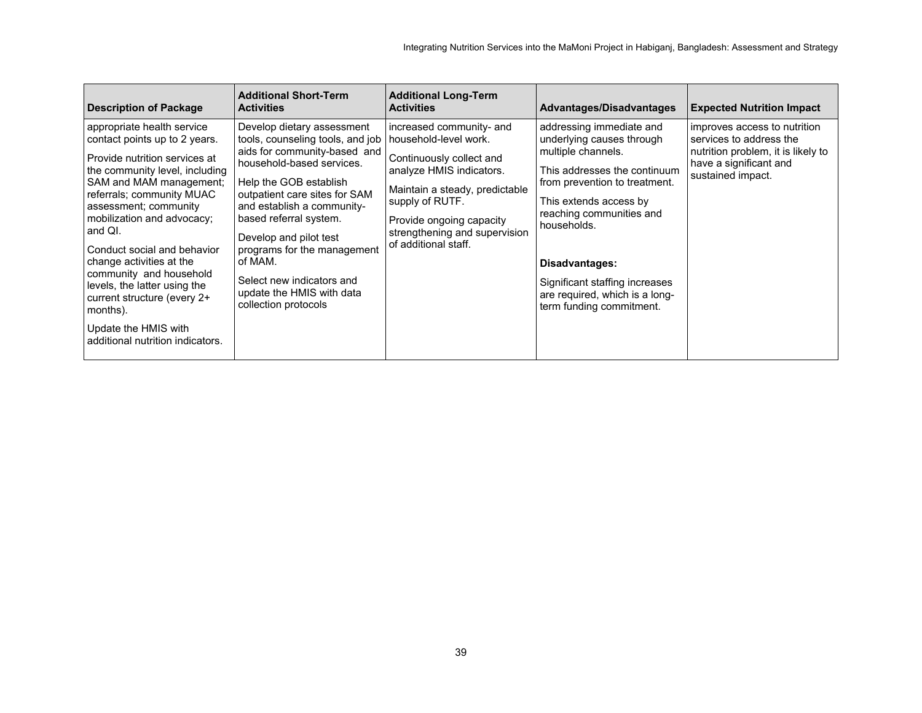| <b>Description of Package</b>                                                                                                                                                                                                                                                                                                                                                                                                                                                         | <b>Additional Short-Term</b><br><b>Activities</b>                                                                                                                                                                                                                                                                                                                                                    | <b>Additional Long-Term</b><br><b>Activities</b>                                                                                                                                                                                                    | Advantages/Disadvantages                                                                                                                                                                                                                                                                                                            | <b>Expected Nutrition Impact</b>                                                                                                             |
|---------------------------------------------------------------------------------------------------------------------------------------------------------------------------------------------------------------------------------------------------------------------------------------------------------------------------------------------------------------------------------------------------------------------------------------------------------------------------------------|------------------------------------------------------------------------------------------------------------------------------------------------------------------------------------------------------------------------------------------------------------------------------------------------------------------------------------------------------------------------------------------------------|-----------------------------------------------------------------------------------------------------------------------------------------------------------------------------------------------------------------------------------------------------|-------------------------------------------------------------------------------------------------------------------------------------------------------------------------------------------------------------------------------------------------------------------------------------------------------------------------------------|----------------------------------------------------------------------------------------------------------------------------------------------|
| appropriate health service<br>contact points up to 2 years.<br>Provide nutrition services at<br>the community level, including<br>SAM and MAM management;<br>referrals; community MUAC<br>assessment; community<br>mobilization and advocacy;<br>and QI.<br>Conduct social and behavior<br>change activities at the<br>community and household<br>levels, the latter using the<br>current structure (every 2+<br>months).<br>Update the HMIS with<br>additional nutrition indicators. | Develop dietary assessment<br>tools, counseling tools, and job<br>aids for community-based and<br>household-based services.<br>Help the GOB establish<br>outpatient care sites for SAM<br>and establish a community-<br>based referral system.<br>Develop and pilot test<br>programs for the management<br>of MAM.<br>Select new indicators and<br>update the HMIS with data<br>collection protocols | increased community- and<br>household-level work.<br>Continuously collect and<br>analyze HMIS indicators.<br>Maintain a steady, predictable<br>supply of RUTF.<br>Provide ongoing capacity<br>strengthening and supervision<br>of additional staff. | addressing immediate and<br>underlying causes through<br>multiple channels.<br>This addresses the continuum<br>from prevention to treatment.<br>This extends access by<br>reaching communities and<br>households.<br>Disadvantages:<br>Significant staffing increases<br>are required, which is a long-<br>term funding commitment. | improves access to nutrition<br>services to address the<br>nutrition problem, it is likely to<br>have a significant and<br>sustained impact. |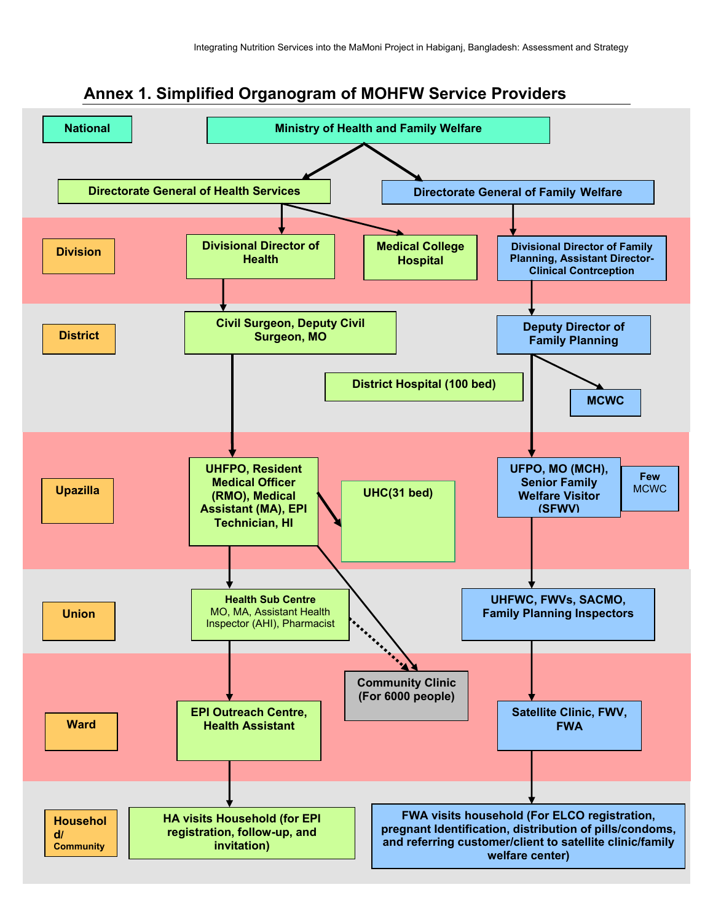

## <span id="page-47-0"></span>**Annex 1. Simplified Organogram of MOHFW Service Providers**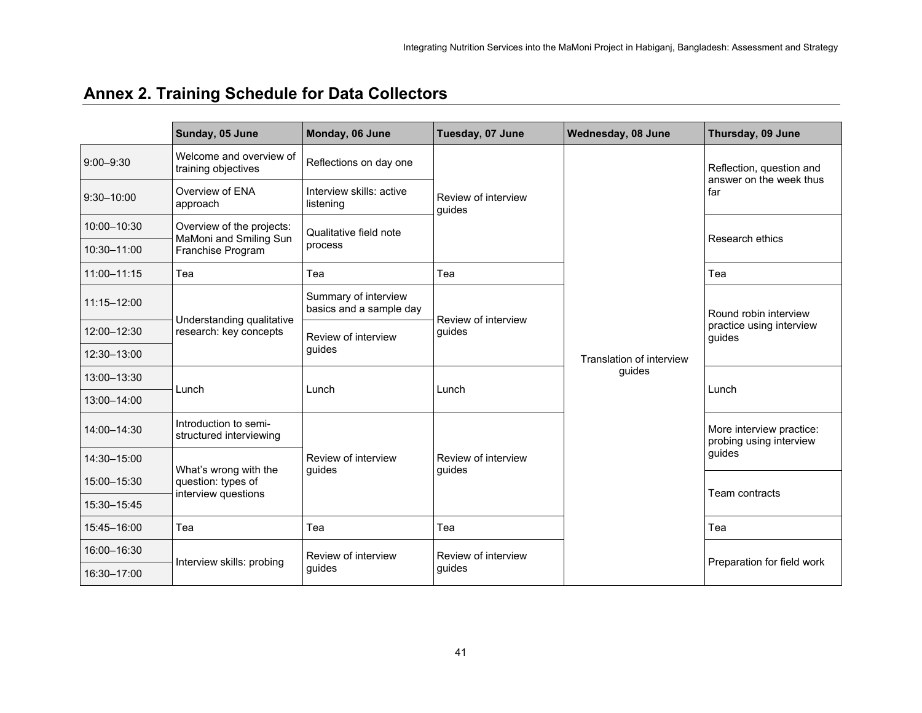# **Annex 2. Training Schedule for Data Collectors**

<span id="page-48-0"></span>

|                | Sunday, 05 June                                  | Monday, 06 June                                 | Tuesday, 07 June              | Wednesday, 08 June       | Thursday, 09 June                                   |  |
|----------------|--------------------------------------------------|-------------------------------------------------|-------------------------------|--------------------------|-----------------------------------------------------|--|
| $9:00 - 9:30$  | Welcome and overview of<br>training objectives   | Reflections on day one                          |                               |                          | Reflection, question and<br>answer on the week thus |  |
| $9:30 - 10:00$ | Overview of ENA<br>approach                      | Interview skills: active<br>listening           | Review of interview<br>guides |                          | far                                                 |  |
| 10:00-10:30    | Overview of the projects:                        | Qualitative field note                          |                               |                          |                                                     |  |
| 10:30-11:00    | MaMoni and Smiling Sun<br>Franchise Program      | process                                         |                               |                          | Research ethics                                     |  |
| 11:00-11:15    | Tea                                              | Tea                                             | Tea                           | Translation of interview | Tea                                                 |  |
| 11:15-12:00    | Understanding qualitative                        | Summary of interview<br>basics and a sample day | Review of interview           |                          | Round robin interview                               |  |
| 12:00-12:30    | research: key concepts                           | Review of interview                             | guides                        |                          | practice using interview<br>guides                  |  |
| 12:30-13:00    |                                                  | quides                                          |                               |                          |                                                     |  |
| 13:00-13:30    |                                                  |                                                 |                               | guides                   | Lunch                                               |  |
| 13:00-14:00    | Lunch                                            | Lunch                                           | Lunch                         |                          |                                                     |  |
| 14:00-14:30    | Introduction to semi-<br>structured interviewing |                                                 |                               |                          | More interview practice:<br>probing using interview |  |
| 14:30-15:00    | What's wrong with the                            | Review of interview                             | Review of interview           |                          | guides                                              |  |
| 15:00-15:30    | question: types of                               | quides                                          | quides                        |                          |                                                     |  |
| 15:30-15:45    | interview questions                              |                                                 |                               |                          | Team contracts                                      |  |
| 15:45-16:00    | Tea                                              | Tea                                             | Tea                           |                          | Tea                                                 |  |
| 16:00-16:30    |                                                  | Review of interview                             | Review of interview           |                          |                                                     |  |
| 16:30-17:00    | Interview skills: probing                        | quides                                          | quides                        |                          | Preparation for field work                          |  |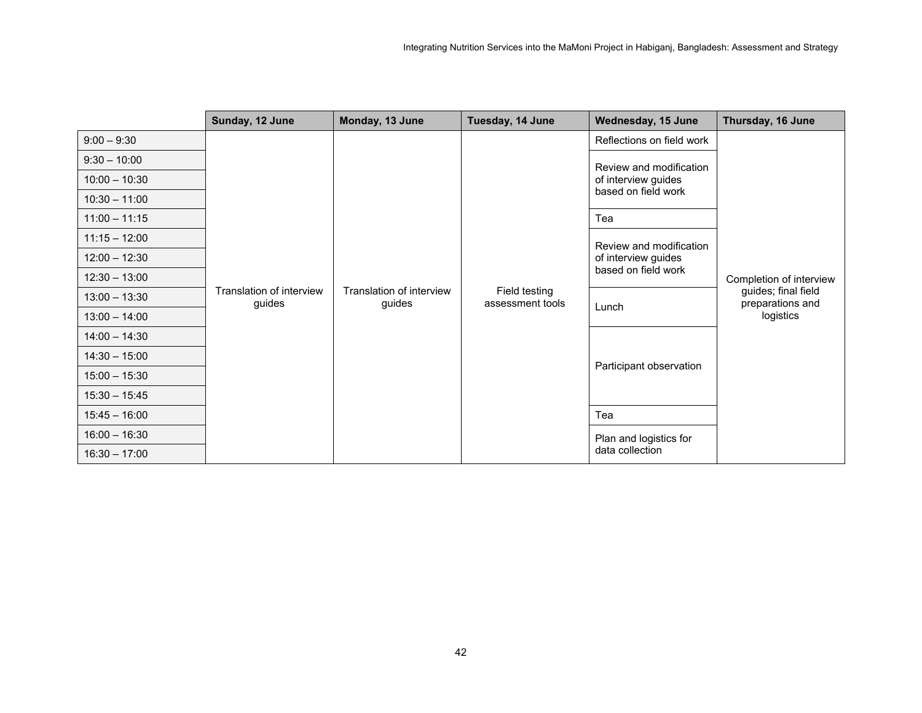|                 | Sunday, 12 June | Monday, 13 June                                                          | Tuesday, 14 June                  | Wednesday, 15 June                         | Thursday, 16 June                       |
|-----------------|-----------------|--------------------------------------------------------------------------|-----------------------------------|--------------------------------------------|-----------------------------------------|
| $9:00 - 9:30$   |                 |                                                                          |                                   | Reflections on field work                  |                                         |
| $9:30 - 10:00$  |                 |                                                                          |                                   | Review and modification                    |                                         |
| $10:00 - 10:30$ |                 |                                                                          |                                   | of interview guides                        |                                         |
| $10:30 - 11:00$ |                 |                                                                          |                                   | based on field work                        |                                         |
| $11:00 - 11:15$ |                 |                                                                          |                                   | Tea                                        |                                         |
| $11:15 - 12:00$ |                 |                                                                          |                                   | Review and modification                    |                                         |
| $12:00 - 12:30$ |                 | Translation of interview<br>Translation of interview<br>guides<br>guides | Field testing<br>assessment tools | of interview guides<br>based on field work |                                         |
| $12:30 - 13:00$ |                 |                                                                          |                                   |                                            | Completion of interview                 |
| $13:00 - 13:30$ |                 |                                                                          |                                   | Lunch                                      | guides; final field<br>preparations and |
| $13:00 - 14:00$ |                 |                                                                          |                                   |                                            | logistics                               |
| $14:00 - 14:30$ |                 |                                                                          |                                   | Participant observation                    |                                         |
| $14:30 - 15:00$ |                 |                                                                          |                                   |                                            |                                         |
| $15:00 - 15:30$ |                 |                                                                          |                                   |                                            |                                         |
| $15:30 - 15:45$ |                 |                                                                          |                                   |                                            |                                         |
| $15:45 - 16:00$ |                 |                                                                          |                                   | Tea                                        |                                         |
| $16:00 - 16:30$ |                 |                                                                          |                                   | Plan and logistics for                     |                                         |
| $16:30 - 17:00$ |                 |                                                                          |                                   | data collection                            |                                         |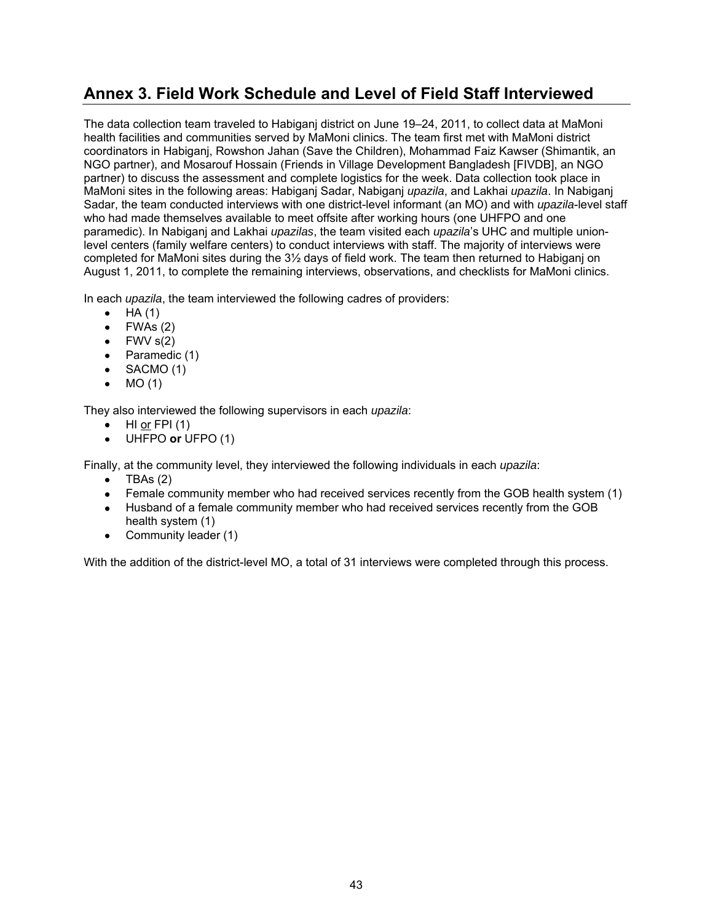## <span id="page-50-0"></span>**Annex 3. Field Work Schedule and Level of Field Staff Interviewed**

The data collection team traveled to Habiganj district on June 19–24, 2011, to collect data at MaMoni health facilities and communities served by MaMoni clinics. The team first met with MaMoni district coordinators in Habiganj, Rowshon Jahan (Save the Children), Mohammad Faiz Kawser (Shimantik, an NGO partner), and Mosarouf Hossain (Friends in Village Development Bangladesh [FIVDB], an NGO partner) to discuss the assessment and complete logistics for the week. Data collection took place in MaMoni sites in the following areas: Habiganj Sadar, Nabiganj *upazila*, and Lakhai *upazila*. In Nabiganj Sadar, the team conducted interviews with one district-level informant (an MO) and with *upazila*-level staff who had made themselves available to meet offsite after working hours (one UHFPO and one paramedic). In Nabiganj and Lakhai *upazilas*, the team visited each *upazila*'s UHC and multiple unionlevel centers (family welfare centers) to conduct interviews with staff. The majority of interviews were completed for MaMoni sites during the 3½ days of field work. The team then returned to Habiganj on August 1, 2011, to complete the remaining interviews, observations, and checklists for MaMoni clinics.

In each *upazila*, the team interviewed the following cadres of providers:

- $\bullet$  HA (1)
- $\bullet$  FWAs (2)
- $\bullet$  FWV  $s(2)$
- $\bullet$  Paramedic (1)
- $\bullet$  SACMO (1)
- $\bullet$  MO (1)

They also interviewed the following supervisors in each *upazila*:

- HI or FPI (1)
- UHFPO **or** UFPO (1)

Finally, at the community level, they interviewed the following individuals in each *upazila*:

- TBAs (2)
- Female community member who had received services recently from the GOB health system (1)
- Husband of a female community member who had received services recently from the GOB health system (1)
- Community leader (1)

With the addition of the district-level MO, a total of 31 interviews were completed through this process.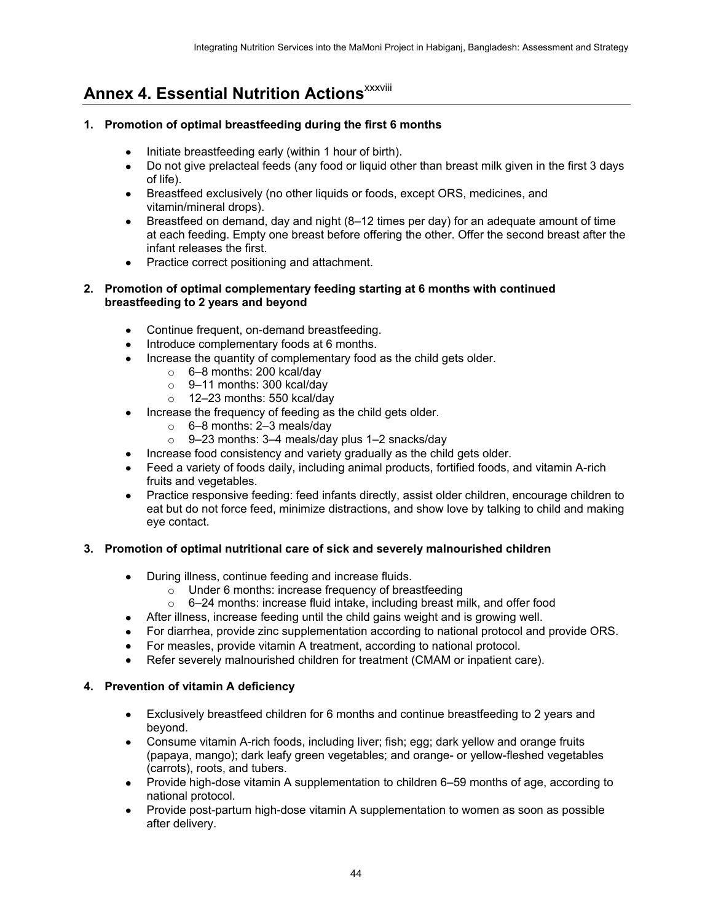# <span id="page-51-0"></span>**Annex 4. Essential Nutrition Actions**<sup>XXXVIII</sup>

#### **1. Promotion of optimal breastfeeding during the first 6 months**

- Initiate breastfeeding early (within 1 hour of birth).
- Do not give prelacteal feeds (any food or liquid other than breast milk given in the first 3 days of life).
- Breastfeed exclusively (no other liquids or foods, except ORS, medicines, and vitamin/mineral drops).
- Breastfeed on demand, day and night (8–12 times per day) for an adequate amount of time at each feeding. Empty one breast before offering the other. Offer the second breast after the infant releases the first.
- Practice correct positioning and attachment.

#### **2. Promotion of optimal complementary feeding starting at 6 months with continued breastfeeding to 2 years and beyond**

- Continue frequent, on-demand breastfeeding.
- Introduce complementary foods at 6 months.
- Increase the quantity of complementary food as the child gets older.
	- o 6–8 months: 200 kcal/day
	- o 9–11 months: 300 kcal/day
	- o 12–23 months: 550 kcal/day
- Increase the frequency of feeding as the child gets older.
	- $\circ$  6–8 months: 2–3 meals/day
	- $\circ$  9–23 months: 3–4 meals/day plus 1–2 snacks/day
- Increase food consistency and variety gradually as the child gets older.
- Feed a variety of foods daily, including animal products, fortified foods, and vitamin A-rich fruits and vegetables.
- Practice responsive feeding: feed infants directly, assist older children, encourage children to eat but do not force feed, minimize distractions, and show love by talking to child and making eye contact.

#### **3. Promotion of optimal nutritional care of sick and severely malnourished children**

- During illness, continue feeding and increase fluids.
	- o Under 6 months: increase frequency of breastfeeding
	- o 6–24 months: increase fluid intake, including breast milk, and offer food
- After illness, increase feeding until the child gains weight and is growing well.
- For diarrhea, provide zinc supplementation according to national protocol and provide ORS.
- For measles, provide vitamin A treatment, according to national protocol.
- Refer severely malnourished children for treatment (CMAM or inpatient care).

#### **4. Prevention of vitamin A deficiency**

- Exclusively breastfeed children for 6 months and continue breastfeeding to 2 years and beyond.
- Consume vitamin A-rich foods, including liver; fish; egg; dark yellow and orange fruits (papaya, mango); dark leafy green vegetables; and orange- or yellow-fleshed vegetables (carrots), roots, and tubers.
- Provide high-dose vitamin A supplementation to children 6–59 months of age, according to national protocol.
- Provide post-partum high-dose vitamin A supplementation to women as soon as possible after delivery.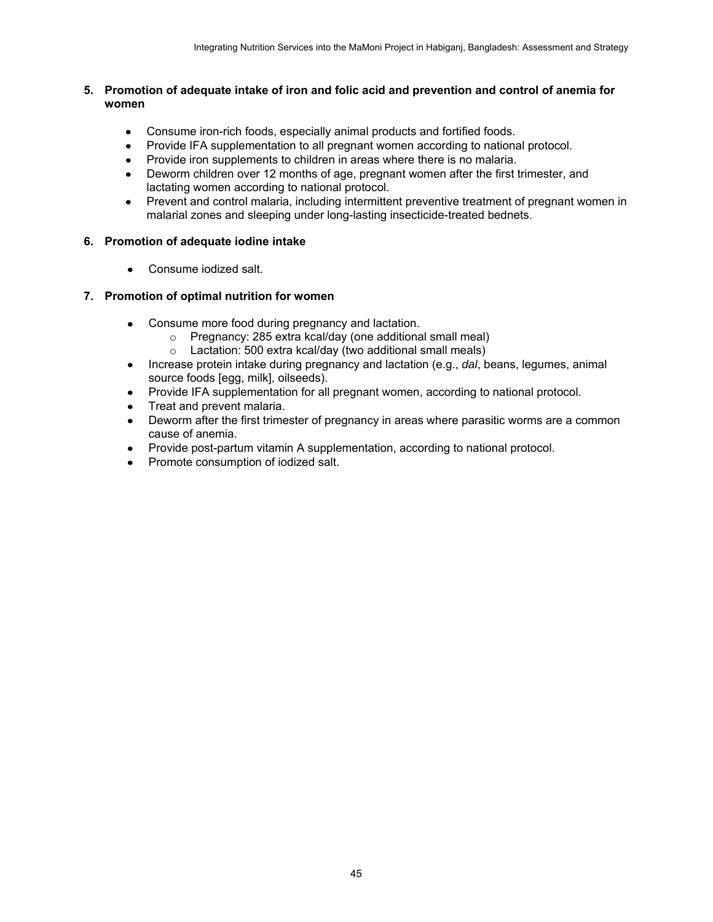#### **5. Promotion of adequate intake of iron and folic acid and prevention and control of anemia for women**

- Consume iron-rich foods, especially animal products and fortified foods.
- Provide IFA supplementation to all pregnant women according to national protocol.
- Provide iron supplements to children in areas where there is no malaria.
- Deworm children over 12 months of age, pregnant women after the first trimester, and lactating women according to national protocol.
- Prevent and control malaria, including intermittent preventive treatment of pregnant women in malarial zones and sleeping under long-lasting insecticide-treated bednets.

#### **6. Promotion of adequate iodine intake**

• Consume iodized salt.

#### **7. Promotion of optimal nutrition for women**

- Consume more food during pregnancy and lactation.
	- o Pregnancy: 285 extra kcal/day (one additional small meal)
	- o Lactation: 500 extra kcal/day (two additional small meals)
- Increase protein intake during pregnancy and lactation (e.g., *dal*, beans, legumes, animal source foods [egg, milk], oilseeds).
- Provide IFA supplementation for all pregnant women, according to national protocol.
- Treat and prevent malaria.
- Deworm after the first trimester of pregnancy in areas where parasitic worms are a common cause of anemia.
- Provide post-partum vitamin A supplementation, according to national protocol.
- Promote consumption of iodized salt.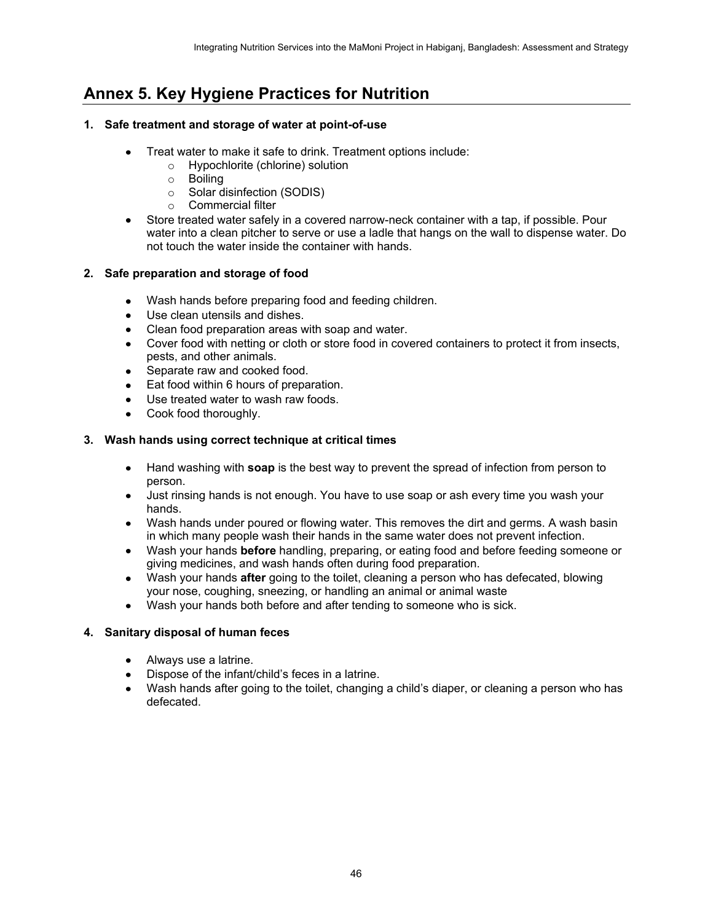# <span id="page-53-0"></span>**Annex 5. Key Hygiene Practices for Nutrition**

#### **1. Safe treatment and storage of water at point-of-use**

- Treat water to make it safe to drink. Treatment options include:
	- o Hypochlorite (chlorine) solution
		- o Boiling
	- o Solar disinfection (SODIS)
	- o Commercial filter
- Store treated water safely in a covered narrow-neck container with a tap, if possible. Pour water into a clean pitcher to serve or use a ladle that hangs on the wall to dispense water. Do not touch the water inside the container with hands.

#### **2. Safe preparation and storage of food**

- Wash hands before preparing food and feeding children.
- Use clean utensils and dishes.
- Clean food preparation areas with soap and water.
- Cover food with netting or cloth or store food in covered containers to protect it from insects, pests, and other animals.
- Separate raw and cooked food.
- **Eat food within 6 hours of preparation.**
- Use treated water to wash raw foods.
- Cook food thoroughly.

#### **3. Wash hands using correct technique at critical times**

- Hand washing with **soap** is the best way to prevent the spread of infection from person to person.
- Just rinsing hands is not enough. You have to use soap or ash every time you wash your hands.
- Wash hands under poured or flowing water. This removes the dirt and germs. A wash basin in which many people wash their hands in the same water does not prevent infection.
- Wash your hands **before** handling, preparing, or eating food and before feeding someone or giving medicines, and wash hands often during food preparation.
- Wash your hands **after** going to the toilet, cleaning a person who has defecated, blowing your nose, coughing, sneezing, or handling an animal or animal waste
- Wash your hands both before and after tending to someone who is sick.

#### **4. Sanitary disposal of human feces**

- Always use a latrine.
- Dispose of the infant/child's feces in a latrine.
- Wash hands after going to the toilet, changing a child's diaper, or cleaning a person who has defecated.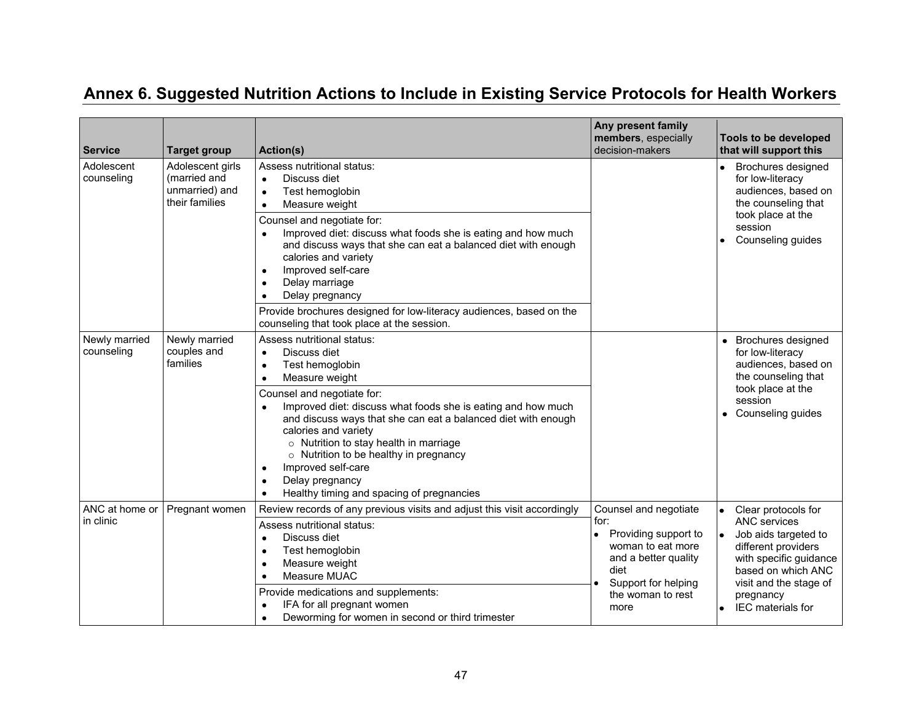<span id="page-54-0"></span>

| <b>Service</b>              | <b>Target group</b>                                                  | Action(s)                                                                                                                                                                                                                                                                                                                                                                                                                                                                                                                | Any present family<br>members, especially<br>decision-makers                                                                                                   | Tools to be developed<br>that will support this                                                                                                                                                              |
|-----------------------------|----------------------------------------------------------------------|--------------------------------------------------------------------------------------------------------------------------------------------------------------------------------------------------------------------------------------------------------------------------------------------------------------------------------------------------------------------------------------------------------------------------------------------------------------------------------------------------------------------------|----------------------------------------------------------------------------------------------------------------------------------------------------------------|--------------------------------------------------------------------------------------------------------------------------------------------------------------------------------------------------------------|
| Adolescent<br>counseling    | Adolescent girls<br>(married and<br>unmarried) and<br>their families | Assess nutritional status:<br>Discuss diet<br>$\bullet$<br>Test hemoglobin<br>$\bullet$<br>Measure weight<br>٠<br>Counsel and negotiate for:<br>Improved diet: discuss what foods she is eating and how much<br>and discuss ways that she can eat a balanced diet with enough<br>calories and variety<br>Improved self-care<br>$\bullet$<br>Delay marriage<br>Delay pregnancy<br>Provide brochures designed for low-literacy audiences, based on the                                                                     |                                                                                                                                                                | <b>Brochures designed</b><br>for low-literacy<br>audiences, based on<br>the counseling that<br>took place at the<br>session<br>Counseling guides                                                             |
| Newly married<br>counseling | Newly married<br>couples and<br>families                             | counseling that took place at the session.<br>Assess nutritional status:<br>Discuss diet<br>$\bullet$<br>Test hemoglobin<br>Measure weight<br>$\bullet$<br>Counsel and negotiate for:<br>Improved diet: discuss what foods she is eating and how much<br>and discuss ways that she can eat a balanced diet with enough<br>calories and variety<br>o Nutrition to stay health in marriage<br>○ Nutrition to be healthy in pregnancy<br>Improved self-care<br>Delay pregnancy<br>Healthy timing and spacing of pregnancies |                                                                                                                                                                | • Brochures designed<br>for low-literacy<br>audiences, based on<br>the counseling that<br>took place at the<br>session<br>Counseling guides                                                                  |
| ANC at home or<br>in clinic | Pregnant women                                                       | Review records of any previous visits and adjust this visit accordingly<br>Assess nutritional status:<br>Discuss diet<br>Test hemoglobin<br>Measure weight<br>Measure MUAC<br>Provide medications and supplements:<br>IFA for all pregnant women<br>Deworming for women in second or third trimester                                                                                                                                                                                                                     | Counsel and negotiate<br>for:<br>Providing support to<br>woman to eat more<br>and a better quality<br>diet<br>Support for helping<br>the woman to rest<br>more | Clear protocols for<br><b>ANC</b> services<br>Job aids targeted to<br>different providers<br>with specific guidance<br>based on which ANC<br>visit and the stage of<br>pregnancy<br><b>IEC</b> materials for |

# **Annex 6. Suggested Nutrition Actions to Include in Existing Service Protocols for Health Workers**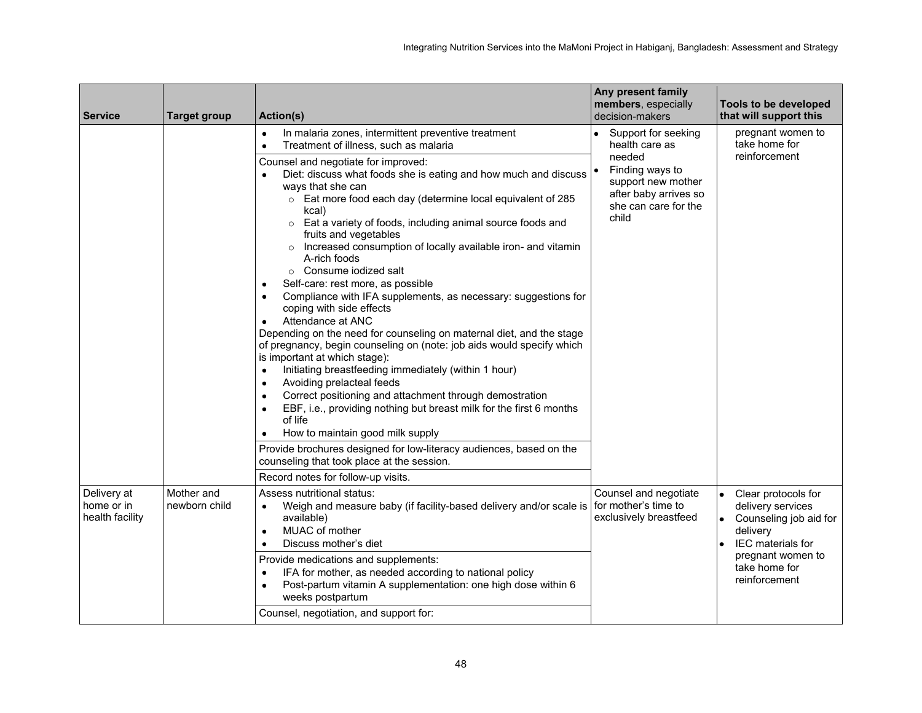| <b>Service</b>                               | <b>Target group</b>         | <b>Action(s)</b>                                                                                                                                                                                                                                                                                                                                                                                                                                                                                                                                                                                                                                                                                                                                                                                                                                                                                                                                                                                                                                                                                                                                                                                                                                                                                                                                                                                      | Any present family<br>members, especially<br>decision-makers                                                                                       | Tools to be developed<br>that will support this                                                                                                                                      |
|----------------------------------------------|-----------------------------|-------------------------------------------------------------------------------------------------------------------------------------------------------------------------------------------------------------------------------------------------------------------------------------------------------------------------------------------------------------------------------------------------------------------------------------------------------------------------------------------------------------------------------------------------------------------------------------------------------------------------------------------------------------------------------------------------------------------------------------------------------------------------------------------------------------------------------------------------------------------------------------------------------------------------------------------------------------------------------------------------------------------------------------------------------------------------------------------------------------------------------------------------------------------------------------------------------------------------------------------------------------------------------------------------------------------------------------------------------------------------------------------------------|----------------------------------------------------------------------------------------------------------------------------------------------------|--------------------------------------------------------------------------------------------------------------------------------------------------------------------------------------|
|                                              |                             | In malaria zones, intermittent preventive treatment<br>$\bullet$<br>Treatment of illness, such as malaria<br>$\bullet$<br>Counsel and negotiate for improved:<br>Diet: discuss what foods she is eating and how much and discuss  <br>ways that she can<br>o Eat more food each day (determine local equivalent of 285<br>kcal)<br>○ Eat a variety of foods, including animal source foods and<br>fruits and vegetables<br>Increased consumption of locally available iron- and vitamin<br>$\circ$<br>A-rich foods<br>○ Consume iodized salt<br>Self-care: rest more, as possible<br>Compliance with IFA supplements, as necessary: suggestions for<br>$\bullet$<br>coping with side effects<br>Attendance at ANC<br>$\bullet$<br>Depending on the need for counseling on maternal diet, and the stage<br>of pregnancy, begin counseling on (note: job aids would specify which<br>is important at which stage):<br>Initiating breastfeeding immediately (within 1 hour)<br>$\bullet$<br>Avoiding prelacteal feeds<br>$\bullet$<br>Correct positioning and attachment through demostration<br>$\bullet$<br>EBF, i.e., providing nothing but breast milk for the first 6 months<br>$\bullet$<br>of life<br>How to maintain good milk supply<br>Provide brochures designed for low-literacy audiences, based on the<br>counseling that took place at the session.<br>Record notes for follow-up visits. | Support for seeking<br>health care as<br>needed<br>Finding ways to<br>support new mother<br>after baby arrives so<br>she can care for the<br>child | pregnant women to<br>take home for<br>reinforcement                                                                                                                                  |
| Delivery at<br>home or in<br>health facility | Mother and<br>newborn child | Assess nutritional status:<br>Weigh and measure baby (if facility-based delivery and/or scale is<br>$\bullet$<br>available)<br>MUAC of mother<br>$\bullet$<br>Discuss mother's diet<br>$\bullet$<br>Provide medications and supplements:<br>IFA for mother, as needed according to national policy<br>٠<br>Post-partum vitamin A supplementation: one high dose within 6<br>$\bullet$<br>weeks postpartum<br>Counsel, negotiation, and support for:                                                                                                                                                                                                                                                                                                                                                                                                                                                                                                                                                                                                                                                                                                                                                                                                                                                                                                                                                   | Counsel and negotiate<br>for mother's time to<br>exclusively breastfeed                                                                            | Clear protocols for<br>$\bullet$<br>delivery services<br>Counseling job aid for<br>$\bullet$<br>delivery<br>IEC materials for<br>pregnant women to<br>take home for<br>reinforcement |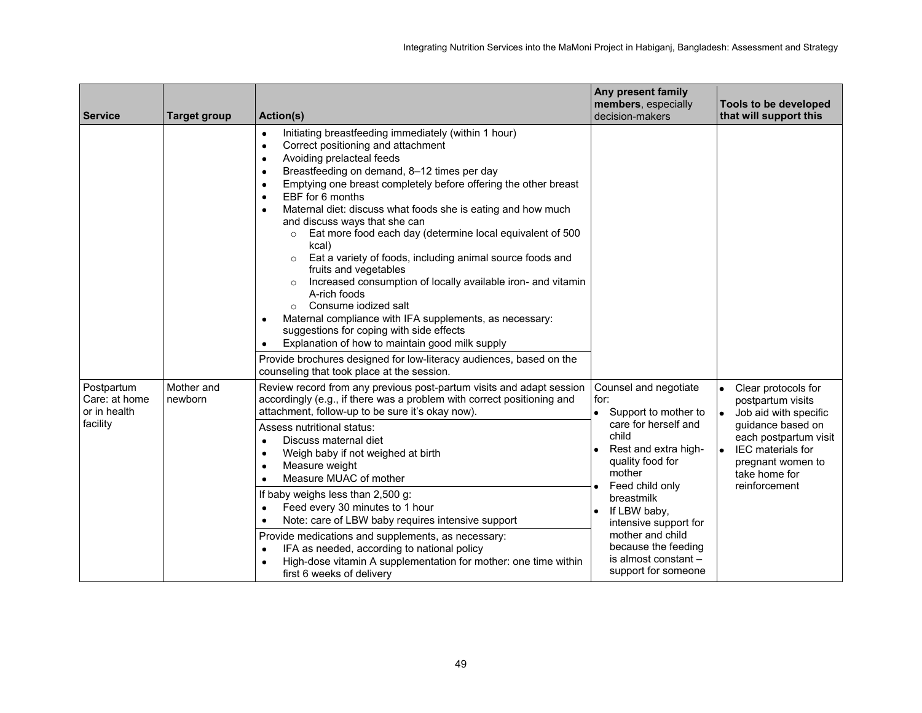| <b>Service</b>                                          | <b>Target group</b>   | <b>Action(s)</b>                                                                                                                                                                                                                                                                                                                                                                                                                                                                                                                                                                                                                                                                                                                                                                                                                                                                                                                                                | Any present family<br>members, especially<br>decision-makers                                                                                                                                                                                                                                                     | <b>Tools to be developed</b><br>that will support this                                                                                                                                             |
|---------------------------------------------------------|-----------------------|-----------------------------------------------------------------------------------------------------------------------------------------------------------------------------------------------------------------------------------------------------------------------------------------------------------------------------------------------------------------------------------------------------------------------------------------------------------------------------------------------------------------------------------------------------------------------------------------------------------------------------------------------------------------------------------------------------------------------------------------------------------------------------------------------------------------------------------------------------------------------------------------------------------------------------------------------------------------|------------------------------------------------------------------------------------------------------------------------------------------------------------------------------------------------------------------------------------------------------------------------------------------------------------------|----------------------------------------------------------------------------------------------------------------------------------------------------------------------------------------------------|
|                                                         |                       | Initiating breastfeeding immediately (within 1 hour)<br>$\bullet$<br>Correct positioning and attachment<br>$\bullet$<br>Avoiding prelacteal feeds<br>٠<br>Breastfeeding on demand, 8-12 times per day<br>$\bullet$<br>Emptying one breast completely before offering the other breast<br>٠<br>EBF for 6 months<br>Maternal diet: discuss what foods she is eating and how much<br>٠<br>and discuss ways that she can<br>Eat more food each day (determine local equivalent of 500<br>kcal)<br>Eat a variety of foods, including animal source foods and<br>$\circ$<br>fruits and vegetables<br>Increased consumption of locally available iron- and vitamin<br>$\circ$<br>A-rich foods<br>Consume iodized salt<br>$\circ$<br>Maternal compliance with IFA supplements, as necessary:<br>٠<br>suggestions for coping with side effects<br>Explanation of how to maintain good milk supply<br>Provide brochures designed for low-literacy audiences, based on the |                                                                                                                                                                                                                                                                                                                  |                                                                                                                                                                                                    |
| Postpartum<br>Care: at home<br>or in health<br>facility | Mother and<br>newborn | counseling that took place at the session.<br>Review record from any previous post-partum visits and adapt session<br>accordingly (e.g., if there was a problem with correct positioning and<br>attachment, follow-up to be sure it's okay now).<br>Assess nutritional status:<br>Discuss maternal diet<br>$\bullet$<br>Weigh baby if not weighed at birth<br>٠<br>Measure weight<br>٠<br>Measure MUAC of mother<br>If baby weighs less than 2,500 g:<br>Feed every 30 minutes to 1 hour<br>Note: care of LBW baby requires intensive support<br>Provide medications and supplements, as necessary:<br>IFA as needed, according to national policy<br>High-dose vitamin A supplementation for mother: one time within<br>first 6 weeks of delivery                                                                                                                                                                                                              | Counsel and negotiate<br>for:<br>Support to mother to<br>care for herself and<br>child<br>Rest and extra high-<br>quality food for<br>mother<br>Feed child only<br>breastmilk<br>If LBW baby,<br>intensive support for<br>mother and child<br>because the feeding<br>is almost constant -<br>support for someone | Clear protocols for<br>postpartum visits<br>Job aid with specific<br>guidance based on<br>each postpartum visit<br><b>IEC</b> materials for<br>pregnant women to<br>take home for<br>reinforcement |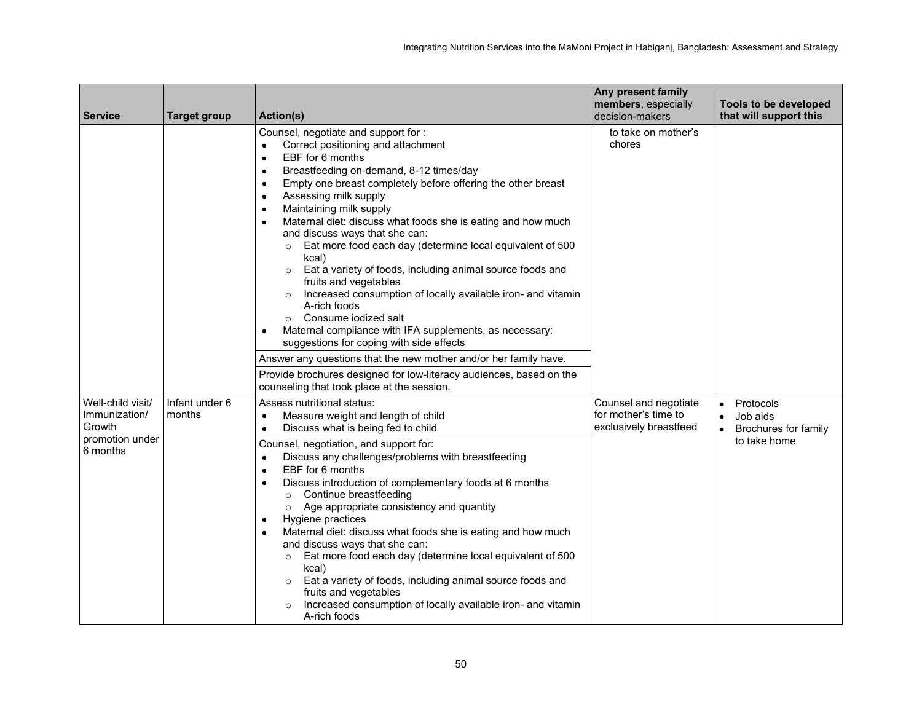| <b>Service</b>                                                              | <b>Target group</b>      | <b>Action(s)</b>                                                                                                                                                                                                                                                                                                                                                                                                                                                                                                                                                                                                                                                                                                                                                                                                                                                 | Any present family<br>members, especially<br>decision-makers            | Tools to be developed<br>that will support this                                         |
|-----------------------------------------------------------------------------|--------------------------|------------------------------------------------------------------------------------------------------------------------------------------------------------------------------------------------------------------------------------------------------------------------------------------------------------------------------------------------------------------------------------------------------------------------------------------------------------------------------------------------------------------------------------------------------------------------------------------------------------------------------------------------------------------------------------------------------------------------------------------------------------------------------------------------------------------------------------------------------------------|-------------------------------------------------------------------------|-----------------------------------------------------------------------------------------|
|                                                                             |                          | Counsel, negotiate and support for :<br>Correct positioning and attachment<br>$\bullet$<br>EBF for 6 months<br>$\bullet$<br>Breastfeeding on-demand, 8-12 times/day<br>$\bullet$<br>Empty one breast completely before offering the other breast<br>٠<br>Assessing milk supply<br>$\bullet$<br>Maintaining milk supply<br>$\bullet$<br>Maternal diet: discuss what foods she is eating and how much<br>$\bullet$<br>and discuss ways that she can:<br>Eat more food each day (determine local equivalent of 500<br>$\circ$<br>kcal)<br>Eat a variety of foods, including animal source foods and<br>$\circ$<br>fruits and vegetables<br>Increased consumption of locally available iron- and vitamin<br>$\circ$<br>A-rich foods<br>○ Consume iodized salt<br>Maternal compliance with IFA supplements, as necessary:<br>suggestions for coping with side effects | to take on mother's<br>chores                                           |                                                                                         |
|                                                                             |                          | Answer any questions that the new mother and/or her family have.<br>Provide brochures designed for low-literacy audiences, based on the<br>counseling that took place at the session.                                                                                                                                                                                                                                                                                                                                                                                                                                                                                                                                                                                                                                                                            |                                                                         |                                                                                         |
| Well-child visit/<br>Immunization/<br>Growth<br>promotion under<br>6 months | Infant under 6<br>months | Assess nutritional status:<br>Measure weight and length of child<br>Discuss what is being fed to child<br>٠<br>Counsel, negotiation, and support for:<br>Discuss any challenges/problems with breastfeeding<br>$\bullet$<br>EBF for 6 months<br>$\bullet$<br>Discuss introduction of complementary foods at 6 months<br>$\bullet$<br>Continue breastfeeding<br>$\circ$<br>Age appropriate consistency and quantity<br>$\circ$<br>Hygiene practices<br>$\bullet$<br>Maternal diet: discuss what foods she is eating and how much<br>٠<br>and discuss ways that she can:<br>Eat more food each day (determine local equivalent of 500<br>$\circ$<br>kcal)<br>Eat a variety of foods, including animal source foods and<br>$\circ$<br>fruits and vegetables<br>Increased consumption of locally available iron- and vitamin<br>$\circ$<br>A-rich foods              | Counsel and negotiate<br>for mother's time to<br>exclusively breastfeed | Protocols<br>$\bullet$<br>Job aids<br>$\bullet$<br>Brochures for family<br>to take home |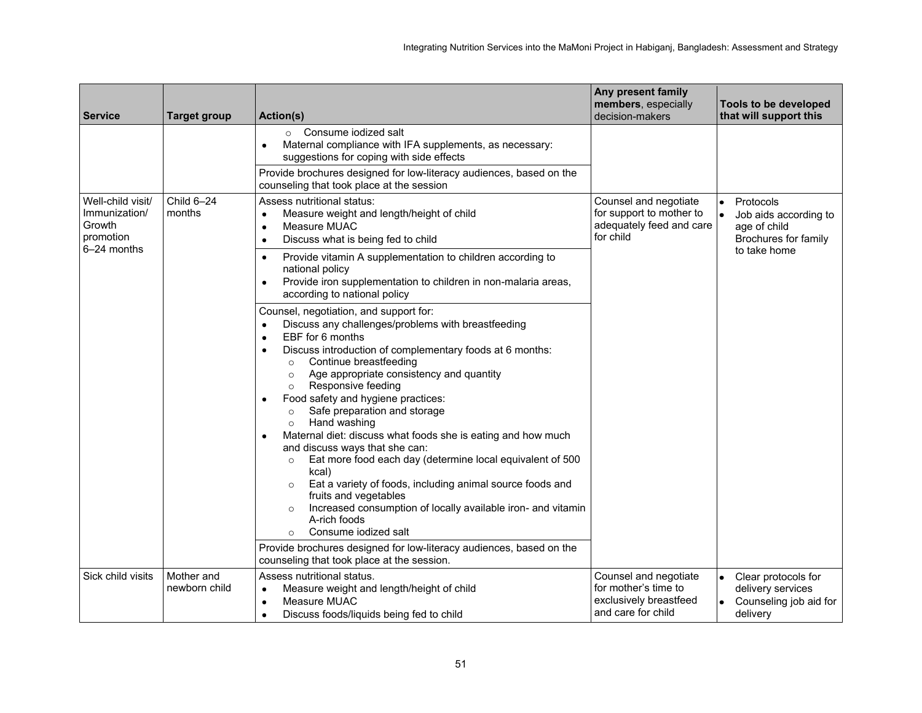| <b>Service</b>                                            | <b>Target group</b>         | Action(s)                                                                                                                                                                                                                                                                                                                                                                                                                                                                                                                                                                                                                                                                                                                                                                                                                                                 | Any present family<br>members, especially<br>decision-makers                                  | Tools to be developed<br>that will support this                                |
|-----------------------------------------------------------|-----------------------------|-----------------------------------------------------------------------------------------------------------------------------------------------------------------------------------------------------------------------------------------------------------------------------------------------------------------------------------------------------------------------------------------------------------------------------------------------------------------------------------------------------------------------------------------------------------------------------------------------------------------------------------------------------------------------------------------------------------------------------------------------------------------------------------------------------------------------------------------------------------|-----------------------------------------------------------------------------------------------|--------------------------------------------------------------------------------|
|                                                           |                             | Consume iodized salt<br>$\circ$<br>Maternal compliance with IFA supplements, as necessary:<br>٠<br>suggestions for coping with side effects                                                                                                                                                                                                                                                                                                                                                                                                                                                                                                                                                                                                                                                                                                               |                                                                                               |                                                                                |
|                                                           |                             | Provide brochures designed for low-literacy audiences, based on the<br>counseling that took place at the session                                                                                                                                                                                                                                                                                                                                                                                                                                                                                                                                                                                                                                                                                                                                          |                                                                                               |                                                                                |
| Well-child visit/<br>Immunization/<br>Growth<br>promotion | Child 6-24<br>months        | Assess nutritional status:<br>Measure weight and length/height of child<br>٠<br>Measure MUAC<br>٠<br>Discuss what is being fed to child<br>$\bullet$                                                                                                                                                                                                                                                                                                                                                                                                                                                                                                                                                                                                                                                                                                      | Counsel and negotiate<br>for support to mother to<br>adequately feed and care<br>for child    | Protocols<br>Job aids according to<br>age of child<br>Brochures for family     |
| 6-24 months                                               |                             | Provide vitamin A supplementation to children according to<br>٠<br>national policy<br>Provide iron supplementation to children in non-malaria areas,<br>$\bullet$<br>according to national policy                                                                                                                                                                                                                                                                                                                                                                                                                                                                                                                                                                                                                                                         |                                                                                               | to take home                                                                   |
|                                                           |                             | Counsel, negotiation, and support for:<br>Discuss any challenges/problems with breastfeeding<br>$\bullet$<br>EBF for 6 months<br>٠<br>Discuss introduction of complementary foods at 6 months:<br>Continue breastfeeding<br>$\circ$<br>Age appropriate consistency and quantity<br>$\circ$<br>Responsive feeding<br>$\circ$<br>Food safety and hygiene practices:<br>Safe preparation and storage<br>$\circ$<br>Hand washing<br>$\circ$<br>Maternal diet: discuss what foods she is eating and how much<br>and discuss ways that she can:<br>Eat more food each day (determine local equivalent of 500<br>$\circ$<br>kcal)<br>Eat a variety of foods, including animal source foods and<br>$\circ$<br>fruits and vegetables<br>Increased consumption of locally available iron- and vitamin<br>$\circ$<br>A-rich foods<br>Consume jodized salt<br>$\circ$ |                                                                                               |                                                                                |
|                                                           |                             | Provide brochures designed for low-literacy audiences, based on the<br>counseling that took place at the session.                                                                                                                                                                                                                                                                                                                                                                                                                                                                                                                                                                                                                                                                                                                                         |                                                                                               |                                                                                |
| Sick child visits                                         | Mother and<br>newborn child | Assess nutritional status.<br>Measure weight and length/height of child<br>٠<br>Measure MUAC<br>٠<br>Discuss foods/liquids being fed to child<br>٠                                                                                                                                                                                                                                                                                                                                                                                                                                                                                                                                                                                                                                                                                                        | Counsel and negotiate<br>for mother's time to<br>exclusively breastfeed<br>and care for child | Clear protocols for<br>delivery services<br>Counseling job aid for<br>delivery |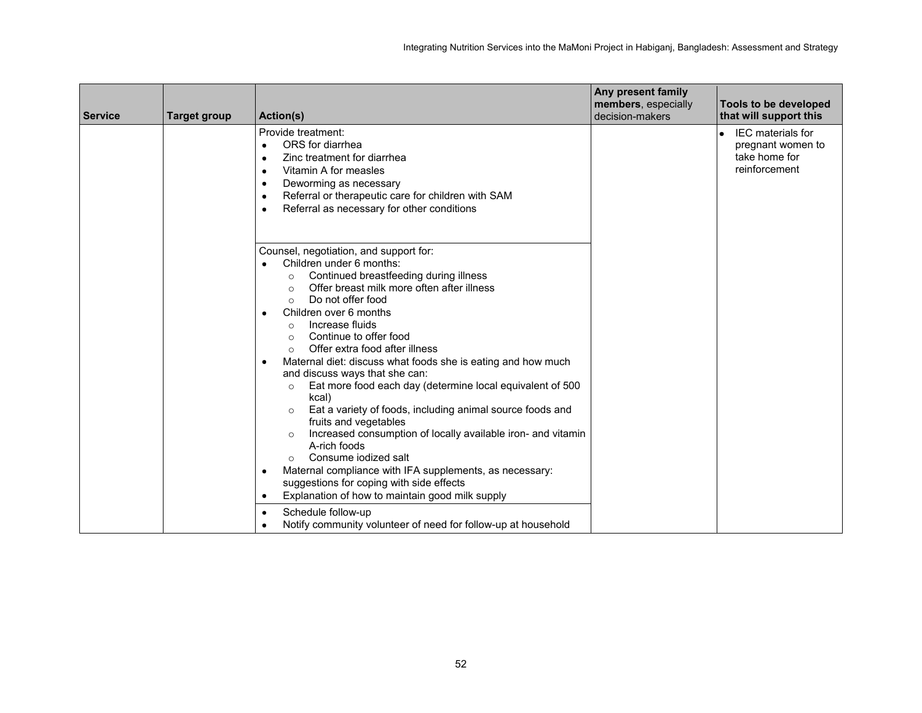| <b>Service</b> | <b>Target group</b> | <b>Action(s)</b>                                                                                                                                                                                                                                                                                                                                                                                                                                                                                                                                                                                                                                                                                                                                                                                                                                                                                                                                         | Any present family<br>members, especially<br>decision-makers | Tools to be developed<br>that will support this                                              |
|----------------|---------------------|----------------------------------------------------------------------------------------------------------------------------------------------------------------------------------------------------------------------------------------------------------------------------------------------------------------------------------------------------------------------------------------------------------------------------------------------------------------------------------------------------------------------------------------------------------------------------------------------------------------------------------------------------------------------------------------------------------------------------------------------------------------------------------------------------------------------------------------------------------------------------------------------------------------------------------------------------------|--------------------------------------------------------------|----------------------------------------------------------------------------------------------|
|                |                     | Provide treatment:<br>ORS for diarrhea<br>$\bullet$<br>Zinc treatment for diarrhea<br>$\bullet$<br>Vitamin A for measles<br>$\bullet$<br>Deworming as necessary<br>٠<br>Referral or therapeutic care for children with SAM<br>٠<br>Referral as necessary for other conditions<br>٠                                                                                                                                                                                                                                                                                                                                                                                                                                                                                                                                                                                                                                                                       |                                                              | <b>IEC</b> materials for<br>$\bullet$<br>pregnant women to<br>take home for<br>reinforcement |
|                |                     | Counsel, negotiation, and support for:<br>Children under 6 months:<br>Continued breastfeeding during illness<br>$\circ$<br>Offer breast milk more often after illness<br>$\Omega$<br>Do not offer food<br>$\circ$<br>Children over 6 months<br>$\bullet$<br>Increase fluids<br>$\circ$<br>Continue to offer food<br>$\circ$<br>Offer extra food after illness<br>$\circ$<br>Maternal diet: discuss what foods she is eating and how much<br>٠<br>and discuss ways that she can:<br>Eat more food each day (determine local equivalent of 500<br>$\circ$<br>kcal)<br>Eat a variety of foods, including animal source foods and<br>$\circ$<br>fruits and vegetables<br>Increased consumption of locally available iron- and vitamin<br>$\circ$<br>A-rich foods<br>Consume jodized salt<br>Maternal compliance with IFA supplements, as necessary:<br>٠<br>suggestions for coping with side effects<br>Explanation of how to maintain good milk supply<br>٠ |                                                              |                                                                                              |
|                |                     | Schedule follow-up<br>Notify community volunteer of need for follow-up at household<br>$\bullet$                                                                                                                                                                                                                                                                                                                                                                                                                                                                                                                                                                                                                                                                                                                                                                                                                                                         |                                                              |                                                                                              |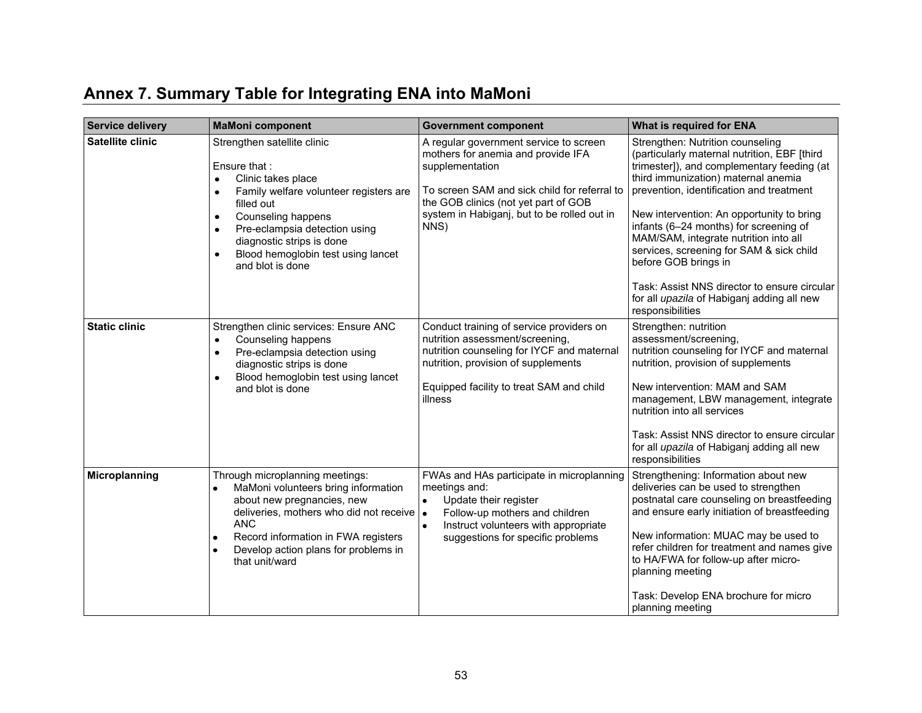<span id="page-60-0"></span>

| <b>Service delivery</b> | <b>MaMoni component</b>                                                                                                                                                                                                                                                                                             | <b>Government component</b>                                                                                                                                                                                                                    | What is required for ENA                                                                                                                                                                                                                                                                                                                                                                                                                                                                                                                |
|-------------------------|---------------------------------------------------------------------------------------------------------------------------------------------------------------------------------------------------------------------------------------------------------------------------------------------------------------------|------------------------------------------------------------------------------------------------------------------------------------------------------------------------------------------------------------------------------------------------|-----------------------------------------------------------------------------------------------------------------------------------------------------------------------------------------------------------------------------------------------------------------------------------------------------------------------------------------------------------------------------------------------------------------------------------------------------------------------------------------------------------------------------------------|
| Satellite clinic        | Strengthen satellite clinic<br>Ensure that:<br>Clinic takes place<br>$\bullet$<br>Family welfare volunteer registers are<br>$\bullet$<br>filled out<br>Counseling happens<br>$\bullet$<br>Pre-eclampsia detection using<br>٠<br>diagnostic strips is done<br>Blood hemoglobin test using lancet<br>and blot is done | A regular government service to screen<br>mothers for anemia and provide IFA<br>supplementation<br>To screen SAM and sick child for referral to<br>the GOB clinics (not yet part of GOB<br>system in Habiganj, but to be rolled out in<br>NNS) | Strengthen: Nutrition counseling<br>(particularly maternal nutrition, EBF [third<br>trimester]), and complementary feeding (at<br>third immunization) maternal anemia<br>prevention, identification and treatment<br>New intervention: An opportunity to bring<br>infants (6-24 months) for screening of<br>MAM/SAM, integrate nutrition into all<br>services, screening for SAM & sick child<br>before GOB brings in<br>Task: Assist NNS director to ensure circular<br>for all upazila of Habiganj adding all new<br>responsibilities |
| <b>Static clinic</b>    | Strengthen clinic services: Ensure ANC<br>Counseling happens<br>$\bullet$<br>Pre-eclampsia detection using<br>$\bullet$<br>diagnostic strips is done<br>Blood hemoglobin test using lancet<br>$\bullet$<br>and blot is done                                                                                         | Conduct training of service providers on<br>nutrition assessment/screening,<br>nutrition counseling for IYCF and maternal<br>nutrition, provision of supplements<br>Equipped facility to treat SAM and child<br>illness                        | Strengthen: nutrition<br>assessment/screening,<br>nutrition counseling for IYCF and maternal<br>nutrition, provision of supplements<br>New intervention: MAM and SAM<br>management, LBW management, integrate<br>nutrition into all services<br>Task: Assist NNS director to ensure circular<br>for all upazila of Habiganj adding all new<br>responsibilities                                                                                                                                                                          |
| Microplanning           | Through microplanning meetings:<br>MaMoni volunteers bring information<br>about new pregnancies, new<br>deliveries, mothers who did not receive $\cdot$<br><b>ANC</b><br>Record information in FWA registers<br>٠<br>Develop action plans for problems in<br>that unit/ward                                         | FWAs and HAs participate in microplanning<br>meetings and:<br>$\bullet$<br>Update their register<br>Follow-up mothers and children<br>Instruct volunteers with appropriate<br>$\bullet$<br>suggestions for specific problems                   | Strengthening: Information about new<br>deliveries can be used to strengthen<br>postnatal care counseling on breastfeeding<br>and ensure early initiation of breastfeeding<br>New information: MUAC may be used to<br>refer children for treatment and names give<br>to HA/FWA for follow-up after micro-<br>planning meeting<br>Task: Develop ENA brochure for micro<br>planning meeting                                                                                                                                               |

# **Annex 7. Summary Table for Integrating ENA into MaMoni**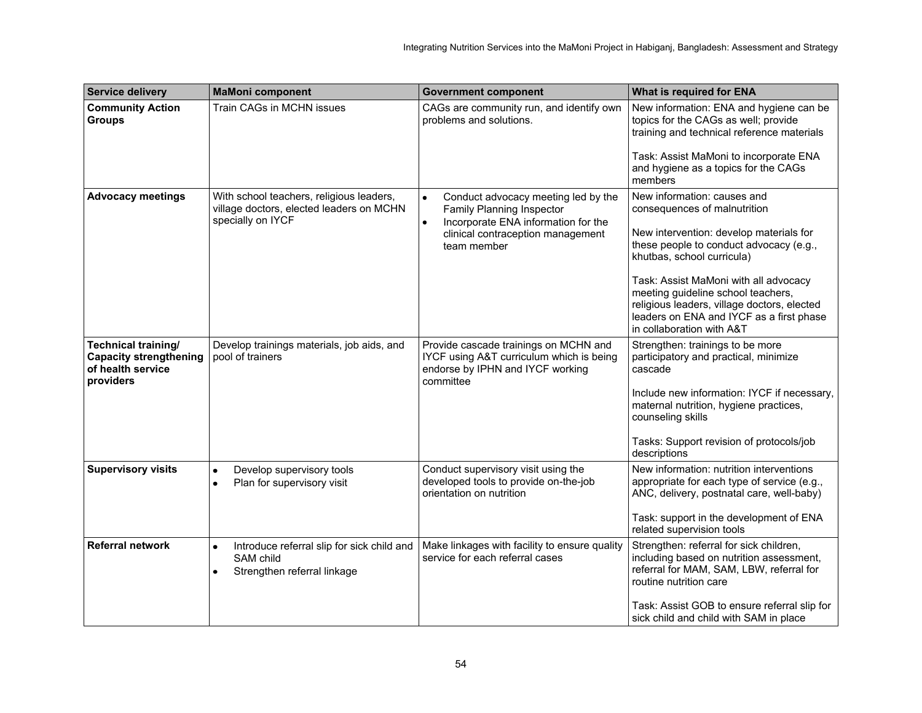| <b>Service delivery</b>                                                                       | <b>MaMoni component</b>                                                                                          | <b>Government component</b>                                                                                                                                                           | What is required for ENA                                                                                                                                                                                                                                                                                                                                                               |
|-----------------------------------------------------------------------------------------------|------------------------------------------------------------------------------------------------------------------|---------------------------------------------------------------------------------------------------------------------------------------------------------------------------------------|----------------------------------------------------------------------------------------------------------------------------------------------------------------------------------------------------------------------------------------------------------------------------------------------------------------------------------------------------------------------------------------|
| <b>Community Action</b><br><b>Groups</b>                                                      | Train CAGs in MCHN issues                                                                                        | CAGs are community run, and identify own<br>problems and solutions.                                                                                                                   | New information: ENA and hygiene can be<br>topics for the CAGs as well; provide<br>training and technical reference materials<br>Task: Assist MaMoni to incorporate ENA<br>and hygiene as a topics for the CAGs<br>members                                                                                                                                                             |
| <b>Advocacy meetings</b>                                                                      | With school teachers, religious leaders,<br>village doctors, elected leaders on MCHN<br>specially on IYCF        | Conduct advocacy meeting led by the<br>$\bullet$<br>Family Planning Inspector<br>Incorporate ENA information for the<br>$\bullet$<br>clinical contraception management<br>team member | New information: causes and<br>consequences of malnutrition<br>New intervention: develop materials for<br>these people to conduct advocacy (e.g.,<br>khutbas, school curricula)<br>Task: Assist MaMoni with all advocacy<br>meeting guideline school teachers,<br>religious leaders, village doctors, elected<br>leaders on ENA and IYCF as a first phase<br>in collaboration with A&T |
| <b>Technical training/</b><br><b>Capacity strengthening</b><br>of health service<br>providers | Develop trainings materials, job aids, and<br>pool of trainers                                                   | Provide cascade trainings on MCHN and<br>IYCF using A&T curriculum which is being<br>endorse by IPHN and IYCF working<br>committee                                                    | Strengthen: trainings to be more<br>participatory and practical, minimize<br>cascade<br>Include new information: IYCF if necessary,<br>maternal nutrition, hygiene practices,<br>counseling skills<br>Tasks: Support revision of protocols/job<br>descriptions                                                                                                                         |
| <b>Supervisory visits</b>                                                                     | Develop supervisory tools<br>$\bullet$<br>Plan for supervisory visit<br>$\bullet$                                | Conduct supervisory visit using the<br>developed tools to provide on-the-job<br>orientation on nutrition                                                                              | New information: nutrition interventions<br>appropriate for each type of service (e.g.,<br>ANC, delivery, postnatal care, well-baby)<br>Task: support in the development of ENA<br>related supervision tools                                                                                                                                                                           |
| <b>Referral network</b>                                                                       | Introduce referral slip for sick child and<br>$\bullet$<br>SAM child<br>Strengthen referral linkage<br>$\bullet$ | Make linkages with facility to ensure quality<br>service for each referral cases                                                                                                      | Strengthen: referral for sick children,<br>including based on nutrition assessment,<br>referral for MAM, SAM, LBW, referral for<br>routine nutrition care<br>Task: Assist GOB to ensure referral slip for<br>sick child and child with SAM in place                                                                                                                                    |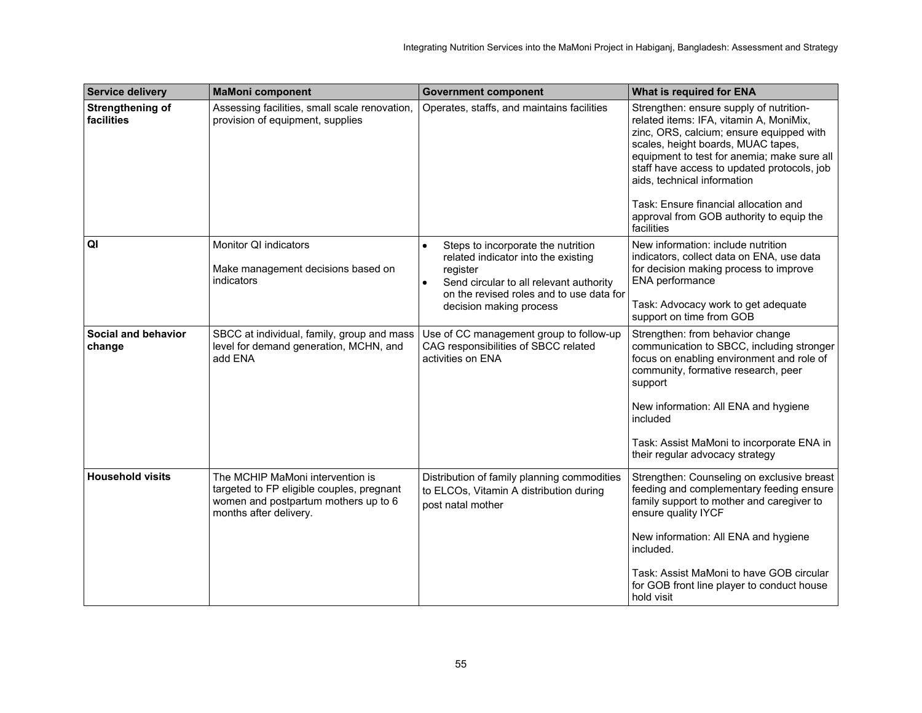| <b>Service delivery</b>               | <b>MaMoni component</b>                                                                                                                         | <b>Government component</b>                                                                                                                                                                                          | What is required for ENA                                                                                                                                                                                                                                                                                                                                                                             |
|---------------------------------------|-------------------------------------------------------------------------------------------------------------------------------------------------|----------------------------------------------------------------------------------------------------------------------------------------------------------------------------------------------------------------------|------------------------------------------------------------------------------------------------------------------------------------------------------------------------------------------------------------------------------------------------------------------------------------------------------------------------------------------------------------------------------------------------------|
| <b>Strengthening of</b><br>facilities | Assessing facilities, small scale renovation,<br>provision of equipment, supplies                                                               | Operates, staffs, and maintains facilities                                                                                                                                                                           | Strengthen: ensure supply of nutrition-<br>related items: IFA, vitamin A, MoniMix,<br>zinc, ORS, calcium; ensure equipped with<br>scales, height boards, MUAC tapes,<br>equipment to test for anemia; make sure all<br>staff have access to updated protocols, job<br>aids, technical information<br>Task: Ensure financial allocation and<br>approval from GOB authority to equip the<br>facilities |
| QI                                    | Monitor QI indicators<br>Make management decisions based on<br>indicators                                                                       | Steps to incorporate the nutrition<br>$\bullet$<br>related indicator into the existing<br>register<br>Send circular to all relevant authority<br>on the revised roles and to use data for<br>decision making process | New information: include nutrition<br>indicators, collect data on ENA, use data<br>for decision making process to improve<br>ENA performance<br>Task: Advocacy work to get adequate<br>support on time from GOB                                                                                                                                                                                      |
| Social and behavior<br>change         | SBCC at individual, family, group and mass<br>level for demand generation, MCHN, and<br>add ENA                                                 | Use of CC management group to follow-up<br>CAG responsibilities of SBCC related<br>activities on ENA                                                                                                                 | Strengthen: from behavior change<br>communication to SBCC, including stronger<br>focus on enabling environment and role of<br>community, formative research, peer<br>support<br>New information: All ENA and hygiene<br>included<br>Task: Assist MaMoni to incorporate ENA in<br>their regular advocacy strategy                                                                                     |
| <b>Household visits</b>               | The MCHIP MaMoni intervention is<br>targeted to FP eligible couples, pregnant<br>women and postpartum mothers up to 6<br>months after delivery. | Distribution of family planning commodities<br>to ELCOs, Vitamin A distribution during<br>post natal mother                                                                                                          | Strengthen: Counseling on exclusive breast<br>feeding and complementary feeding ensure<br>family support to mother and caregiver to<br>ensure quality IYCF<br>New information: All ENA and hygiene<br>included.<br>Task: Assist MaMoni to have GOB circular<br>for GOB front line player to conduct house<br>hold visit                                                                              |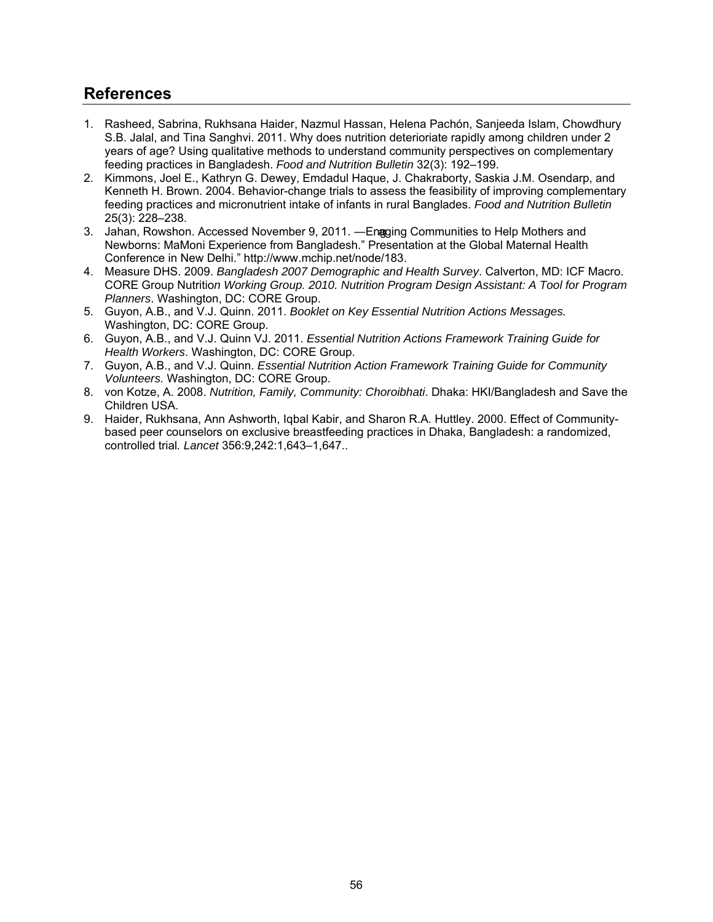## <span id="page-63-0"></span>**References**

- 1. Rasheed, Sabrina, Rukhsana Haider, Nazmul Hassan, Helena Pachón, Sanjeeda Islam, Chowdhury S.B. Jalal, and Tina Sanghvi. 2011. Why does nutrition deterioriate rapidly among children under 2 years of age? Using qualitative methods to understand community perspectives on complementary feeding practices in Bangladesh. *Food and Nutrition Bulletin* 32(3): 192–199.
- 2. Kimmons, Joel E., Kathryn G. Dewey, Emdadul Haque, J. Chakraborty, Saskia J.M. Osendarp, and Kenneth H. Brown. 2004. Behavior-change trials to assess the feasibility of improving complementary feeding practices and micronutrient intake of infants in rural Banglades. *Food and Nutrition Bulletin* 25(3): 228–238.
- 3. Jahan, Rowshon. Accessed November 9, 2011. ―Engaging Communities to Help Mothers and Newborns: MaMoni Experience from Bangladesh." Presentation at the Global Maternal Health Conference in New Delhi." [http://www.mchip.net/node/183.](http://www.mchip.net/node/183)
- 4. Measure DHS. 2009. *Bangladesh 2007 Demographic and Health Survey*. Calverton, MD: ICF Macro. CORE Group Nutritio*n Working Group. 2010. Nutrition Program Design Assistant: A Tool for Program Planners*. Washington, DC: CORE Group.
- 5. Guyon, A.B., and V.J. Quinn. 2011. *Booklet on Key Essential Nutrition Actions Messages.* Washington, DC: CORE Group.
- 6. Guyon, A.B., and V.J. Quinn VJ. 2011. *Essential Nutrition Actions Framework Training Guide for Health Workers*. Washington, DC: CORE Group.
- 7. Guyon, A.B., and V.J. Quinn. *Essential Nutrition Action Framework Training Guide for Community Volunteers.* Washington, DC: CORE Group.
- 8. von Kotze, A. 2008. *Nutrition, Family, Community: Choroibhati*. Dhaka: HKI/Bangladesh and Save the Children USA.
- 9. Haider, Rukhsana, Ann Ashworth, Iqbal Kabir, and Sharon R.A. Huttley. 2000. Effect of Communitybased peer counselors on exclusive breastfeeding practices in Dhaka, Bangladesh: a randomized, controlled trial*. Lancet* 356:9,242:1,643–1,647..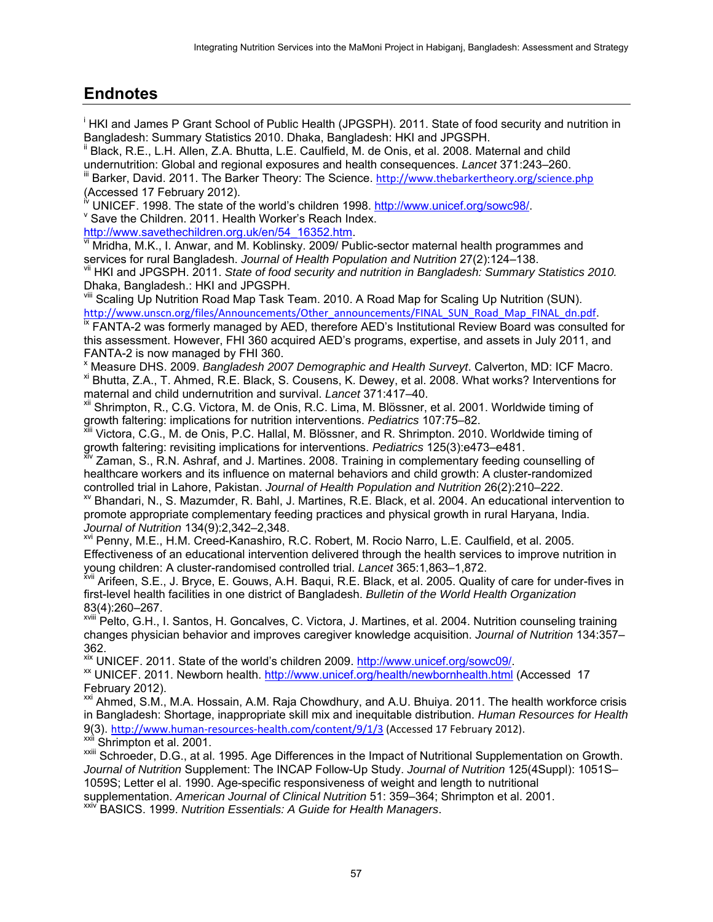## <span id="page-64-0"></span>**Endnotes**

i HKI and James P Grant School of Public Health (JPGSPH). 2011. State of food security and nutrition in Bangladesh: Summary Statistics 2010. Dhaka, Bangladesh: HKI and JPGSPH.

<sup>ii</sup> Black, R.E., L.H. Allen, Z.A. Bhutta, L.E. Caulfield, M. de Onis, et al. 2008. Maternal and child undernutrition: Global and regional exposures and health consequences. *Lancet* 371:243–260.

Barker, David. 2011. The Barker Theory: The Science. <http://www.thebarkertheory.org/science.php> (Accessed 17 February 2012).

UNICEF. 1998. The state of the world's children 1998. [http://www.unicef.org/sowc98/.](http://www.unicef.org/sowc98/)

 $\mathrm{v}$  Save the Children. 2011. Health Worker's Reach Index.

[http://www.savethechildren.org.uk/en/54\\_16352.htm.](http://www.savethechildren.org.uk/en/54_16352.htm)

vi Mridha, M.K., I. Anwar, and M. Koblinsky. 2009/ Public-sector maternal health programmes and services for rural Bangladesh. *Journal of Health Population and Nutrition* 27(2):124–138.

vii HKI and JPGSPH. 2011. *State of food security and nutrition in Bangladesh: Summary Statistics 2010.* Dhaka, Bangladesh.: HKI and JPGSPH.

vill Scaling Up Nutrition Road Map Task Team. 2010. A Road Map for Scaling Up Nutrition (SUN). [http://www.unscn.org/files/Announcements/Other\\_announcements/FINAL\\_SUN\\_Road\\_Map\\_FINAL\\_dn.pdf](http://www.unscn.org/files/Announcements/Other_announcements/FINAL_SUN_Road_Map_FINAL_dn.pdf).

<sup>ix</sup> FANTA-2 was formerly managed by AED, therefore AED's Institutional Review Board was consulted for this assessment. However, FHI 360 acquired AED's programs, expertise, and assets in July 2011, and FANTA-2 is now managed by FHI 360.

x Measure DHS. 2009. *Bangladesh 2007 Demographic and Health Surveyt*. Calverton, MD: ICF Macro. xi Bhutta, Z.A., T. Ahmed, R.E. Black, S. Cousens, K. Dewey, et al. 2008. What works? Interventions for maternal and child undernutrition and survival. *Lancet* 371:417–40.

Shrimpton, R., C.G. Victora, M. de Onis, R.C. Lima, M. Blössner, et al. 2001. Worldwide timing of growth faltering: implications for nutrition interventions. *Pediatrics* 107:75–82.

Victora, C.G., M. de Onis, P.C. Hallal, M. Blössner, and R. Shrimpton. 2010. Worldwide timing of growth faltering: revisiting implications for interventions. *Pediatrics* 125(3):e473–e481.

 $\vec{x}$ <sup>V</sup> Zaman, S., R.N. Ashraf, and J. Martines. 2008. Training in complementary feeding counselling of healthcare workers and its influence on maternal behaviors and child growth: A cluster-randomized controlled trial in Lahore, Pakistan. *Journal of Health Population and Nutrition* 26(2):210–222.

xv Bhandari, N., S. Mazumder, R. Bahl, J. Martines, R.E. Black, et al. 2004. An educational intervention to promote appropriate complementary feeding practices and physical growth in rural Haryana, India. *Journal of Nutrition* 134(9):2,342–2,348.

xvi Penny, M.E., H.M. Creed-Kanashiro, R.C. Robert, M. Rocio Narro, L.E. Caulfield, et al. 2005. Effectiveness of an educational intervention delivered through the health services to improve nutrition in young children: A cluster-randomised controlled trial. *Lancet* 365:1,863–1,872.

xvii Arifeen, S.E., J. Bryce, E. Gouws, A.H. Baqui, R.E. Black, et al. 2005. Quality of care for under-fives in first-level health facilities in one district of Bangladesh. *Bulletin of the World Health Organization* 83(4):260–267.

xvili Pelto, G.H., I. Santos, H. Goncalves, C. Victora, J. Martines, et al. 2004. Nutrition counseling training changes physician behavior and improves caregiver knowledge acquisition. *Journal of Nutrition* 134:357– 362.

xix UNICEF. 2011. State of the world's children 2009. [http://www.unicef.org/sowc09/.](http://www.unicef.org/sowc09/)

<sup>xx</sup> UNICEF. 2011. Newborn health.<http://www.unicef.org/health/newbornhealth.html>(Accessed 17 February 2012).

<sup>xxi</sup> Ahmed, S.M., M.A. Hossain, A.M. Raja Chowdhury, and A.U. Bhuiya. 2011. The health workforce crisis in Bangladesh: Shortage, inappropriate skill mix and inequitable distribution. *Human Resources for Health* 9(3). [http://www.human-resources-health.com/content/9/1/3 \(](http://www.human-resources-health.com/content/9/1/3)Accessed 17 February 2012). xxiì Shrimpton et al. 2001.

xxiii Schroeder, D.G., at al. 1995. Age Differences in the Impact of Nutritional Supplementation on Growth. *Journal of Nutrition* Supplement: The INCAP Follow-Up Study. *Journal of Nutrition* 125(4Suppl): 1051S– 1059S; Letter el al. 1990. Age-specific responsiveness of weight and length to nutritional

supplementation. *American Journal of Clinical Nutrition* 51: 359–364; Shrimpton et al. 2001.

xxiv BASICS. 1999. *Nutrition Essentials: A Guide for Health Managers*.